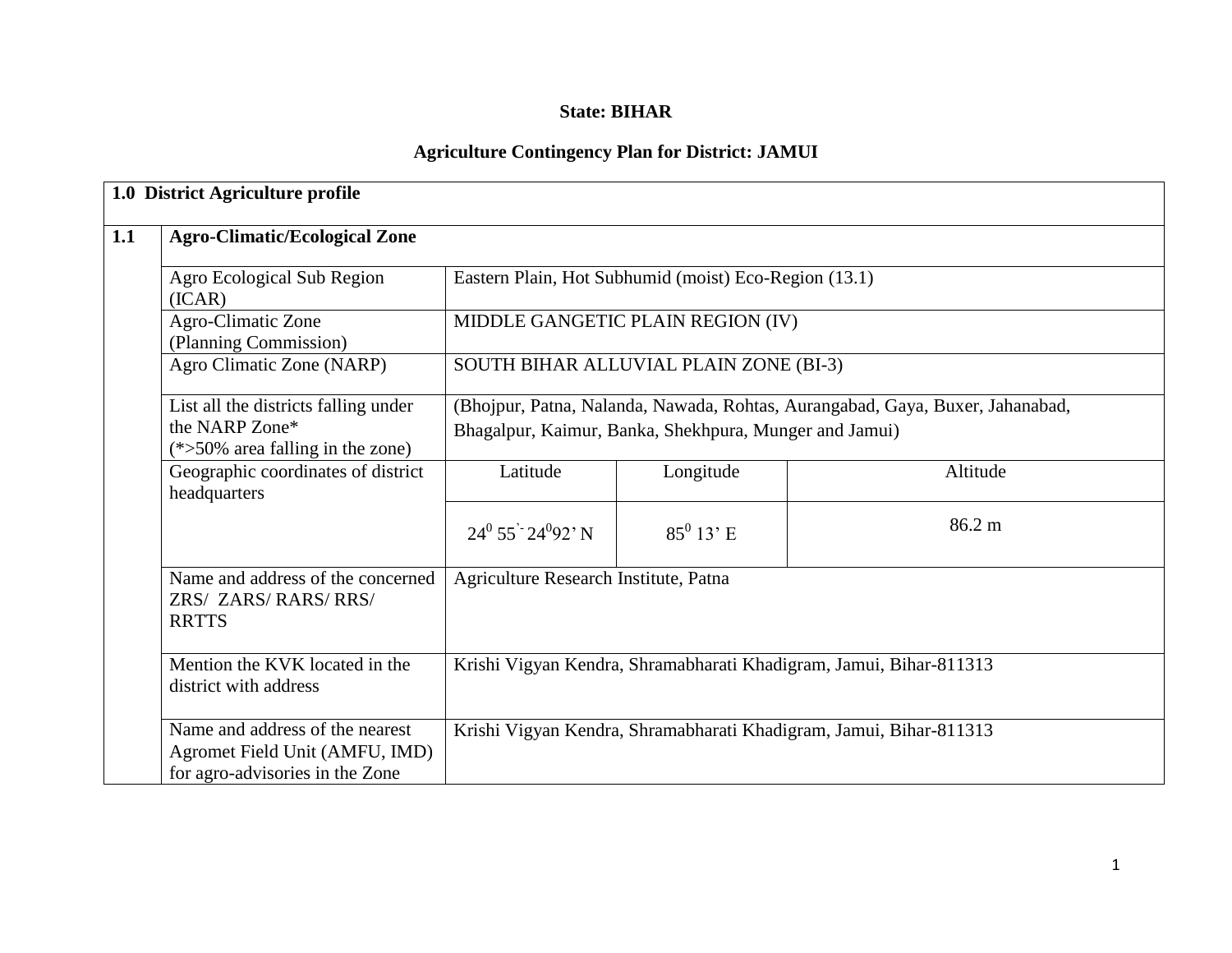### **State: BIHAR**

## **Agriculture Contingency Plan for District: JAMUI**

| <b>Agro-Climatic/Ecological Zone</b>                                                                 |                                                                                                                                         |                                        |                                                                    |  |  |  |  |
|------------------------------------------------------------------------------------------------------|-----------------------------------------------------------------------------------------------------------------------------------------|----------------------------------------|--------------------------------------------------------------------|--|--|--|--|
| Agro Ecological Sub Region<br>(ICAR)                                                                 | Eastern Plain, Hot Subhumid (moist) Eco-Region (13.1)                                                                                   |                                        |                                                                    |  |  |  |  |
| Agro-Climatic Zone<br>(Planning Commission)                                                          | MIDDLE GANGETIC PLAIN REGION (IV)                                                                                                       |                                        |                                                                    |  |  |  |  |
| Agro Climatic Zone (NARP)                                                                            |                                                                                                                                         | SOUTH BIHAR ALLUVIAL PLAIN ZONE (BI-3) |                                                                    |  |  |  |  |
| List all the districts falling under<br>the NARP Zone*<br>$(*>50\%$ area falling in the zone)        | (Bhojpur, Patna, Nalanda, Nawada, Rohtas, Aurangabad, Gaya, Buxer, Jahanabad,<br>Bhagalpur, Kaimur, Banka, Shekhpura, Munger and Jamui) |                                        |                                                                    |  |  |  |  |
| Geographic coordinates of district<br>headquarters                                                   | Latitude                                                                                                                                | Longitude                              | Altitude                                                           |  |  |  |  |
|                                                                                                      | $24^0$ 55 <sup>2</sup> $24^0$ 92 <sup>3</sup> N                                                                                         | $85^0$ 13' E                           | 86.2 m                                                             |  |  |  |  |
| Name and address of the concerned<br>ZRS/ ZARS/RARS/RRS/<br><b>RRTTS</b>                             | Agriculture Research Institute, Patna                                                                                                   |                                        |                                                                    |  |  |  |  |
| Mention the KVK located in the<br>district with address                                              |                                                                                                                                         |                                        | Krishi Vigyan Kendra, Shramabharati Khadigram, Jamui, Bihar-811313 |  |  |  |  |
| Name and address of the nearest<br>Agromet Field Unit (AMFU, IMD)<br>for agro-advisories in the Zone |                                                                                                                                         |                                        | Krishi Vigyan Kendra, Shramabharati Khadigram, Jamui, Bihar-811313 |  |  |  |  |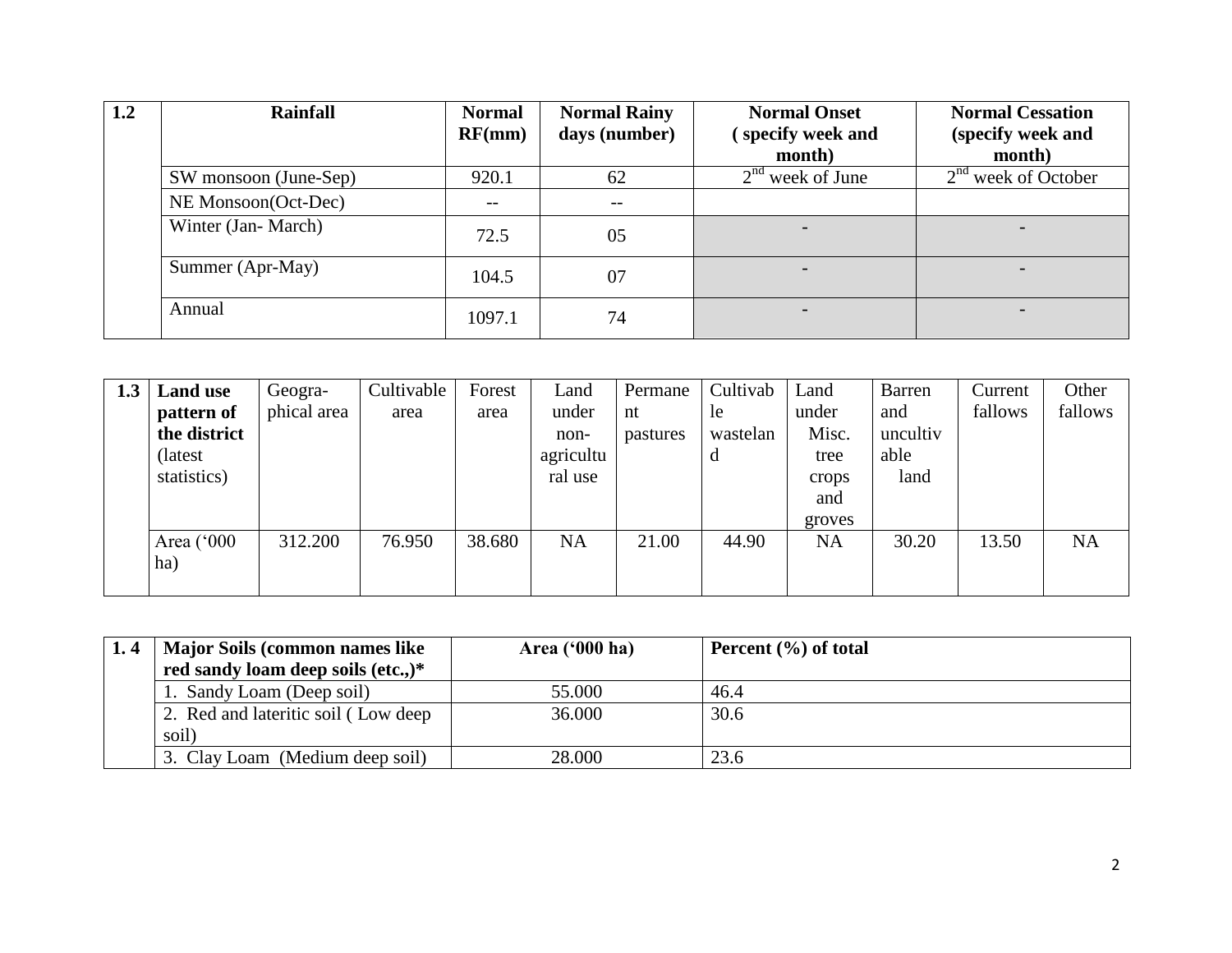| 1.2 | <b>Rainfall</b>       | <b>Normal</b><br>RF(mm)  | <b>Normal Rainy</b><br>days (number) | <b>Normal Onset</b><br>specify week and | <b>Normal Cessation</b><br>(specify week and |
|-----|-----------------------|--------------------------|--------------------------------------|-----------------------------------------|----------------------------------------------|
|     |                       |                          |                                      | month)                                  | month)                                       |
|     | SW monsoon (June-Sep) | 920.1                    | 62                                   | $2nd$ week of June                      | $2nd$ week of October                        |
|     | NE Monsoon(Oct-Dec)   | $\overline{\phantom{m}}$ | $- -$                                |                                         |                                              |
|     | Winter (Jan-March)    | 72.5                     | 05                                   |                                         |                                              |
|     | Summer (Apr-May)      | 104.5                    | 07                                   |                                         |                                              |
|     | Annual                | 1097.1                   | 74                                   | $\overline{\phantom{0}}$                | $\overline{\phantom{0}}$                     |

| 1.3 | <b>Land use</b> | Geogra-     | Cultivable | Forest | Land      | Permane  | Cultivab | Land      | <b>Barren</b> | Current | Other     |
|-----|-----------------|-------------|------------|--------|-----------|----------|----------|-----------|---------------|---------|-----------|
|     | pattern of      | phical area | area       | area   | under     | nt       | le       | under     | and           | fallows | fallows   |
|     | the district    |             |            |        | non-      | pastures | wastelan | Misc.     | uncultiv      |         |           |
|     | (latest)        |             |            |        | agricultu |          | d        | tree      | able          |         |           |
|     | statistics)     |             |            |        | ral use   |          |          | crops     | land          |         |           |
|     |                 |             |            |        |           |          |          | and       |               |         |           |
|     |                 |             |            |        |           |          |          | groves    |               |         |           |
|     | Area ('000      | 312.200     | 76.950     | 38.680 | <b>NA</b> | 21.00    | 44.90    | <b>NA</b> | 30.20         | 13.50   | <b>NA</b> |
|     | ha)             |             |            |        |           |          |          |           |               |         |           |
|     |                 |             |            |        |           |          |          |           |               |         |           |

| <b>Major Soils (common names like)</b> | Area $(900 \text{ ha})$ | Percent $(\% )$ of total |
|----------------------------------------|-------------------------|--------------------------|
| red sandy loam deep soils (etc.,)*     |                         |                          |
| 1. Sandy Loam (Deep soil)              | 55.000                  | 46.4                     |
| 2. Red and lateritic soil (Low deep)   | 36.000                  | 30.6                     |
| soil)                                  |                         |                          |
| 3. Clay Loam (Medium deep soil)        | 28.000                  | 23.6                     |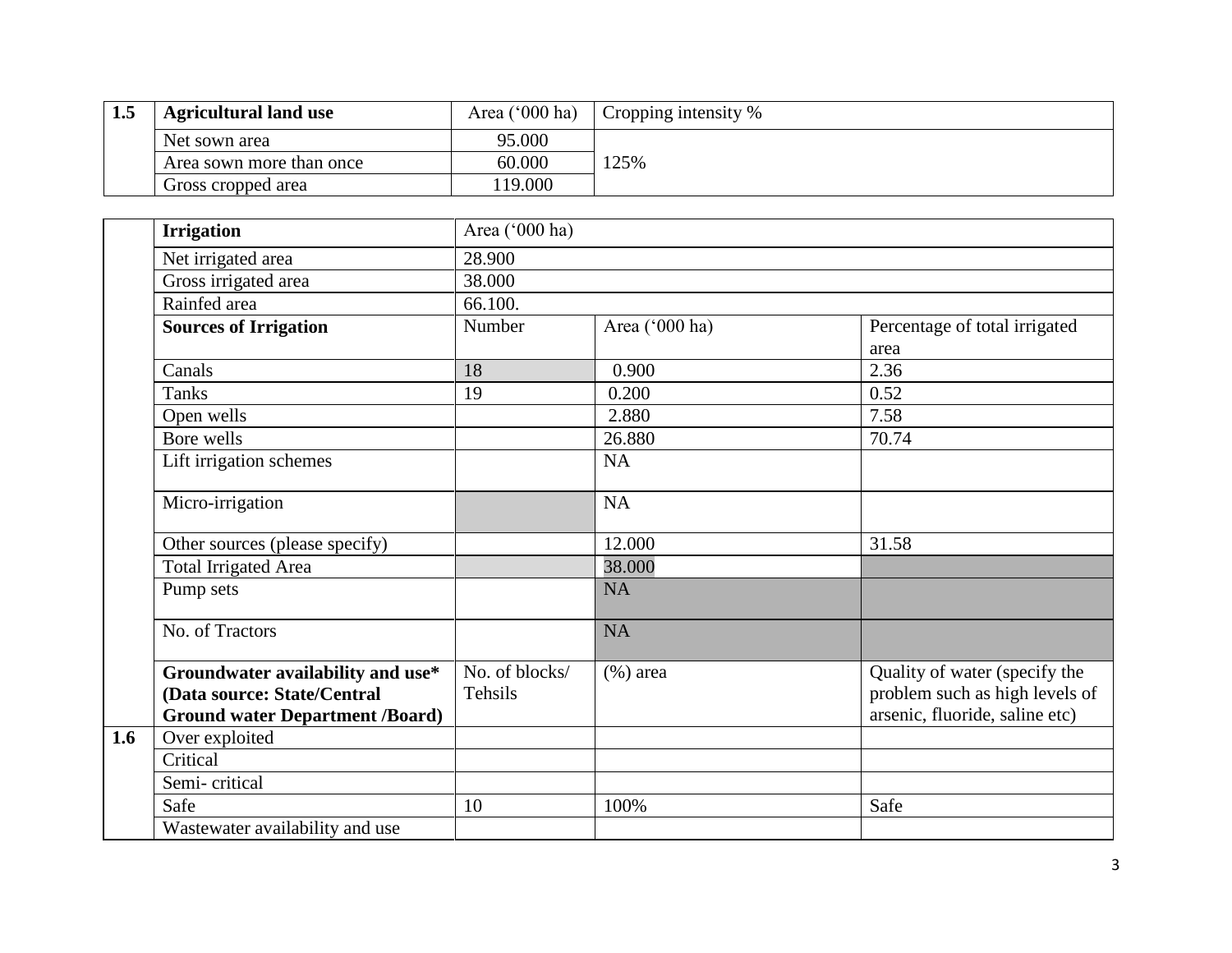| 1.5 | <b>Agricultural land use</b> | Area $(^{\circ}000$ ha) | $\vert$ Cropping intensity % |
|-----|------------------------------|-------------------------|------------------------------|
|     | Net sown area                | 95.000                  |                              |
|     | Area sown more than once     | 60.000                  | 25%                          |
|     | Gross cropped area           | 19.000                  |                              |

|     | <b>Irrigation</b>                                                                                          | Area ('000 ha)            |                |                                                                                                   |  |  |  |  |  |
|-----|------------------------------------------------------------------------------------------------------------|---------------------------|----------------|---------------------------------------------------------------------------------------------------|--|--|--|--|--|
|     | Net irrigated area                                                                                         | 28.900                    |                |                                                                                                   |  |  |  |  |  |
|     | Gross irrigated area                                                                                       | 38.000                    |                |                                                                                                   |  |  |  |  |  |
|     | Rainfed area                                                                                               | 66.100.                   |                |                                                                                                   |  |  |  |  |  |
|     | <b>Sources of Irrigation</b>                                                                               | Number                    | Area ('000 ha) | Percentage of total irrigated                                                                     |  |  |  |  |  |
|     |                                                                                                            |                           |                | area                                                                                              |  |  |  |  |  |
|     | Canals                                                                                                     | 18                        | 0.900          | 2.36                                                                                              |  |  |  |  |  |
|     | <b>Tanks</b>                                                                                               | 19                        | 0.200          | 0.52                                                                                              |  |  |  |  |  |
|     | Open wells                                                                                                 |                           | 2.880          | 7.58                                                                                              |  |  |  |  |  |
|     | Bore wells                                                                                                 |                           | 26.880         | 70.74                                                                                             |  |  |  |  |  |
|     | Lift irrigation schemes                                                                                    |                           | NA             |                                                                                                   |  |  |  |  |  |
|     | Micro-irrigation                                                                                           |                           | NA             |                                                                                                   |  |  |  |  |  |
|     | Other sources (please specify)                                                                             |                           | 12.000         | 31.58                                                                                             |  |  |  |  |  |
|     | <b>Total Irrigated Area</b>                                                                                |                           | 38.000         |                                                                                                   |  |  |  |  |  |
|     | Pump sets                                                                                                  |                           | NA             |                                                                                                   |  |  |  |  |  |
|     | No. of Tractors                                                                                            |                           | NA             |                                                                                                   |  |  |  |  |  |
|     | Groundwater availability and use*<br>(Data source: State/Central<br><b>Ground water Department /Board)</b> | No. of blocks/<br>Tehsils | $(\% )$ area   | Quality of water (specify the<br>problem such as high levels of<br>arsenic, fluoride, saline etc) |  |  |  |  |  |
| 1.6 | Over exploited                                                                                             |                           |                |                                                                                                   |  |  |  |  |  |
|     | Critical                                                                                                   |                           |                |                                                                                                   |  |  |  |  |  |
|     | Semi-critical                                                                                              |                           |                |                                                                                                   |  |  |  |  |  |
|     | Safe                                                                                                       | 10                        | 100%           | Safe                                                                                              |  |  |  |  |  |
|     | Wastewater availability and use                                                                            |                           |                |                                                                                                   |  |  |  |  |  |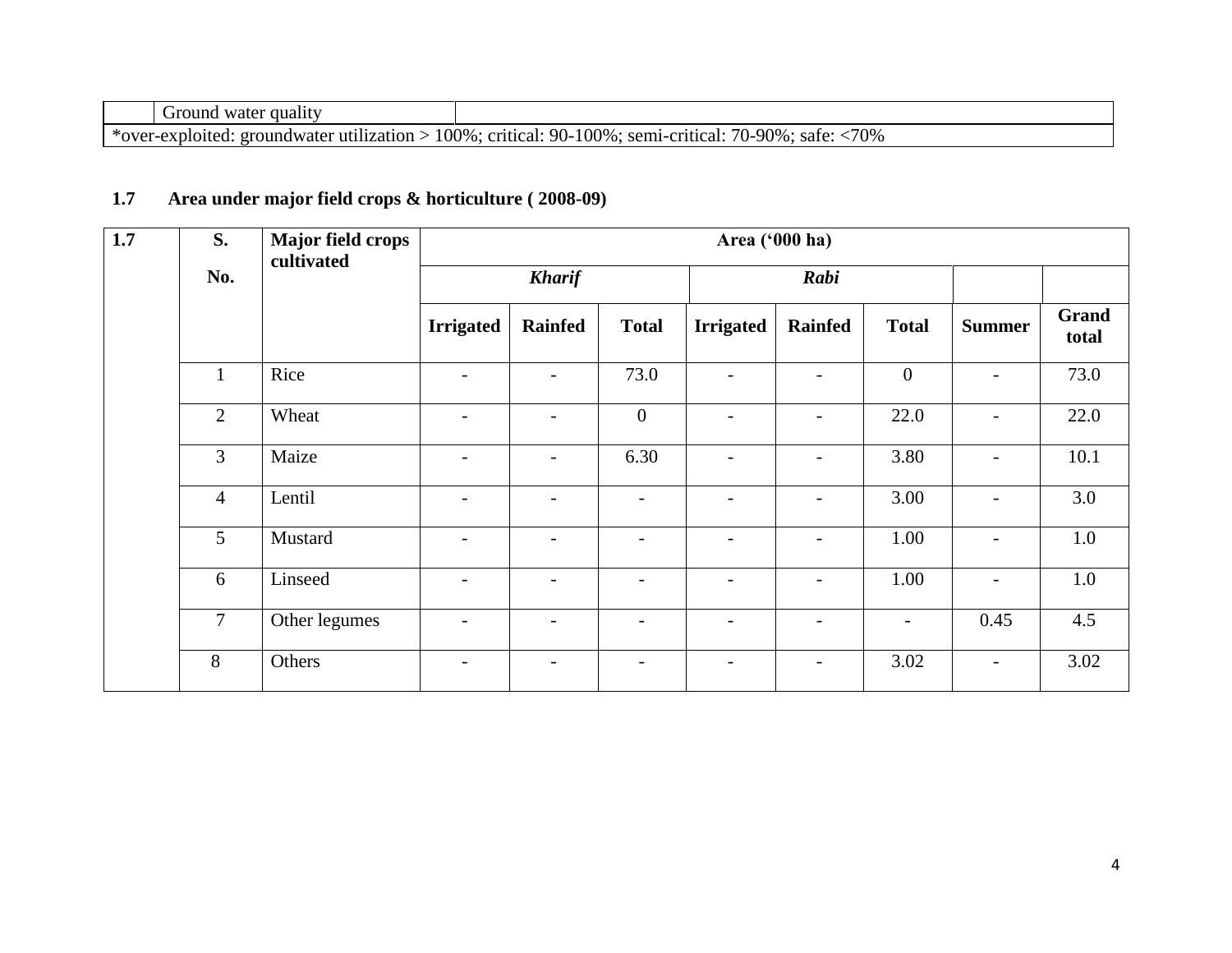| water quality<br>Ground                         |                                                                                          |
|-------------------------------------------------|------------------------------------------------------------------------------------------|
| *over-exploited:<br>: groundwater utilization : | $\cdot$ safe: $\langle 70\%$<br>> 100%; critical: 90-100%; semi-critical: 7<br>70-90%∶ ւ |

# **1.7 Area under major field crops & horticulture ( 2008-09)**

| 1.7 | S.             | <b>Major field crops</b><br>cultivated |                          |                          |                          | Area ('000 ha)           |                          |                          |                          |                       |
|-----|----------------|----------------------------------------|--------------------------|--------------------------|--------------------------|--------------------------|--------------------------|--------------------------|--------------------------|-----------------------|
|     | No.            |                                        |                          | <b>Kharif</b>            |                          | Rabi                     |                          |                          |                          |                       |
|     |                |                                        | <b>Irrigated</b>         | <b>Rainfed</b>           | <b>Total</b>             | <b>Irrigated</b>         | <b>Rainfed</b>           | <b>Total</b>             | <b>Summer</b>            | <b>Grand</b><br>total |
|     | $\mathbf{1}$   | Rice                                   | $\overline{\phantom{a}}$ | $\overline{\phantom{a}}$ | 73.0                     |                          | $\overline{\phantom{a}}$ | $\mathbf{0}$             | $\overline{a}$           | 73.0                  |
|     | $\overline{2}$ | Wheat                                  | $\overline{\phantom{a}}$ | $\overline{\phantom{a}}$ | $\overline{0}$           | $\overline{\phantom{a}}$ | $\overline{\phantom{a}}$ | 22.0                     | $\overline{\phantom{a}}$ | 22.0                  |
|     | 3              | Maize                                  | $\overline{\phantom{a}}$ |                          | 6.30                     |                          | $\overline{\phantom{a}}$ | 3.80                     |                          | 10.1                  |
|     | $\overline{4}$ | Lentil                                 | $\overline{\phantom{a}}$ | $\overline{\phantom{a}}$ | $\overline{\phantom{0}}$ | $\overline{\phantom{0}}$ | $\overline{\phantom{a}}$ | 3.00                     | $\overline{a}$           | 3.0                   |
|     | 5              | Mustard                                | $\overline{\phantom{a}}$ | $\overline{\phantom{0}}$ | $\overline{\phantom{0}}$ | $\overline{\phantom{a}}$ | $\overline{\phantom{a}}$ | 1.00                     | $\overline{a}$           | 1.0                   |
|     | 6              | Linseed                                | $\overline{\phantom{a}}$ | $\overline{\phantom{a}}$ | $\overline{\phantom{0}}$ | $\overline{\phantom{a}}$ | $\overline{\phantom{a}}$ | 1.00                     | $\overline{\phantom{0}}$ | 1.0                   |
|     | $\tau$         | Other legumes                          | $\overline{\phantom{a}}$ | $\overline{\phantom{a}}$ | $\overline{\phantom{0}}$ | $\overline{a}$           | $\overline{\phantom{a}}$ | $\overline{\phantom{a}}$ | 0.45                     | 4.5                   |
|     | 8              | Others                                 | $\overline{\phantom{a}}$ |                          | $\overline{a}$           |                          | $\overline{\phantom{a}}$ | 3.02                     | $\overline{a}$           | 3.02                  |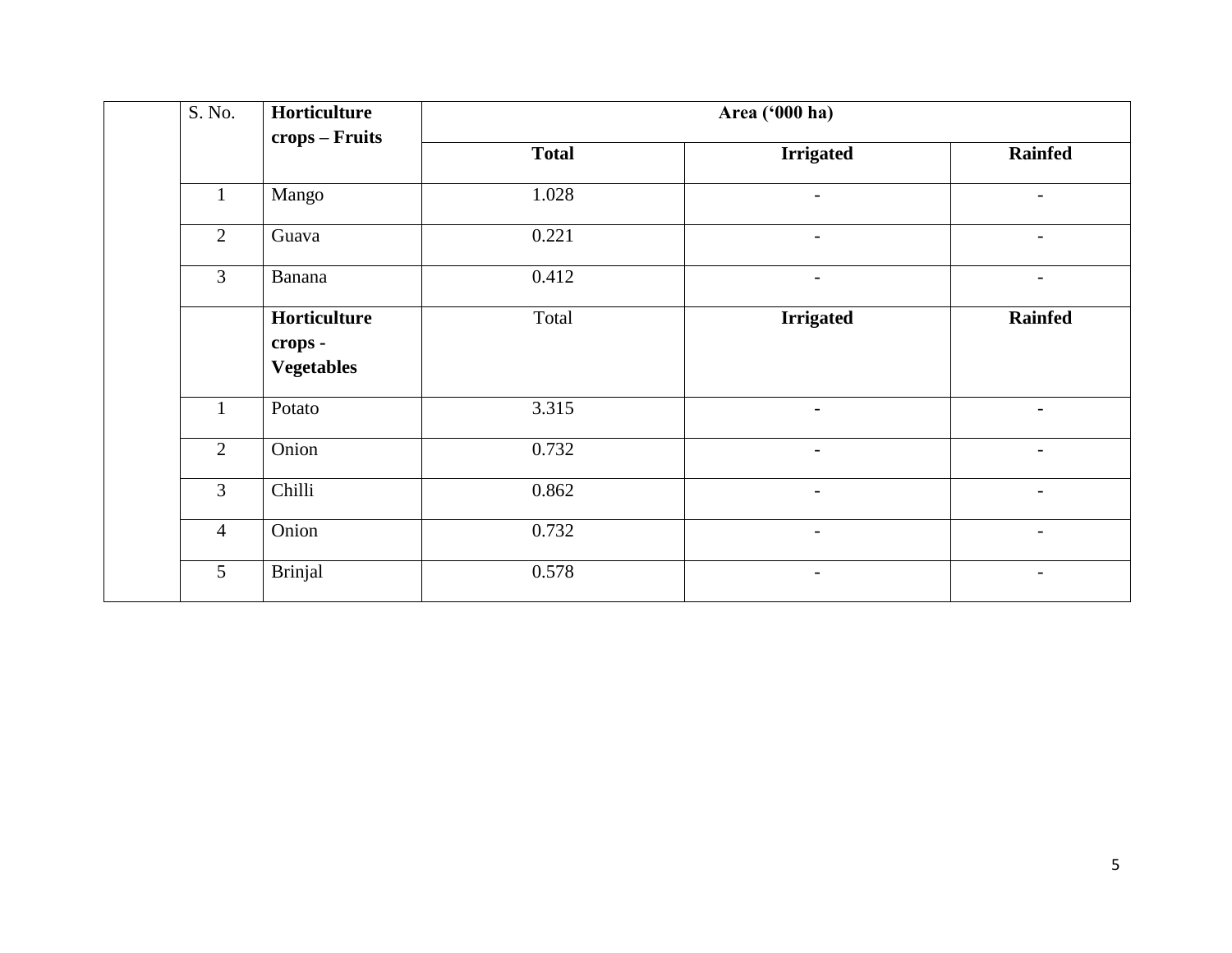| S. No.         | Horticulture                                 |              | Area ('000 ha)           |                          |
|----------------|----------------------------------------------|--------------|--------------------------|--------------------------|
|                | crops – Fruits                               | <b>Total</b> | <b>Irrigated</b>         | <b>Rainfed</b>           |
| $\mathbf{1}$   | Mango                                        | 1.028        | $\overline{\phantom{a}}$ | $\overline{\phantom{a}}$ |
| $\overline{2}$ | Guava                                        | 0.221        | $\overline{\phantom{0}}$ | $\overline{\phantom{a}}$ |
| 3              | Banana                                       | 0.412        | $\overline{\phantom{a}}$ | $\overline{\phantom{a}}$ |
|                | Horticulture<br>crops -<br><b>Vegetables</b> | Total        | <b>Irrigated</b>         | <b>Rainfed</b>           |
| $\mathbf{1}$   | Potato                                       | 3.315        | $\overline{\phantom{a}}$ | $\overline{\phantom{a}}$ |
| $\overline{2}$ | Onion                                        | 0.732        | $\overline{\phantom{0}}$ | $\overline{\phantom{a}}$ |
| 3              | Chilli                                       | 0.862        | $\overline{\phantom{0}}$ | $\overline{\phantom{a}}$ |
| $\overline{4}$ | Onion                                        | 0.732        | $\overline{\phantom{0}}$ | $\overline{\phantom{a}}$ |
| 5              | <b>Brinjal</b>                               | 0.578        | $\overline{\phantom{a}}$ | $\overline{\phantom{a}}$ |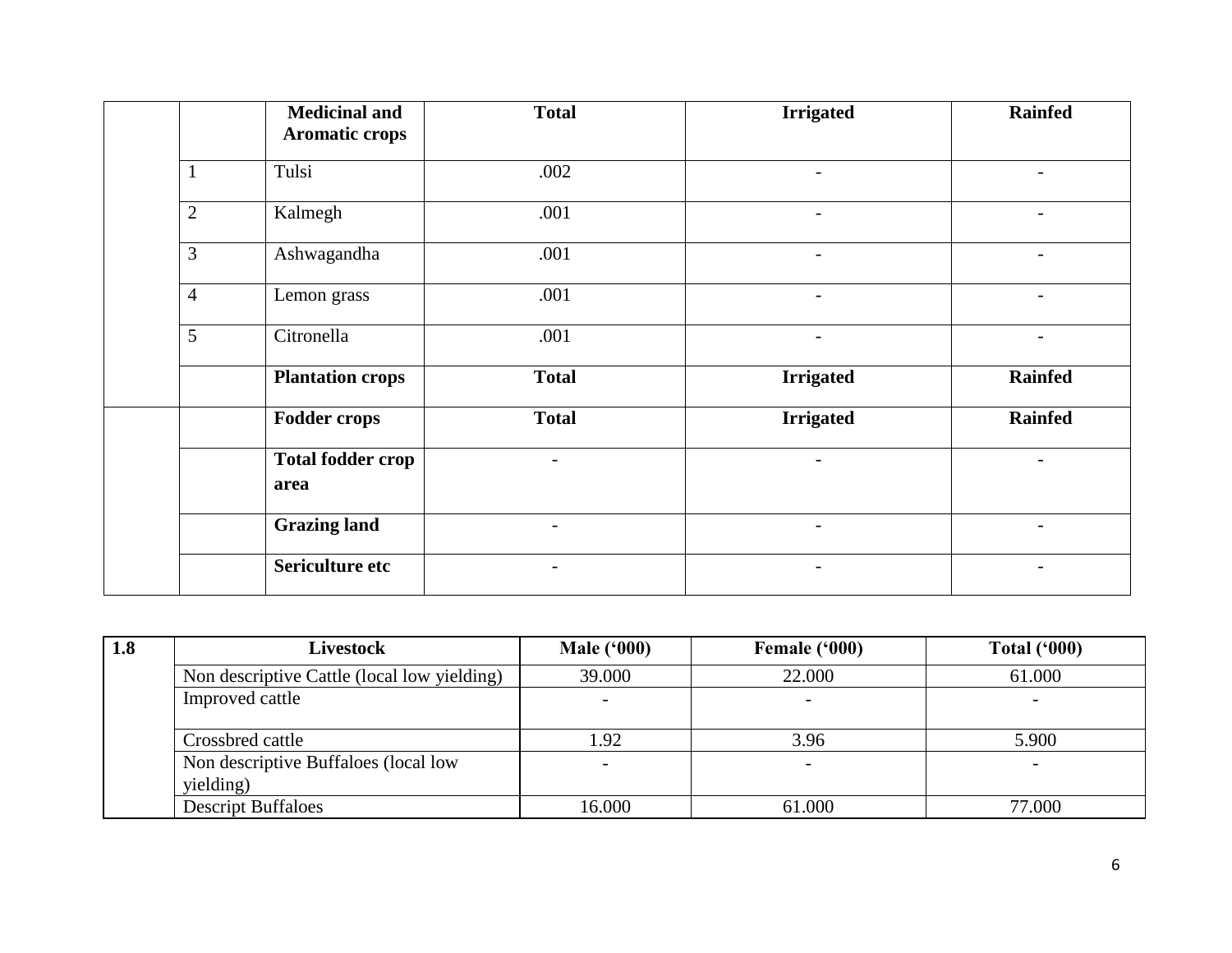|                | <b>Medicinal and</b><br><b>Aromatic crops</b> | <b>Total</b>             | <b>Irrigated</b>         | <b>Rainfed</b>           |
|----------------|-----------------------------------------------|--------------------------|--------------------------|--------------------------|
| $\mathbf{1}$   | Tulsi                                         | .002                     |                          |                          |
| $\mathbf{2}$   | Kalmegh                                       | .001                     | $\qquad \qquad -$        |                          |
| 3              | Ashwagandha                                   | .001                     | $\qquad \qquad -$        |                          |
| $\overline{4}$ | Lemon grass                                   | .001                     | $\qquad \qquad -$        | $\overline{a}$           |
| 5              | Citronella                                    | .001                     |                          |                          |
|                | <b>Plantation crops</b>                       | <b>Total</b>             | <b>Irrigated</b>         | <b>Rainfed</b>           |
|                | <b>Fodder crops</b>                           | <b>Total</b>             | <b>Irrigated</b>         | <b>Rainfed</b>           |
|                | <b>Total fodder crop</b><br>area              | $\overline{\phantom{a}}$ | $\overline{\phantom{0}}$ |                          |
|                | <b>Grazing land</b>                           | $\overline{\phantom{a}}$ | $\overline{\phantom{0}}$ | $\overline{\phantom{0}}$ |
|                | Sericulture etc                               |                          |                          |                          |

| 1.8 | <b>Livestock</b>                                  | <b>Male</b> ('000) | Female ('000)            | <b>Total ('000)</b> |
|-----|---------------------------------------------------|--------------------|--------------------------|---------------------|
|     | Non descriptive Cattle (local low yielding)       | 39.000             | 22.000                   | 61.000              |
|     | Improved cattle                                   |                    |                          |                     |
|     | Crossbred cattle                                  | 1.92               | 3.96                     | 5.900               |
|     | Non descriptive Buffaloes (local low<br>yielding) |                    | $\overline{\phantom{0}}$ |                     |
|     | <b>Descript Buffaloes</b>                         | 16.000             | 61.000                   | 77.000              |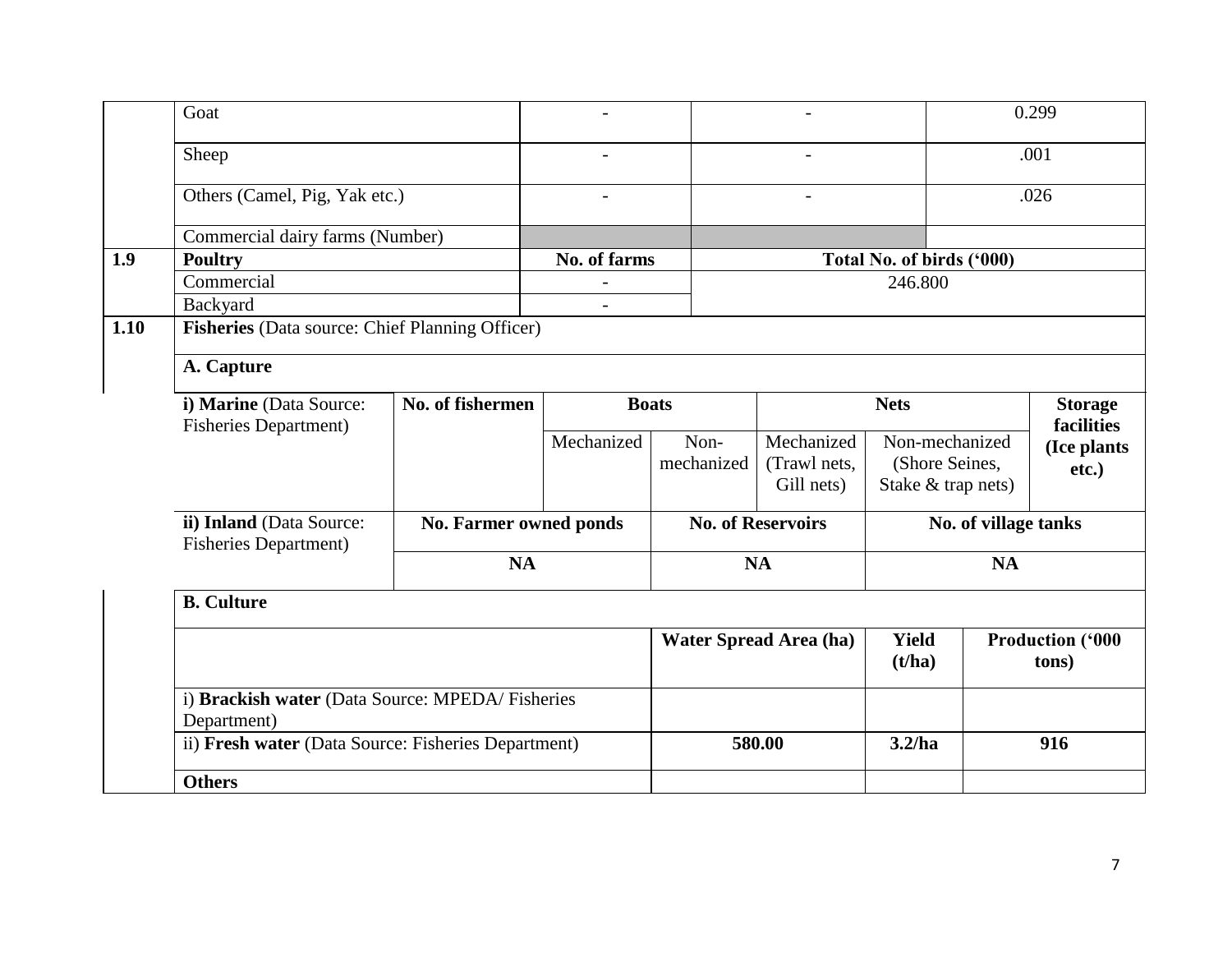|      | Goat                                                           |                                                     |                               |                    |                                          |                                                        | 0.299                               |                                  |
|------|----------------------------------------------------------------|-----------------------------------------------------|-------------------------------|--------------------|------------------------------------------|--------------------------------------------------------|-------------------------------------|----------------------------------|
|      | Sheep                                                          |                                                     |                               |                    | $\overline{\phantom{a}}$                 |                                                        | .001                                |                                  |
|      | Others (Camel, Pig, Yak etc.)                                  |                                                     | $\overline{a}$                |                    | $\overline{\phantom{0}}$                 |                                                        | .026                                |                                  |
|      | Commercial dairy farms (Number)                                |                                                     |                               |                    |                                          |                                                        |                                     |                                  |
| 1.9  | <b>Poultry</b>                                                 |                                                     | No. of farms                  |                    |                                          | Total No. of birds ('000)                              |                                     |                                  |
|      | Commercial                                                     |                                                     |                               |                    |                                          | 246.800                                                |                                     |                                  |
|      | Backyard                                                       |                                                     |                               |                    |                                          |                                                        |                                     |                                  |
| 1.10 | Fisheries (Data source: Chief Planning Officer)                |                                                     |                               |                    |                                          |                                                        |                                     |                                  |
|      | A. Capture                                                     |                                                     |                               |                    |                                          |                                                        |                                     |                                  |
|      | i) Marine (Data Source:<br><b>Fisheries Department)</b>        | No. of fishermen                                    | <b>Boats</b>                  |                    | <b>Nets</b>                              |                                                        | <b>Storage</b><br><b>facilities</b> |                                  |
|      |                                                                |                                                     | Mechanized                    | Non-<br>mechanized | Mechanized<br>(Trawl nets,<br>Gill nets) | Non-mechanized<br>(Shore Seines,<br>Stake & trap nets) |                                     | (Ice plants<br>etc.)             |
|      | ii) Inland (Data Source:<br><b>Fisheries Department)</b>       |                                                     | <b>No. Farmer owned ponds</b> |                    | <b>No. of Reservoirs</b>                 |                                                        | No. of village tanks                |                                  |
|      |                                                                | <b>NA</b>                                           |                               | <b>NA</b>          |                                          | <b>NA</b>                                              |                                     |                                  |
|      | <b>B.</b> Culture                                              |                                                     |                               |                    |                                          |                                                        |                                     |                                  |
|      |                                                                |                                                     |                               |                    | <b>Water Spread Area (ha)</b>            | Yield<br>(t/ha)                                        |                                     | <b>Production ('000</b><br>tons) |
|      | i) Brackish water (Data Source: MPEDA/Fisheries<br>Department) |                                                     |                               |                    |                                          |                                                        |                                     |                                  |
|      |                                                                | ii) Fresh water (Data Source: Fisheries Department) |                               |                    | 580.00                                   | 3.2/ha                                                 |                                     | 916                              |
|      | <b>Others</b>                                                  |                                                     |                               |                    |                                          |                                                        |                                     |                                  |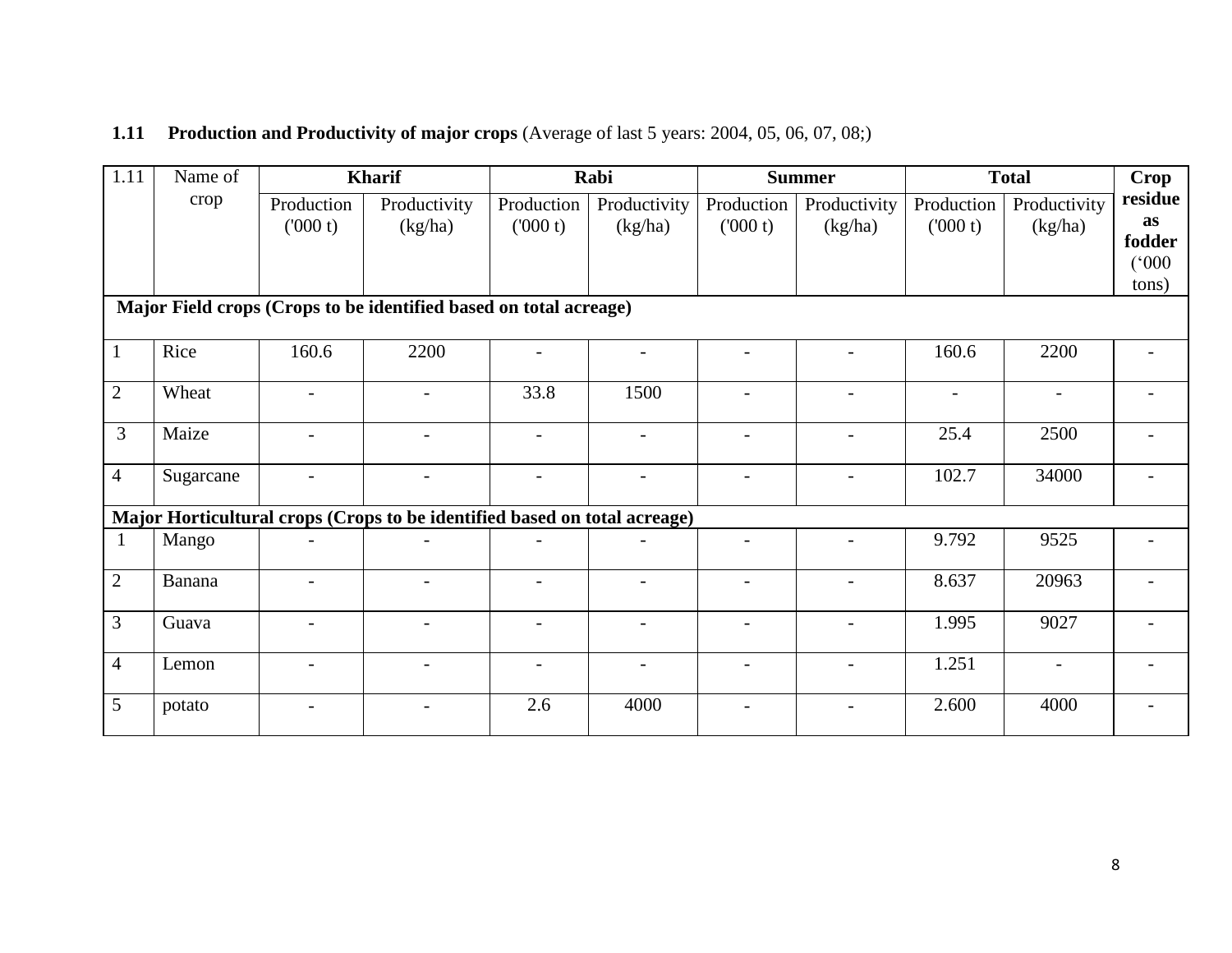## **1.11 Production and Productivity of major crops** (Average of last 5 years: 2004, 05, 06, 07, 08;)

| 1.11           | Name of   |                          | <b>Kharif</b>                                                             |                          | Rabi                     |                          | <b>Summer</b>            |                       | <b>Total</b>             | Crop                    |
|----------------|-----------|--------------------------|---------------------------------------------------------------------------|--------------------------|--------------------------|--------------------------|--------------------------|-----------------------|--------------------------|-------------------------|
|                | crop      | Production<br>(000 t)    | Productivity<br>(kg/ha)                                                   | Production<br>(000 t)    | Productivity<br>(kg/ha)  | Production<br>(000 t)    | Productivity<br>(kg/ha)  | Production<br>(000 t) | Productivity<br>(kg/ha)  | residue<br>as<br>fodder |
|                |           |                          |                                                                           |                          |                          |                          |                          |                       |                          | (000)<br>tons)          |
|                |           |                          | Major Field crops (Crops to be identified based on total acreage)         |                          |                          |                          |                          |                       |                          |                         |
| $\mathbf{1}$   | Rice      | 160.6                    | 2200                                                                      |                          |                          |                          |                          | 160.6                 | 2200                     |                         |
| $\overline{2}$ | Wheat     | $\overline{a}$           | $\overline{\phantom{0}}$                                                  | 33.8                     | 1500                     | $\overline{\phantom{a}}$ | $\overline{\phantom{0}}$ | $\blacksquare$        | $\overline{\phantom{0}}$ |                         |
| 3              | Maize     | $\blacksquare$           | $\overline{\phantom{0}}$                                                  | $\overline{\phantom{a}}$ | $\overline{a}$           | $\overline{\phantom{a}}$ | $\overline{\phantom{a}}$ | 25.4                  | 2500                     |                         |
| $\overline{4}$ | Sugarcane |                          |                                                                           |                          |                          |                          |                          | 102.7                 | 34000                    |                         |
|                |           |                          | Major Horticultural crops (Crops to be identified based on total acreage) |                          |                          |                          |                          |                       |                          |                         |
|                | Mango     |                          |                                                                           |                          |                          | $\overline{\phantom{0}}$ | $\overline{\phantom{0}}$ | 9.792                 | 9525                     |                         |
| $\overline{2}$ | Banana    |                          |                                                                           |                          | $\overline{\phantom{0}}$ | $\overline{\phantom{0}}$ | $\blacksquare$           | 8.637                 | 20963                    |                         |
| 3              | Guava     | $\overline{\phantom{a}}$ | $\overline{\phantom{a}}$                                                  | $\overline{\phantom{a}}$ | $\overline{\phantom{a}}$ | $\overline{\phantom{a}}$ | $\overline{\phantom{a}}$ | 1.995                 | 9027                     |                         |
| 4              | Lemon     | $\blacksquare$           | $\overline{\phantom{0}}$                                                  | $\overline{\phantom{a}}$ | $\blacksquare$           | $\overline{\phantom{a}}$ | $\overline{\phantom{a}}$ | 1.251                 | $\overline{\phantom{a}}$ |                         |
| 5              | potato    |                          |                                                                           | 2.6                      | 4000                     |                          | $\overline{a}$           | 2.600                 | 4000                     |                         |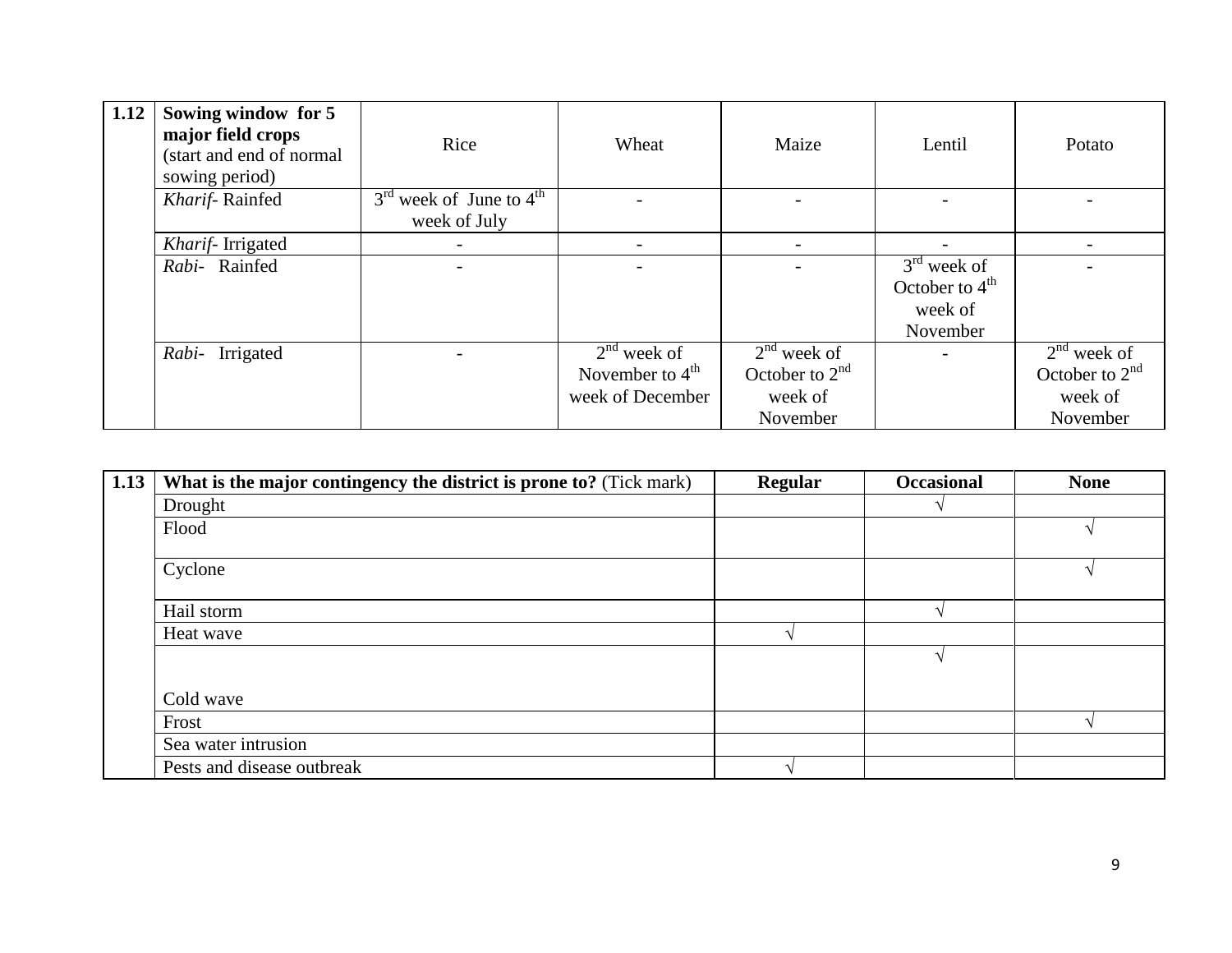| 1.12 | Sowing window for 5<br>major field crops<br>(start and end of normal<br>sowing period) | Rice                                        | Wheat                                                  | Maize                                                    | Lentil                                                             | Potato                                                   |
|------|----------------------------------------------------------------------------------------|---------------------------------------------|--------------------------------------------------------|----------------------------------------------------------|--------------------------------------------------------------------|----------------------------------------------------------|
|      | Kharif-Rainfed                                                                         | $3rd$ week of June to $4th$<br>week of July |                                                        |                                                          |                                                                    |                                                          |
|      | Kharif-Irrigated                                                                       |                                             |                                                        |                                                          |                                                                    |                                                          |
|      | Rabi- Rainfed                                                                          |                                             |                                                        |                                                          | $3rd$ week of<br>October to $4^{\text{th}}$<br>week of<br>November |                                                          |
|      | Rabi- Irrigated                                                                        |                                             | $2nd$ week of<br>November to $4th$<br>week of December | $2nd$ week of<br>October to $2nd$<br>week of<br>November |                                                                    | $2nd$ week of<br>October to $2nd$<br>week of<br>November |

| 1.13 | What is the major contingency the district is prone to? (Tick mark) | <b>Regular</b> | <b>Occasional</b> | <b>None</b> |
|------|---------------------------------------------------------------------|----------------|-------------------|-------------|
|      | Drought                                                             |                |                   |             |
|      | Flood                                                               |                |                   |             |
|      | Cyclone                                                             |                |                   |             |
|      | Hail storm                                                          |                |                   |             |
|      | Heat wave                                                           |                |                   |             |
|      |                                                                     |                |                   |             |
|      | Cold wave                                                           |                |                   |             |
|      | Frost                                                               |                |                   |             |
|      | Sea water intrusion                                                 |                |                   |             |
|      | Pests and disease outbreak                                          |                |                   |             |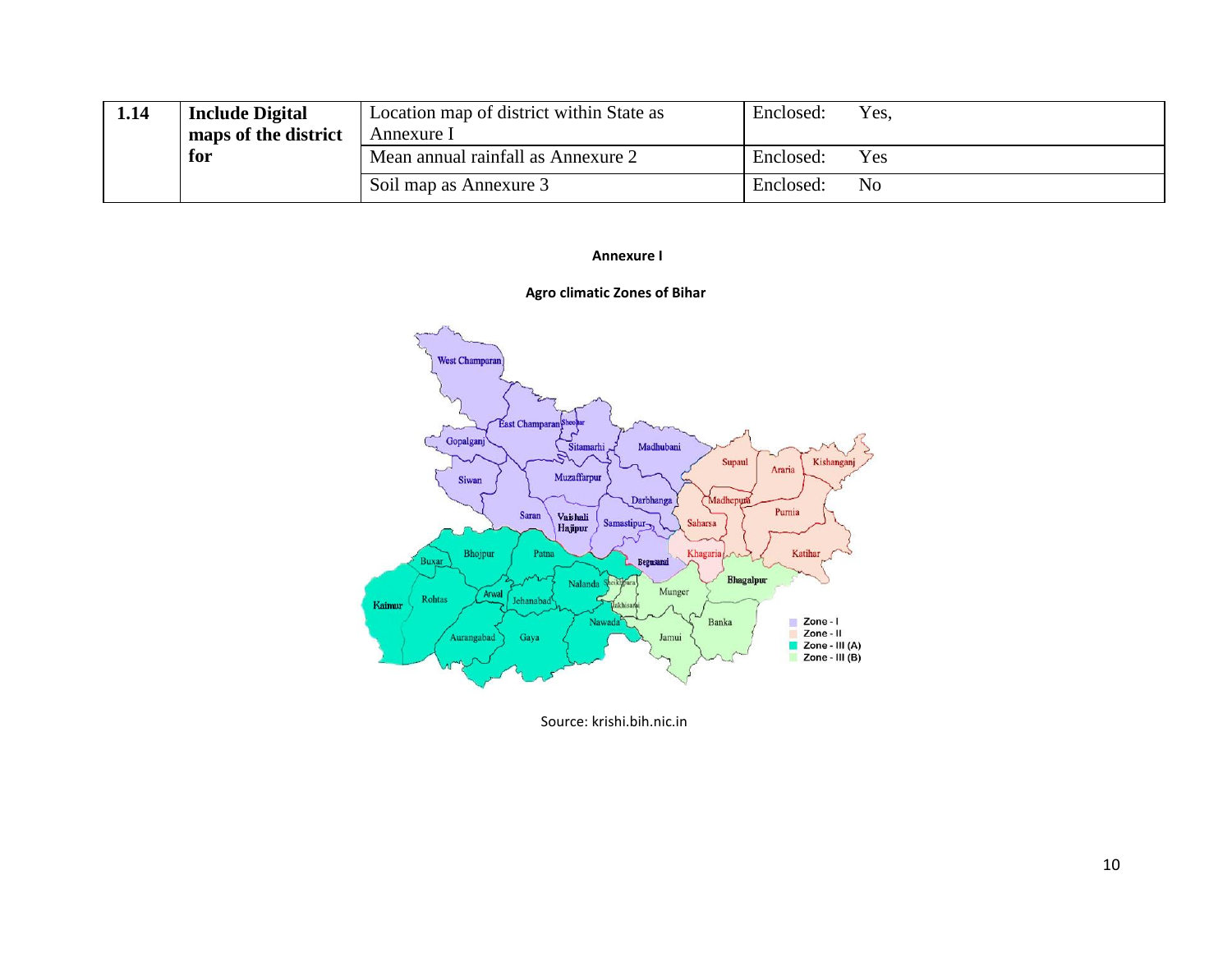| 1.14 | <b>Include Digital</b> | Location map of district within State as | Enclosed: | Yes. |
|------|------------------------|------------------------------------------|-----------|------|
|      | maps of the district   | Annexure 1                               |           |      |
| for  |                        | Mean annual rainfall as Annexure 2       | Enclosed: | Yes  |
|      |                        | Soil map as Annexure 3                   | Enclosed: | No   |

#### **Annexure I**



#### **Agro climatic Zones of Bihar**

Source: krishi.bih.nic.in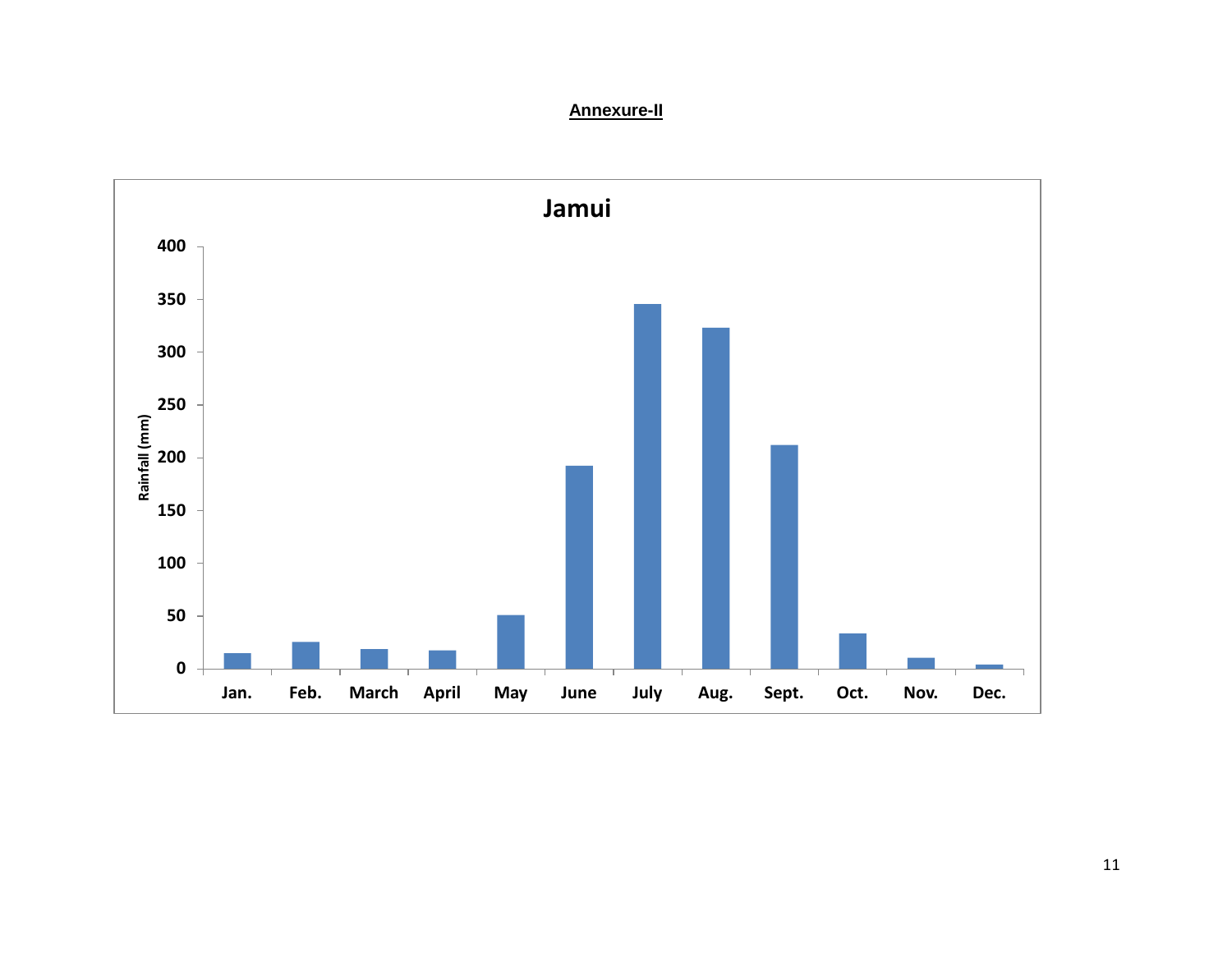#### **Annexure-II**

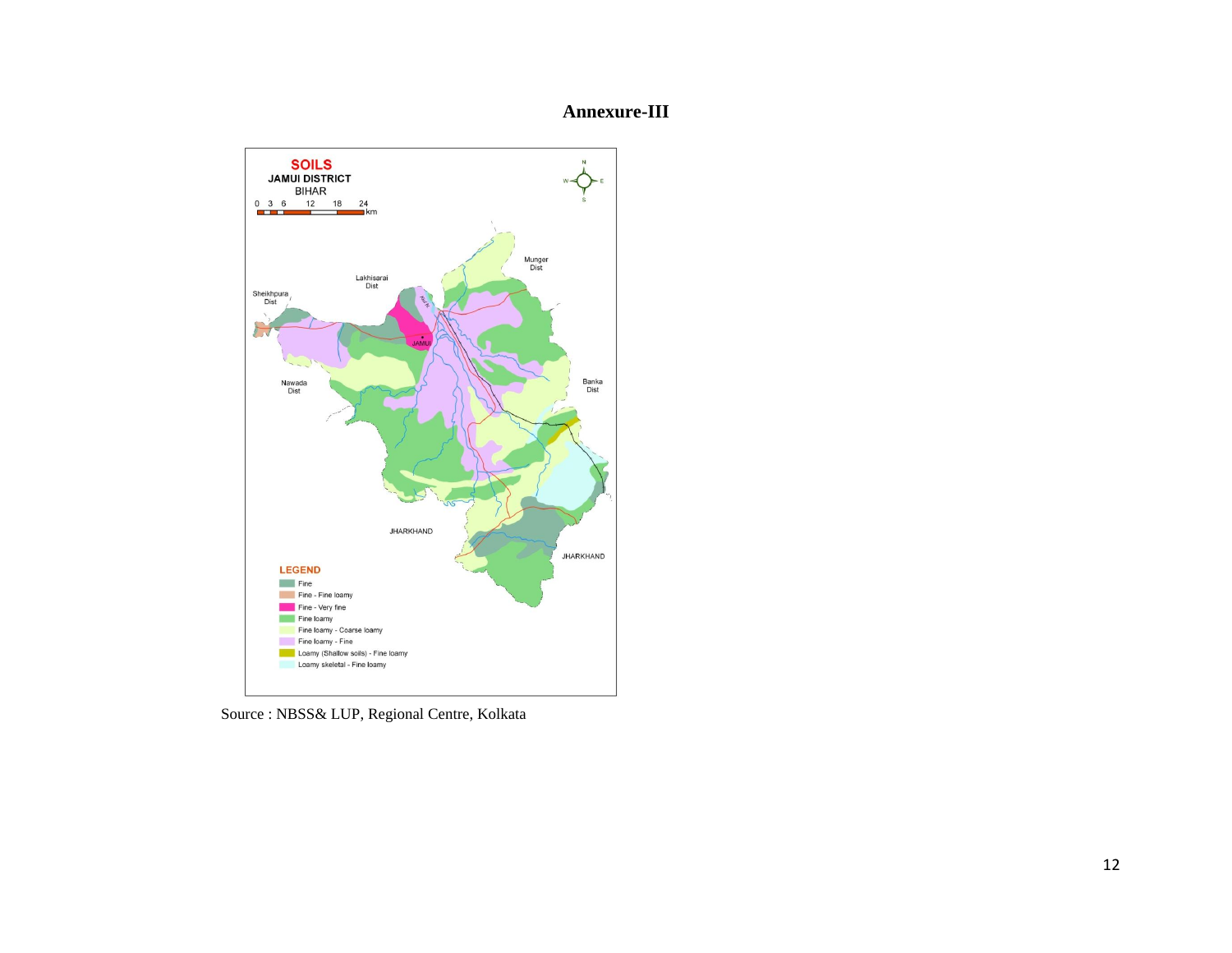#### **Annexure-III**



Source : NBSS& LUP, Regional Centre, Kolkata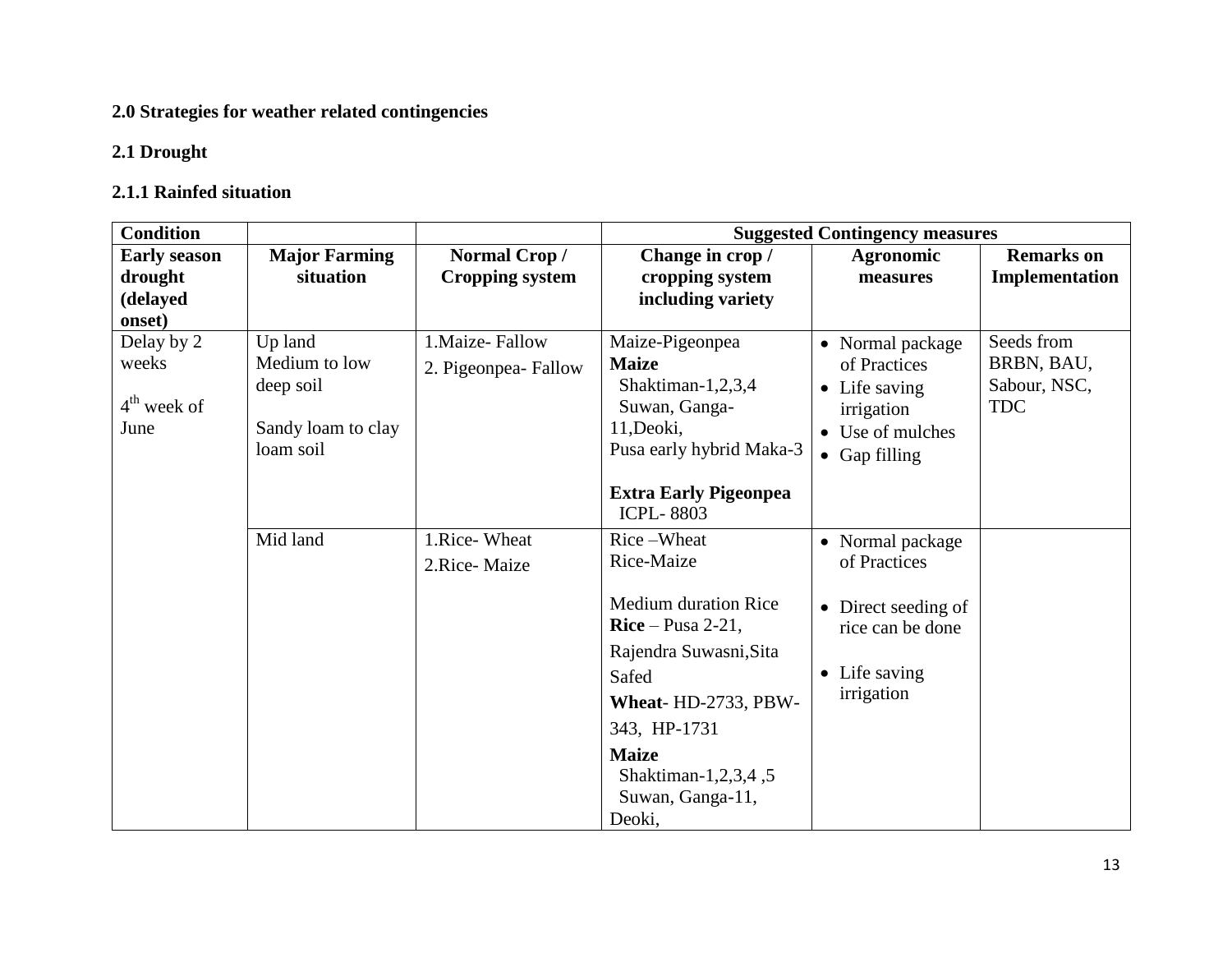# **2.0 Strategies for weather related contingencies**

## **2.1 Drought**

### **2.1.1 Rainfed situation**

| <b>Condition</b>                                     |                                                                          | <b>Suggested Contingency measures</b>   |                                                                                                                                                                                                                             |                                                                                                              |                                                        |
|------------------------------------------------------|--------------------------------------------------------------------------|-----------------------------------------|-----------------------------------------------------------------------------------------------------------------------------------------------------------------------------------------------------------------------------|--------------------------------------------------------------------------------------------------------------|--------------------------------------------------------|
| <b>Early season</b><br>drought<br>(delayed<br>onset) | <b>Major Farming</b><br>situation                                        | Normal Crop/<br><b>Cropping system</b>  | Change in crop /<br>cropping system<br>including variety                                                                                                                                                                    | <b>Agronomic</b><br>measures                                                                                 | <b>Remarks</b> on<br>Implementation                    |
| Delay by 2<br>weeks<br>$4th$ week of<br>June         | Up land<br>Medium to low<br>deep soil<br>Sandy loam to clay<br>loam soil | 1. Maize-Fallow<br>2. Pigeonpea- Fallow | Maize-Pigeonpea<br><b>Maize</b><br>Shaktiman-1,2,3,4<br>Suwan, Ganga-<br>11, Deoki,<br>Pusa early hybrid Maka-3<br><b>Extra Early Pigeonpea</b><br><b>ICPL-8803</b>                                                         | • Normal package<br>of Practices<br>• Life saving<br>irrigation<br>• Use of mulches<br>$\bullet$ Gap filling | Seeds from<br>BRBN, BAU,<br>Sabour, NSC,<br><b>TDC</b> |
|                                                      | Mid land                                                                 | 1.Rice-Wheat<br>2.Rice-Maize            | Rice-Wheat<br>Rice-Maize<br><b>Medium duration Rice</b><br>$Rice-Pusa 2-21,$<br>Rajendra Suwasni, Sita<br>Safed<br>Wheat-HD-2733, PBW-<br>343, HP-1731<br><b>Maize</b><br>Shaktiman-1,2,3,4,5<br>Suwan, Ganga-11,<br>Deoki, | • Normal package<br>of Practices<br>• Direct seeding of<br>rice can be done<br>• Life saving<br>irrigation   |                                                        |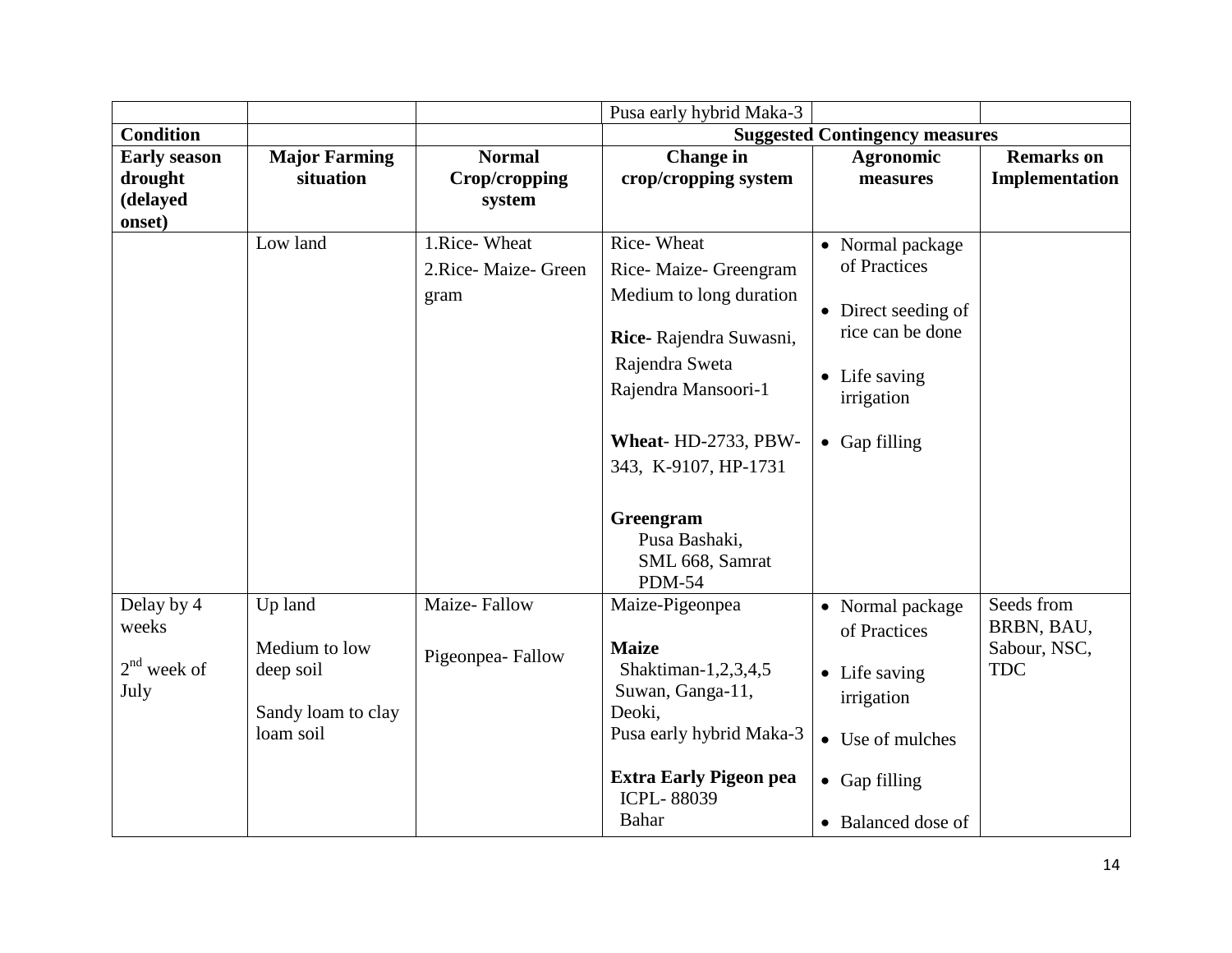|                     |                      |                      | Pusa early hybrid Maka-3                                       |                                       |                          |
|---------------------|----------------------|----------------------|----------------------------------------------------------------|---------------------------------------|--------------------------|
| <b>Condition</b>    |                      |                      |                                                                | <b>Suggested Contingency measures</b> |                          |
| <b>Early season</b> | <b>Major Farming</b> | <b>Normal</b>        | <b>Change</b> in                                               | <b>Agronomic</b>                      | <b>Remarks</b> on        |
| drought             | situation            | <b>Crop/cropping</b> | crop/cropping system                                           | measures                              | Implementation           |
| (delayed            |                      | system               |                                                                |                                       |                          |
| onset)              |                      |                      |                                                                |                                       |                          |
|                     | Low land             | 1.Rice-Wheat         | Rice-Wheat                                                     | • Normal package                      |                          |
|                     |                      | 2.Rice-Maize- Green  | Rice-Maize-Greengram                                           | of Practices                          |                          |
|                     |                      | gram                 | Medium to long duration                                        | • Direct seeding of                   |                          |
|                     |                      |                      | Rice-Rajendra Suwasni,                                         | rice can be done                      |                          |
|                     |                      |                      | Rajendra Sweta                                                 |                                       |                          |
|                     |                      |                      | Rajendra Mansoori-1                                            | • Life saving<br>irrigation           |                          |
|                     |                      |                      | Wheat-HD-2733, PBW-                                            | $\bullet$ Gap filling                 |                          |
|                     |                      |                      | 343, K-9107, HP-1731                                           |                                       |                          |
|                     |                      |                      | Greengram<br>Pusa Bashaki,<br>SML 668, Samrat<br><b>PDM-54</b> |                                       |                          |
| Delay by 4<br>weeks | Up land              | Maize-Fallow         | Maize-Pigeonpea                                                | • Normal package<br>of Practices      | Seeds from<br>BRBN, BAU, |
|                     | Medium to low        |                      | <b>Maize</b>                                                   |                                       | Sabour, NSC,             |
| $2nd$ week of       | deep soil            | Pigeonpea-Fallow     | Shaktiman-1,2,3,4,5                                            | • Life saving                         | <b>TDC</b>               |
| July                |                      |                      | Suwan, Ganga-11,                                               | irrigation                            |                          |
|                     | Sandy loam to clay   |                      | Deoki,                                                         |                                       |                          |
|                     | loam soil            |                      | Pusa early hybrid Maka-3                                       | • Use of mulches                      |                          |
|                     |                      |                      | <b>Extra Early Pigeon pea</b><br><b>ICPL-88039</b>             | $\bullet$ Gap filling                 |                          |
|                     |                      |                      | Bahar                                                          | • Balanced dose of                    |                          |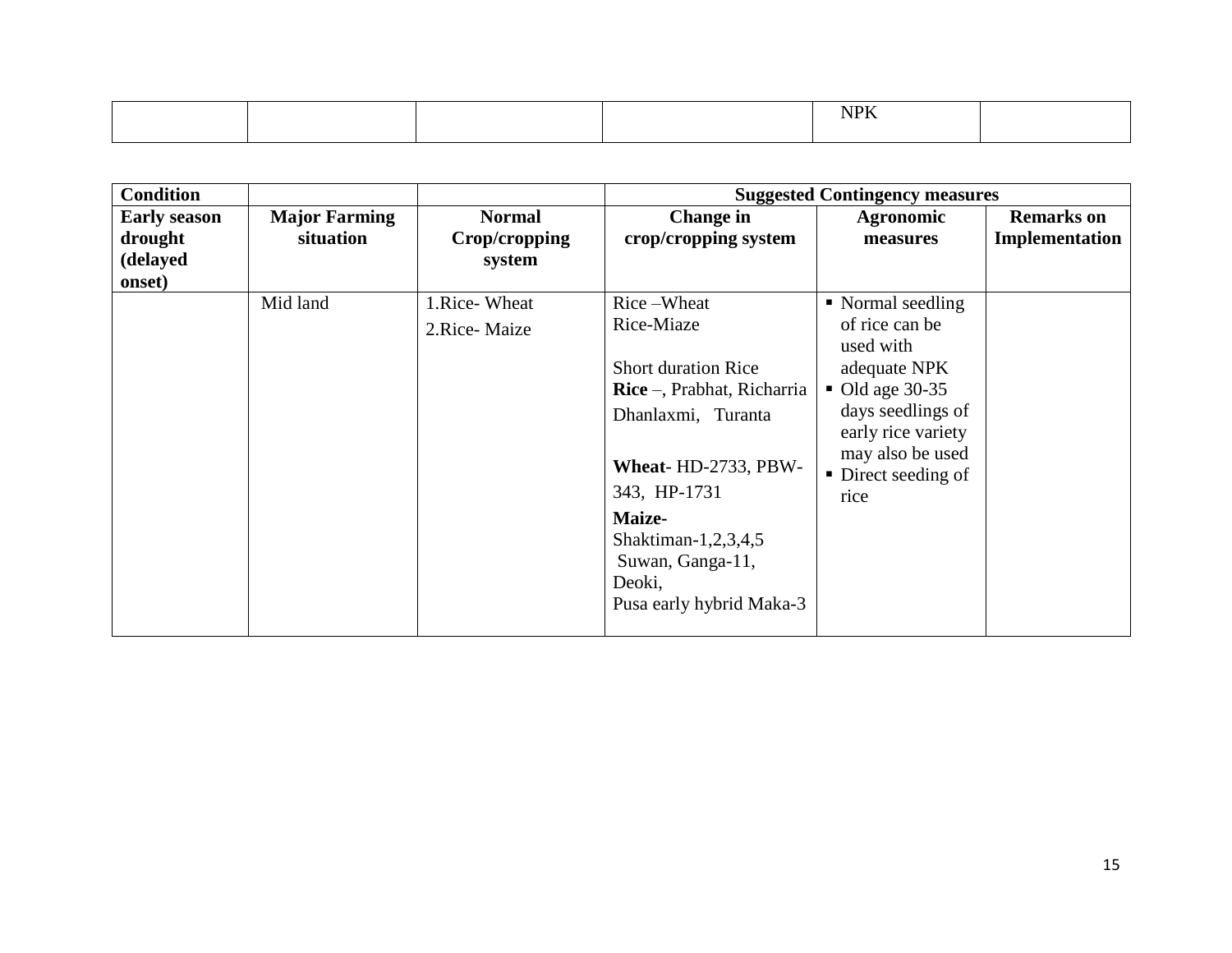|  |  | <b>ATTY</b><br>the contract of the contract of the contract of the contract of the contract of |  |
|--|--|------------------------------------------------------------------------------------------------|--|
|  |  |                                                                                                |  |

| <b>Condition</b>    |                      |               |                                   | <b>Suggested Contingency measures</b>   |                   |
|---------------------|----------------------|---------------|-----------------------------------|-----------------------------------------|-------------------|
| <b>Early season</b> | <b>Major Farming</b> | <b>Normal</b> | <b>Change in</b>                  | <b>Agronomic</b>                        | <b>Remarks</b> on |
| drought             | situation            | Crop/cropping | crop/cropping system              | measures                                | Implementation    |
| (delayed            |                      | system        |                                   |                                         |                   |
| onset)              |                      |               |                                   |                                         |                   |
|                     | Mid land             | 1.Rice-Wheat  | Rice-Wheat                        | • Normal seedling                       |                   |
|                     |                      | 2.Rice-Maize  | Rice-Miaze                        | of rice can be<br>used with             |                   |
|                     |                      |               | <b>Short duration Rice</b>        | adequate NPK                            |                   |
|                     |                      |               | <b>Rice</b> –, Prabhat, Richarria | $\bullet$ Old age 30-35                 |                   |
|                     |                      |               | Dhanlaxmi, Turanta                | days seedlings of<br>early rice variety |                   |
|                     |                      |               | Wheat-HD-2733, PBW-               | may also be used<br>• Direct seeding of |                   |
|                     |                      |               | 343, HP-1731                      | rice                                    |                   |
|                     |                      |               | Maize-                            |                                         |                   |
|                     |                      |               | Shaktiman-1,2,3,4,5               |                                         |                   |
|                     |                      |               | Suwan, Ganga-11,                  |                                         |                   |
|                     |                      |               | Deoki,                            |                                         |                   |
|                     |                      |               | Pusa early hybrid Maka-3          |                                         |                   |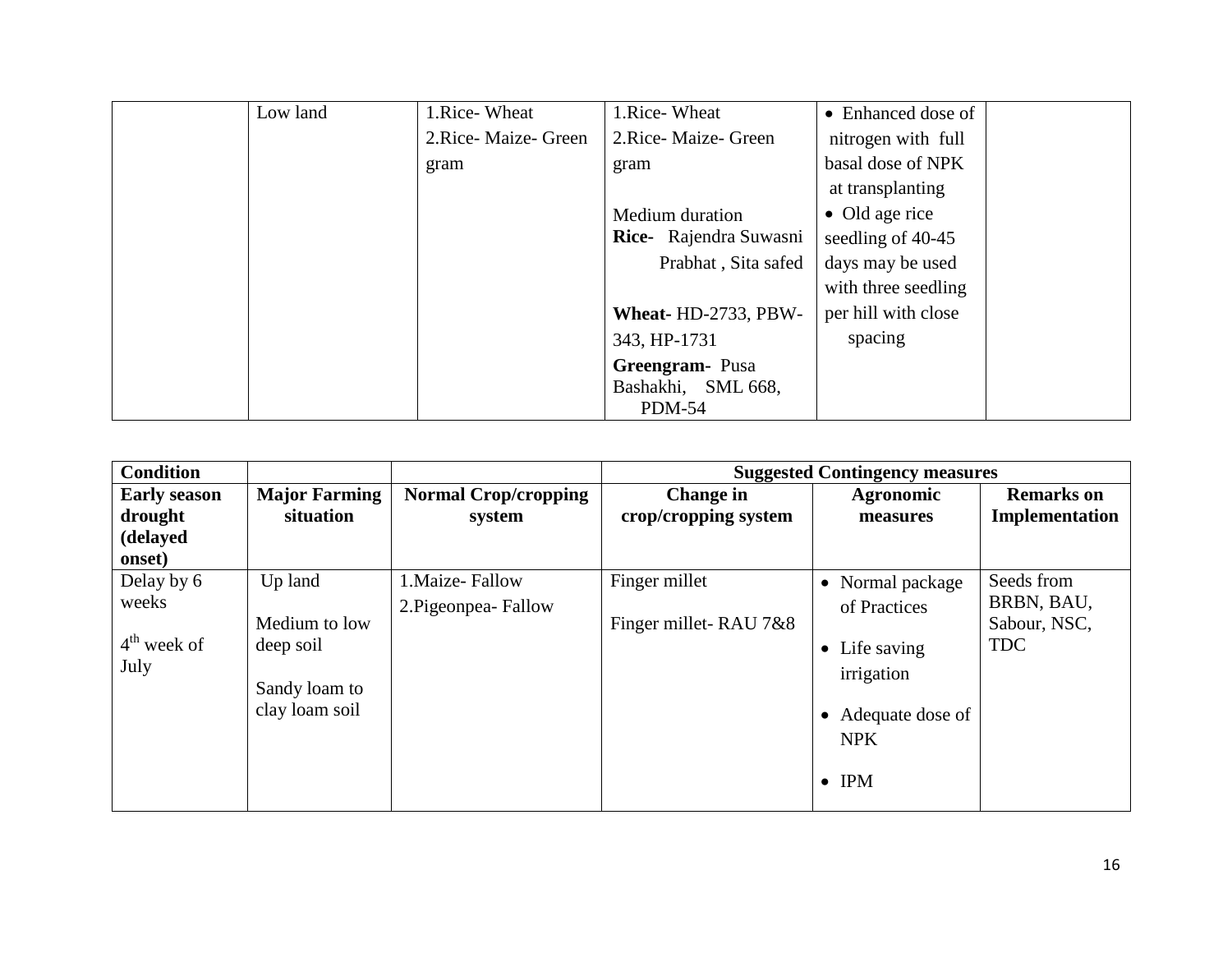| Low land | 1.Rice-Wheat         | 1.Rice-Wheat           | • Enhanced dose of     |
|----------|----------------------|------------------------|------------------------|
|          | 2. Rice-Maize- Green | 2. Rice-Maize-Green    | nitrogen with full     |
|          | gram                 | gram                   | basal dose of NPK      |
|          |                      |                        | at transplanting       |
|          |                      | Medium duration        | $\bullet$ Old age rice |
|          |                      | Rice- Rajendra Suwasni | seedling of 40-45      |
|          |                      | Prabhat, Sita safed    | days may be used       |
|          |                      |                        | with three seedling    |
|          |                      | Wheat-HD-2733, PBW-    | per hill with close    |
|          |                      | 343, HP-1731           | spacing                |
|          |                      | Greengram-Pusa         |                        |
|          |                      | Bashakhi, SML 668,     |                        |
|          |                      | <b>PDM-54</b>          |                        |

| <b>Condition</b>                                     |                                                                          |                                          |                                        | <b>Suggested Contingency measures</b>                                                                              |                                                        |
|------------------------------------------------------|--------------------------------------------------------------------------|------------------------------------------|----------------------------------------|--------------------------------------------------------------------------------------------------------------------|--------------------------------------------------------|
| <b>Early season</b><br>drought<br>(delayed<br>onset) | <b>Major Farming</b><br>situation                                        | <b>Normal Crop/cropping</b><br>system    | Change in<br>crop/cropping system      | <b>Agronomic</b><br>measures                                                                                       | <b>Remarks</b> on<br>Implementation                    |
| Delay by 6<br>weeks<br>$4th$ week of<br>July         | Up land<br>Medium to low<br>deep soil<br>Sandy loam to<br>clay loam soil | 1. Maize-Fallow<br>2. Pigeonpea - Fallow | Finger millet<br>Finger millet-RAU 7&8 | • Normal package<br>of Practices<br>• Life saving<br>irrigation<br>Adequate dose of<br><b>NPK</b><br>$\bullet$ IPM | Seeds from<br>BRBN, BAU,<br>Sabour, NSC,<br><b>TDC</b> |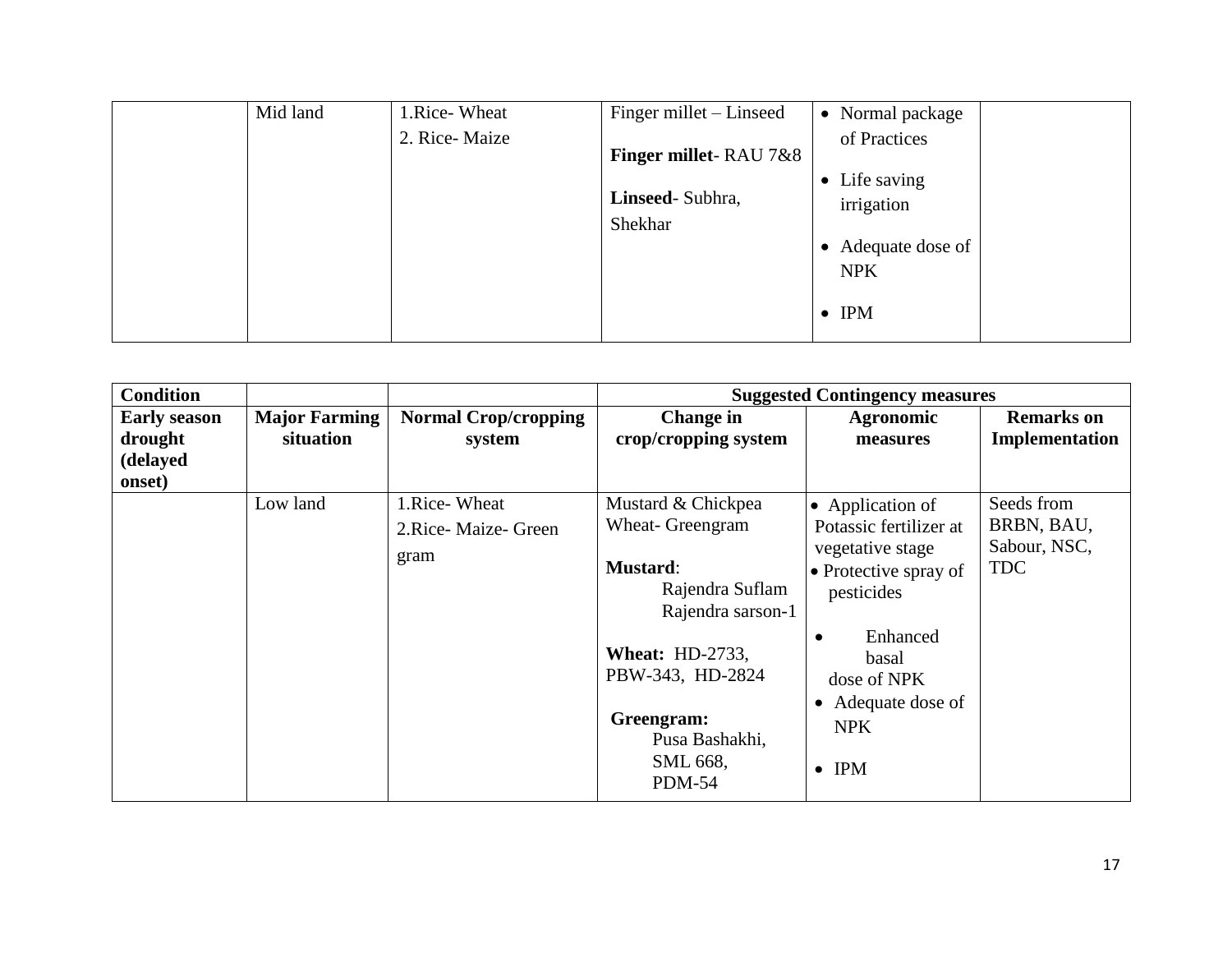| Mid land | 1.Rice-Wheat  | Finger millet – Linseed          | • Normal package                 |
|----------|---------------|----------------------------------|----------------------------------|
|          | 2. Rice-Maize | <b>Finger millet-RAU 7&amp;8</b> | of Practices                     |
|          |               |                                  | • Life saving                    |
|          |               | Linseed-Subhra,                  | irrigation                       |
|          |               | Shekhar                          |                                  |
|          |               |                                  | • Adequate dose of<br><b>NPK</b> |
|          |               |                                  |                                  |
|          |               |                                  | $\bullet$ IPM                    |
|          |               |                                  |                                  |

| <b>Condition</b>                                     |                                   |                                                    |                                                                                                                                                                                                              | <b>Suggested Contingency measures</b>                                                                                                                                                                       |                                                        |
|------------------------------------------------------|-----------------------------------|----------------------------------------------------|--------------------------------------------------------------------------------------------------------------------------------------------------------------------------------------------------------------|-------------------------------------------------------------------------------------------------------------------------------------------------------------------------------------------------------------|--------------------------------------------------------|
| <b>Early season</b><br>drought<br>(delayed<br>onset) | <b>Major Farming</b><br>situation | <b>Normal Crop/cropping</b><br>system              | <b>Change in</b><br>crop/cropping system                                                                                                                                                                     | Agronomic<br>measures                                                                                                                                                                                       | <b>Remarks</b> on<br>Implementation                    |
|                                                      | Low land                          | 1. Rice - Wheat<br>2. Rice - Maize - Green<br>gram | Mustard & Chickpea<br>Wheat- Greengram<br><b>Mustard:</b><br>Rajendra Suflam<br>Rajendra sarson-1<br><b>Wheat: HD-2733,</b><br>PBW-343, HD-2824<br>Greengram:<br>Pusa Bashakhi,<br>SML 668,<br><b>PDM-54</b> | • Application of<br>Potassic fertilizer at<br>vegetative stage<br>• Protective spray of<br>pesticides<br>Enhanced<br>$\bullet$<br>basal<br>dose of NPK<br>• Adequate dose of<br><b>NPK</b><br>$\bullet$ IPM | Seeds from<br>BRBN, BAU,<br>Sabour, NSC,<br><b>TDC</b> |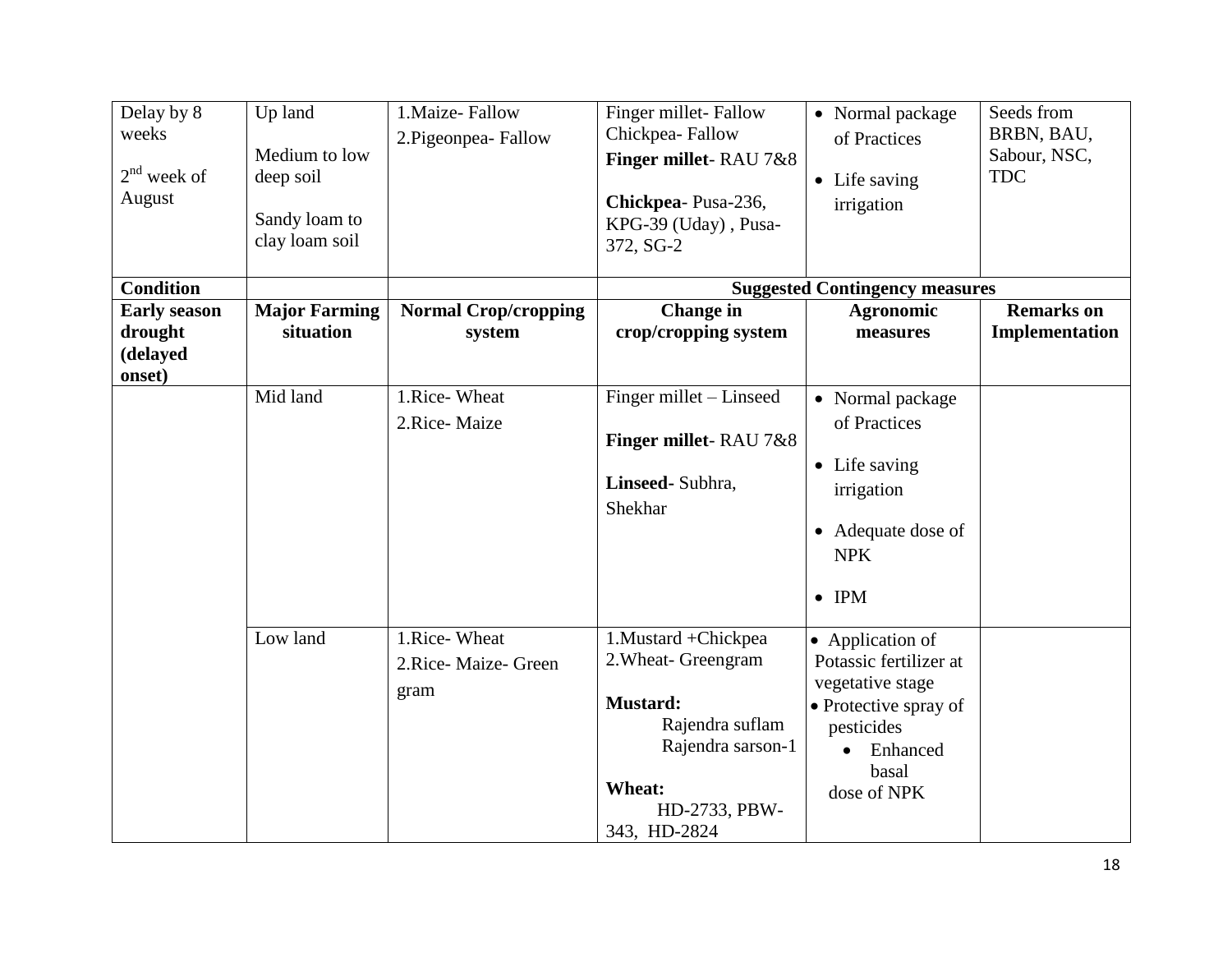| Delay by 8<br>weeks<br>$2nd$ week of<br>August       | Up land<br>Medium to low<br>deep soil<br>Sandy loam to<br>clay loam soil | 1. Maize-Fallow<br>2. Pigeonpea-Fallow       | Finger millet-Fallow<br>Chickpea-Fallow<br>Finger millet-RAU 7&8<br>Chickpea-Pusa-236,<br>KPG-39 (Uday), Pusa-<br>372, SG-2                        | • Normal package<br>of Practices<br>• Life saving<br>irrigation                                                                                        | Seeds from<br>BRBN, BAU,<br>Sabour, NSC,<br><b>TDC</b> |
|------------------------------------------------------|--------------------------------------------------------------------------|----------------------------------------------|----------------------------------------------------------------------------------------------------------------------------------------------------|--------------------------------------------------------------------------------------------------------------------------------------------------------|--------------------------------------------------------|
| <b>Condition</b>                                     |                                                                          |                                              |                                                                                                                                                    | <b>Suggested Contingency measures</b>                                                                                                                  |                                                        |
| <b>Early season</b><br>drought<br>(delayed<br>onset) | <b>Major Farming</b><br>situation                                        | <b>Normal Crop/cropping</b><br>system        | <b>Change</b> in<br>crop/cropping system                                                                                                           | <b>Agronomic</b><br>measures                                                                                                                           | <b>Remarks</b> on<br>Implementation                    |
|                                                      | Mid land                                                                 | 1.Rice-Wheat<br>2.Rice-Maize                 | Finger millet – Linseed<br>Finger millet-RAU 7&8<br>Linseed- Subhra,<br>Shekhar                                                                    | • Normal package<br>of Practices<br>• Life saving<br>irrigation<br>• Adequate dose of<br><b>NPK</b><br>$\bullet$ IPM                                   |                                                        |
|                                                      | Low land                                                                 | 1.Rice-Wheat<br>2. Rice-Maize- Green<br>gram | 1. Mustard + Chickpea<br>2. Wheat- Greengram<br><b>Mustard:</b><br>Rajendra suflam<br>Rajendra sarson-1<br>Wheat:<br>HD-2733, PBW-<br>343, HD-2824 | • Application of<br>Potassic fertilizer at<br>vegetative stage<br>• Protective spray of<br>pesticides<br>Enhanced<br>$\bullet$<br>basal<br>dose of NPK |                                                        |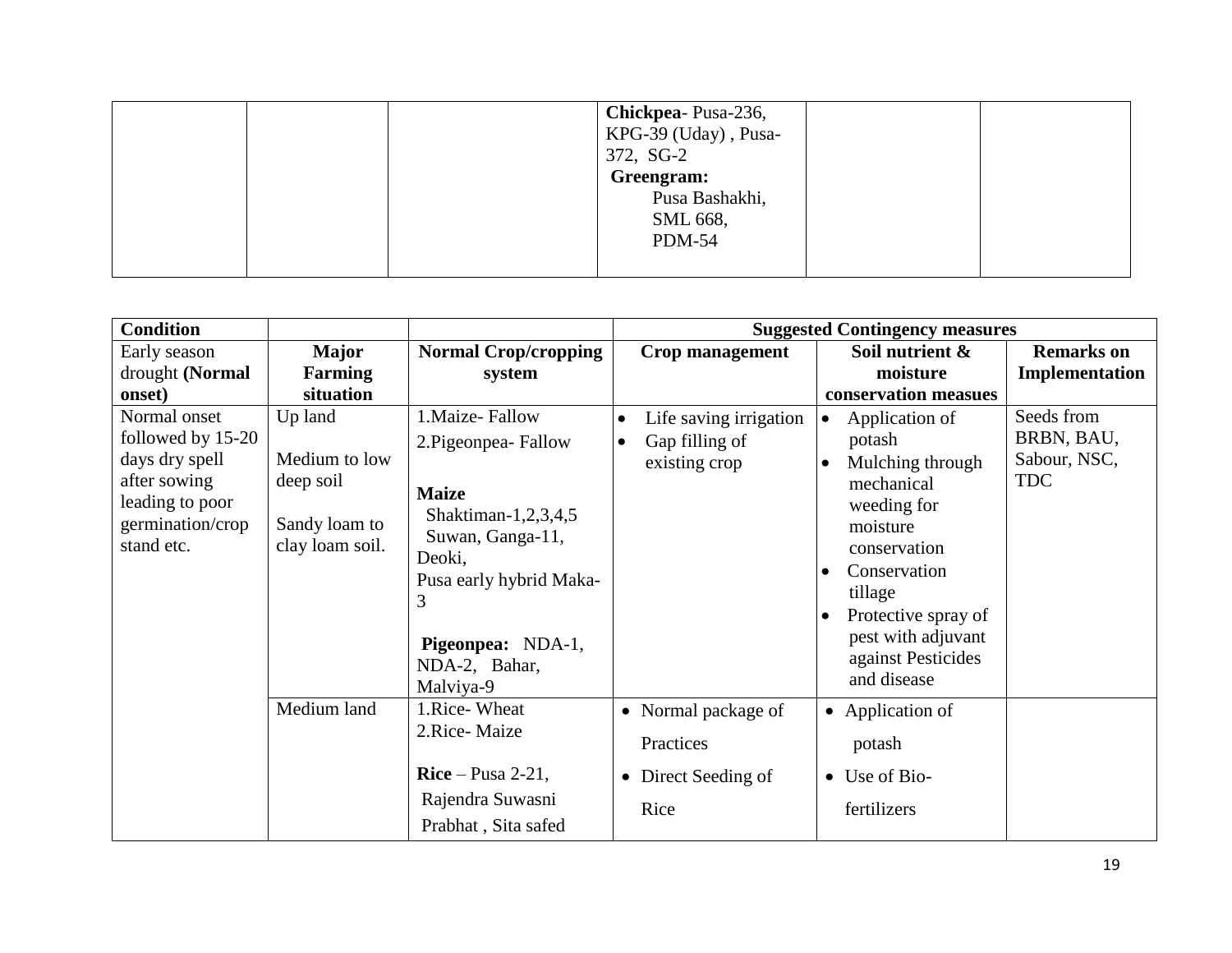|  | Chickpea-Pusa-236,<br>KPG-39 (Uday), Pusa-<br>372, SG-2 |  |
|--|---------------------------------------------------------|--|
|  | Greengram:<br>Pusa Bashakhi,                            |  |
|  | SML 668,<br><b>PDM-54</b>                               |  |

| <b>Normal Crop/cropping</b> | Crop management                                                                                                                                                                                                        | Soil nutrient &                          | <b>Remarks</b> on                                                                                                      |
|-----------------------------|------------------------------------------------------------------------------------------------------------------------------------------------------------------------------------------------------------------------|------------------------------------------|------------------------------------------------------------------------------------------------------------------------|
| system                      |                                                                                                                                                                                                                        |                                          | Implementation                                                                                                         |
|                             |                                                                                                                                                                                                                        |                                          |                                                                                                                        |
| 1. Maize-Fallow             | Life saving irrigation<br>$\bullet$                                                                                                                                                                                    | Application of<br>$\bullet$              | Seeds from                                                                                                             |
|                             | Gap filling of<br>$\bullet$                                                                                                                                                                                            | potash                                   | BRBN, BAU,                                                                                                             |
|                             | existing crop                                                                                                                                                                                                          | Mulching through                         | Sabour, NSC,                                                                                                           |
|                             |                                                                                                                                                                                                                        | mechanical                               | <b>TDC</b>                                                                                                             |
|                             |                                                                                                                                                                                                                        | weeding for                              |                                                                                                                        |
|                             |                                                                                                                                                                                                                        | moisture                                 |                                                                                                                        |
|                             |                                                                                                                                                                                                                        | conservation                             |                                                                                                                        |
|                             |                                                                                                                                                                                                                        | Conservation<br>$\bullet$                |                                                                                                                        |
|                             |                                                                                                                                                                                                                        | tillage                                  |                                                                                                                        |
|                             |                                                                                                                                                                                                                        | Protective spray of                      |                                                                                                                        |
|                             |                                                                                                                                                                                                                        | pest with adjuvant                       |                                                                                                                        |
|                             |                                                                                                                                                                                                                        | against Pesticides                       |                                                                                                                        |
|                             |                                                                                                                                                                                                                        | and disease                              |                                                                                                                        |
| 1.Rice-Wheat                |                                                                                                                                                                                                                        |                                          |                                                                                                                        |
| 2.Rice-Maize                |                                                                                                                                                                                                                        |                                          |                                                                                                                        |
|                             |                                                                                                                                                                                                                        |                                          |                                                                                                                        |
| $Rice-Pusa 2-21$ ,          | • Direct Seeding of                                                                                                                                                                                                    | Use of Bio-<br>$\bullet$                 |                                                                                                                        |
|                             |                                                                                                                                                                                                                        |                                          |                                                                                                                        |
|                             |                                                                                                                                                                                                                        |                                          |                                                                                                                        |
|                             | 2. Pigeonpea-Fallow<br><b>Maize</b><br>Shaktiman-1,2,3,4,5<br>Suwan, Ganga-11,<br>Deoki,<br>Pusa early hybrid Maka-<br>3<br>Pigeonpea: NDA-1,<br>NDA-2, Bahar,<br>Malviya-9<br>Rajendra Suwasni<br>Prabhat, Sita safed | • Normal package of<br>Practices<br>Rice | <b>Suggested Contingency measures</b><br>moisture<br>conservation measues<br>• Application of<br>potash<br>fertilizers |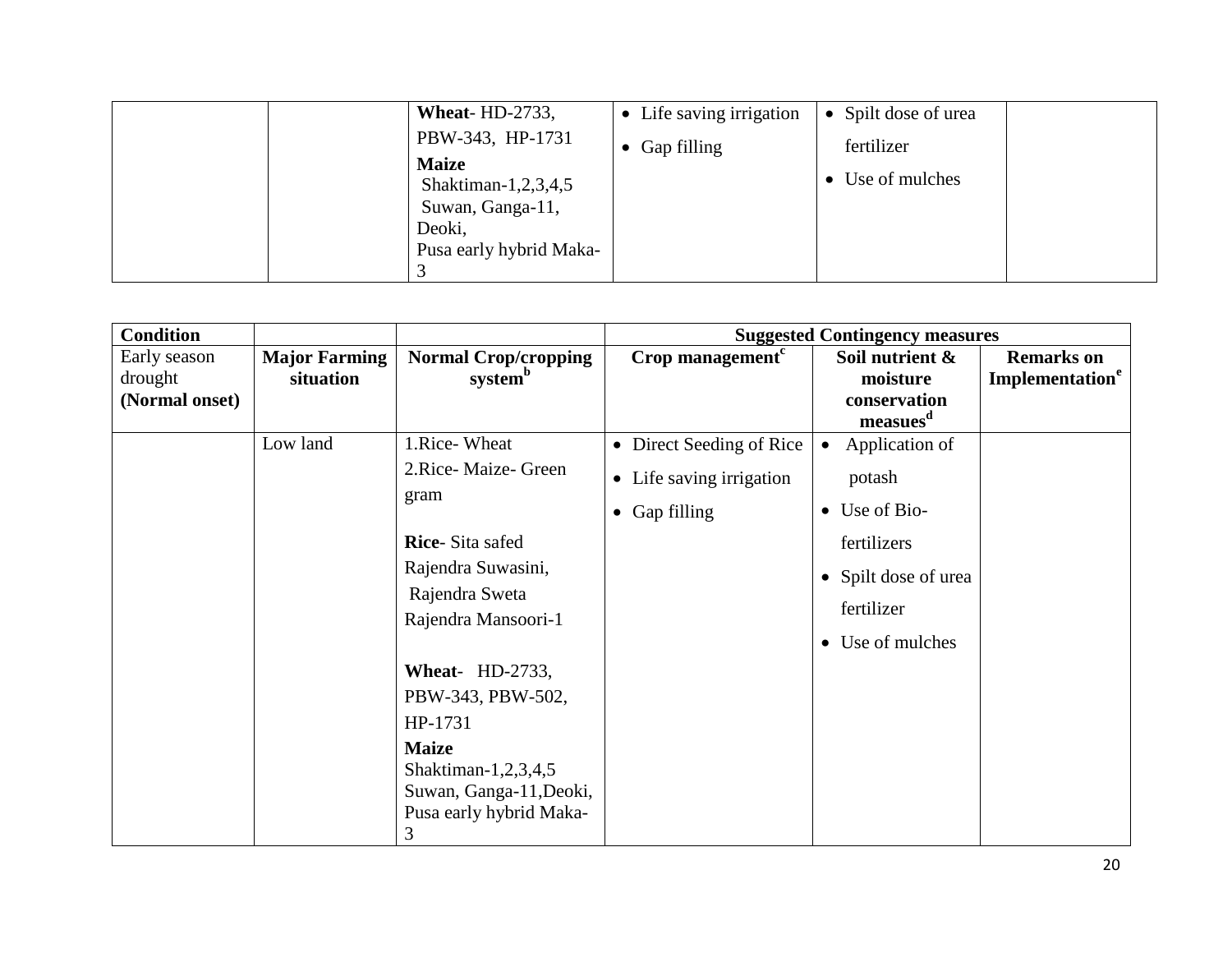| Wheat- $HD-2733$ ,                                                                           | • Life saving irrigation | Spilt dose of urea |
|----------------------------------------------------------------------------------------------|--------------------------|--------------------|
| PBW-343, HP-1731                                                                             | $\bullet$ Gap filling    | fertilizer         |
| <b>Maize</b><br>Shaktiman-1,2,3,4,5<br>Suwan, Ganga-11,<br>Deoki,<br>Pusa early hybrid Maka- |                          | • Use of mulches   |

| <b>Condition</b>                          |                                   |                                                                                                                                                                                                                                                                                            |                                                                               | <b>Suggested Contingency measures</b>                                                                                                   |                                                  |
|-------------------------------------------|-----------------------------------|--------------------------------------------------------------------------------------------------------------------------------------------------------------------------------------------------------------------------------------------------------------------------------------------|-------------------------------------------------------------------------------|-----------------------------------------------------------------------------------------------------------------------------------------|--------------------------------------------------|
| Early season<br>drought<br>(Normal onset) | <b>Major Farming</b><br>situation | <b>Normal Crop/cropping</b><br>system <sup>b</sup>                                                                                                                                                                                                                                         | Crop management <sup>c</sup>                                                  | Soil nutrient &<br>moisture<br>conservation<br>measues <sup>d</sup>                                                                     | <b>Remarks</b> on<br>Implementation <sup>e</sup> |
|                                           | Low land                          | 1.Rice-Wheat<br>2.Rice-Maize-Green<br>gram<br><b>Rice-Sita safed</b><br>Rajendra Suwasini,<br>Rajendra Sweta<br>Rajendra Mansoori-1<br><b>Wheat-</b> HD-2733,<br>PBW-343, PBW-502,<br>HP-1731<br><b>Maize</b><br>Shaktiman-1,2,3,4,5<br>Suwan, Ganga-11, Deoki,<br>Pusa early hybrid Maka- | • Direct Seeding of Rice<br>• Life saving irrigation<br>$\bullet$ Gap filling | Application of<br>$\bullet$<br>potash<br>$\bullet$ Use of Bio-<br>fertilizers<br>• Spilt dose of urea<br>fertilizer<br>• Use of mulches |                                                  |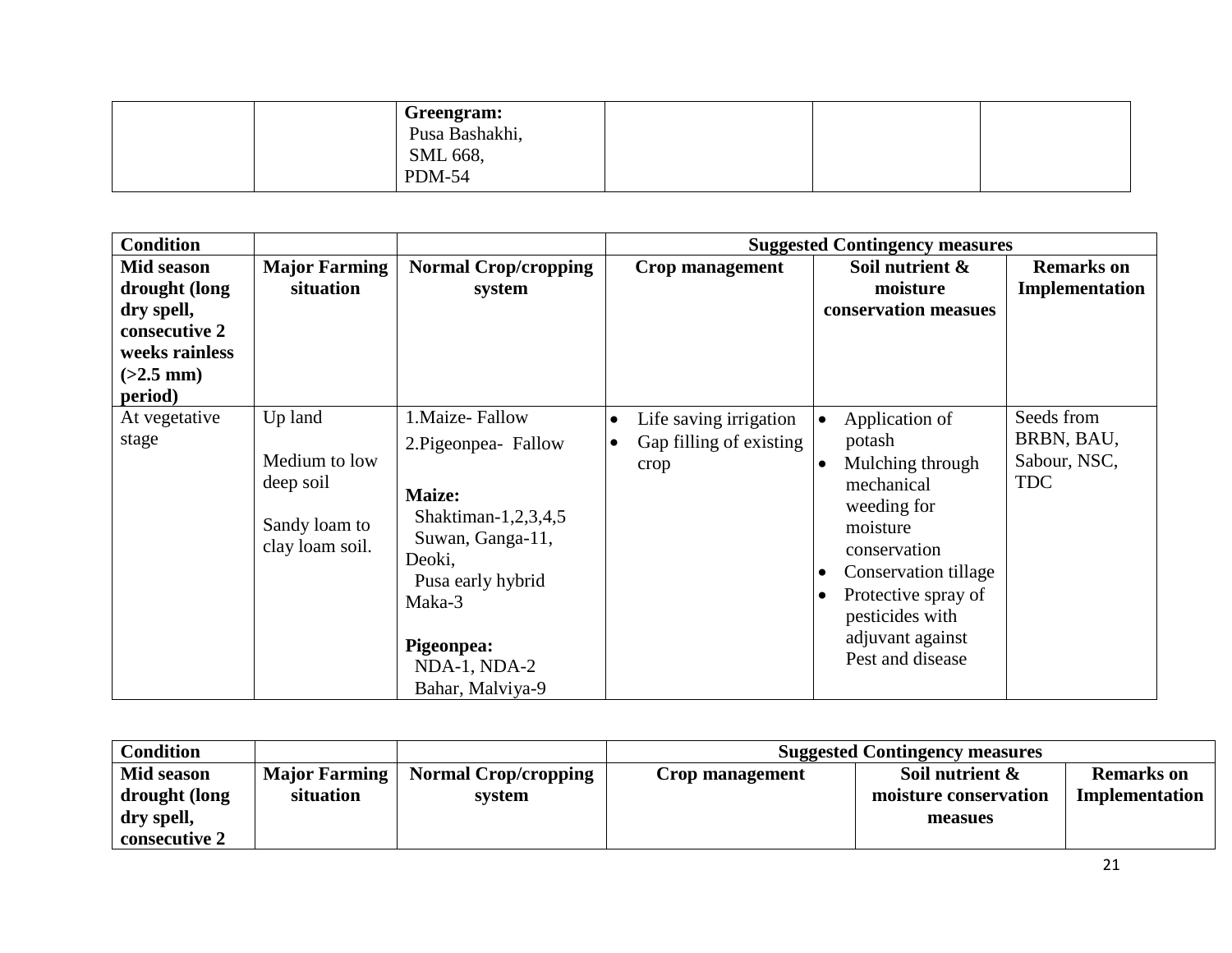| Greengram:<br>Pusa Bashakhi, |  |  |
|------------------------------|--|--|
| SML 668,<br><b>PDM-54</b>    |  |  |

| <b>Condition</b>                                                                                       |                                                                           |                                                                                                                                                                                          | <b>Suggested Contingency measures</b>                                  |                                                                                                                                                                                                                                                         |                                                        |  |  |
|--------------------------------------------------------------------------------------------------------|---------------------------------------------------------------------------|------------------------------------------------------------------------------------------------------------------------------------------------------------------------------------------|------------------------------------------------------------------------|---------------------------------------------------------------------------------------------------------------------------------------------------------------------------------------------------------------------------------------------------------|--------------------------------------------------------|--|--|
| Mid season<br>drought (long<br>dry spell,<br>consecutive 2<br>weeks rainless<br>$(>2.5$ mm)<br>period) | <b>Major Farming</b><br>situation                                         | <b>Normal Crop/cropping</b><br>system                                                                                                                                                    | <b>Crop management</b>                                                 | Soil nutrient &<br>moisture<br>conservation measues                                                                                                                                                                                                     | <b>Remarks</b> on<br>Implementation                    |  |  |
| At vegetative<br>stage                                                                                 | Up land<br>Medium to low<br>deep soil<br>Sandy loam to<br>clay loam soil. | 1. Maize-Fallow<br>2. Pigeonpea - Fallow<br>Maize:<br>Shaktiman-1,2,3,4,5<br>Suwan, Ganga-11,<br>Deoki,<br>Pusa early hybrid<br>Maka-3<br>Pigeonpea:<br>NDA-1, NDA-2<br>Bahar, Malviya-9 | Life saving irrigation<br>Gap filling of existing<br>$\bullet$<br>crop | Application of<br>ه ا<br>potash<br>Mulching through<br>l e<br>mechanical<br>weeding for<br>moisture<br>conservation<br>Conservation tillage<br>$\bullet$<br>Protective spray of<br>$\bullet$<br>pesticides with<br>adjuvant against<br>Pest and disease | Seeds from<br>BRBN, BAU,<br>Sabour, NSC,<br><b>TDC</b> |  |  |

| <b>Condition</b> |                      |                             | <b>Suggested Contingency measures</b> |                       |                   |  |
|------------------|----------------------|-----------------------------|---------------------------------------|-----------------------|-------------------|--|
| Mid season       | <b>Major Farming</b> | <b>Normal Crop/cropping</b> | Crop management                       | Soil nutrient $\&$    | <b>Remarks</b> on |  |
| drought (long    | situation            | system                      |                                       | moisture conservation | Implementation    |  |
| dry spell,       |                      |                             |                                       | measues               |                   |  |
| consecutive 2    |                      |                             |                                       |                       |                   |  |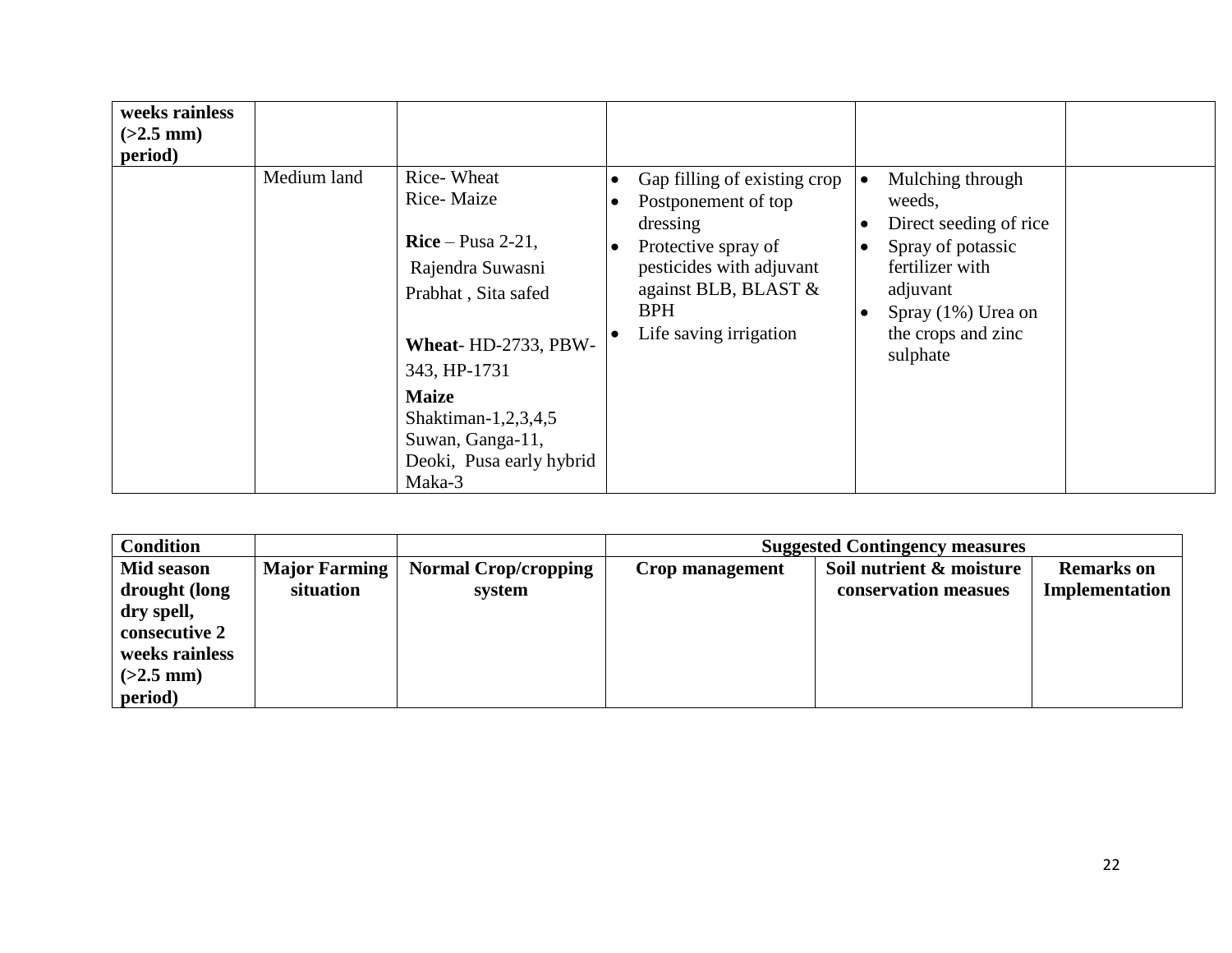| weeks rainless<br>$(>2.5$ mm)<br>period) |             |                                                                                                                                                                                                                                   |                                                                                                                                                                                                                           |                                                                                                                                                                                  |  |
|------------------------------------------|-------------|-----------------------------------------------------------------------------------------------------------------------------------------------------------------------------------------------------------------------------------|---------------------------------------------------------------------------------------------------------------------------------------------------------------------------------------------------------------------------|----------------------------------------------------------------------------------------------------------------------------------------------------------------------------------|--|
|                                          | Medium land | Rice-Wheat<br>Rice-Maize<br>$Rice-Pusa 2-21$ ,<br>Rajendra Suwasni<br>Prabhat, Sita safed<br>Wheat-HD-2733, PBW-<br>343, HP-1731<br><b>Maize</b><br>Shaktiman-1,2,3,4,5<br>Suwan, Ganga-11,<br>Deoki, Pusa early hybrid<br>Maka-3 | Gap filling of existing crop<br>$\bullet$<br>Postponement of top<br>$\bullet$<br>dressing<br>Protective spray of<br>$\bullet$<br>pesticides with adjuvant<br>against BLB, BLAST &<br><b>BPH</b><br>Life saving irrigation | Mulching through<br>weeds,<br>Direct seeding of rice<br>Spray of potassic<br>$\bullet$<br>fertilizer with<br>adjuvant<br>Spray $(1\%)$ Urea on<br>the crops and zinc<br>sulphate |  |

| <b>Condition</b>                                                        |                                   |                                       | <b>Suggested Contingency measures</b> |                                                  |                                     |  |  |
|-------------------------------------------------------------------------|-----------------------------------|---------------------------------------|---------------------------------------|--------------------------------------------------|-------------------------------------|--|--|
| Mid season<br>drought (long                                             | <b>Major Farming</b><br>situation | <b>Normal Crop/cropping</b><br>system | Crop management                       | Soil nutrient & moisture<br>conservation measues | <b>Remarks</b> on<br>Implementation |  |  |
| dry spell,<br>consecutive 2<br>weeks rainless<br>$(>2.5$ mm)<br>period) |                                   |                                       |                                       |                                                  |                                     |  |  |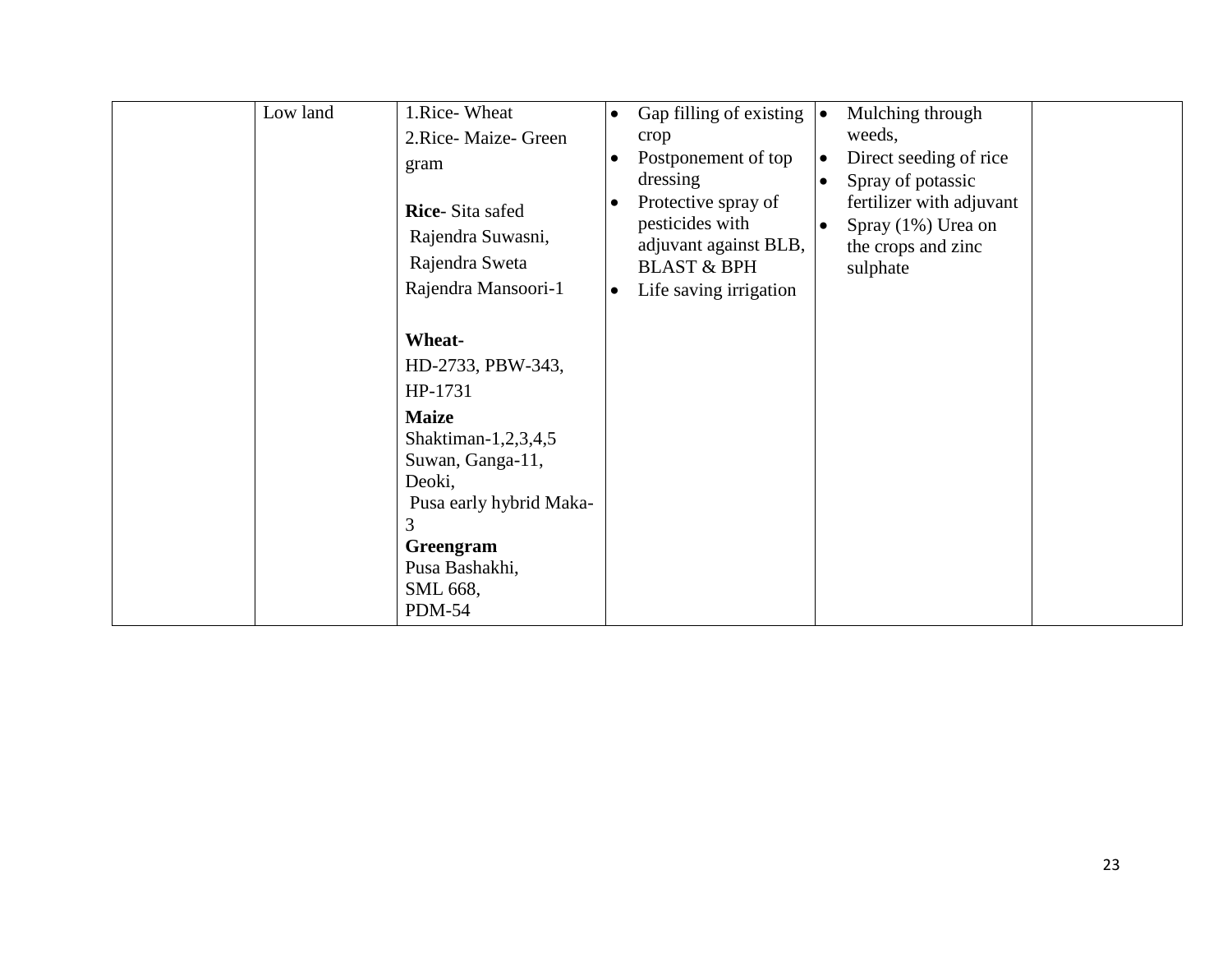| Low land | 1.Rice-Wheat<br>2.Rice-Maize-Green<br>gram<br><b>Rice-Sita safed</b><br>Rajendra Suwasni,<br>Rajendra Sweta<br>Rajendra Mansoori-1<br>Wheat-<br>HD-2733, PBW-343,<br>HP-1731<br><b>Maize</b><br>Shaktiman-1,2,3,4,5<br>Suwan, Ganga-11,<br>Deoki,<br>Pusa early hybrid Maka-<br>3<br>Greengram<br>Pusa Bashakhi, | $\bullet$<br>$\bullet$ | Gap filling of existing $\vert \bullet \vert$<br>crop<br>Postponement of top<br>dressing<br>Protective spray of<br>pesticides with<br>adjuvant against BLB,<br><b>BLAST &amp; BPH</b><br>Life saving irrigation | $\bullet$<br>$\bullet$ | Mulching through<br>weeds,<br>Direct seeding of rice<br>Spray of potassic<br>fertilizer with adjuvant<br>Spray (1%) Urea on<br>the crops and zinc<br>sulphate |  |
|----------|------------------------------------------------------------------------------------------------------------------------------------------------------------------------------------------------------------------------------------------------------------------------------------------------------------------|------------------------|-----------------------------------------------------------------------------------------------------------------------------------------------------------------------------------------------------------------|------------------------|---------------------------------------------------------------------------------------------------------------------------------------------------------------|--|
|          | SML 668,<br><b>PDM-54</b>                                                                                                                                                                                                                                                                                        |                        |                                                                                                                                                                                                                 |                        |                                                                                                                                                               |  |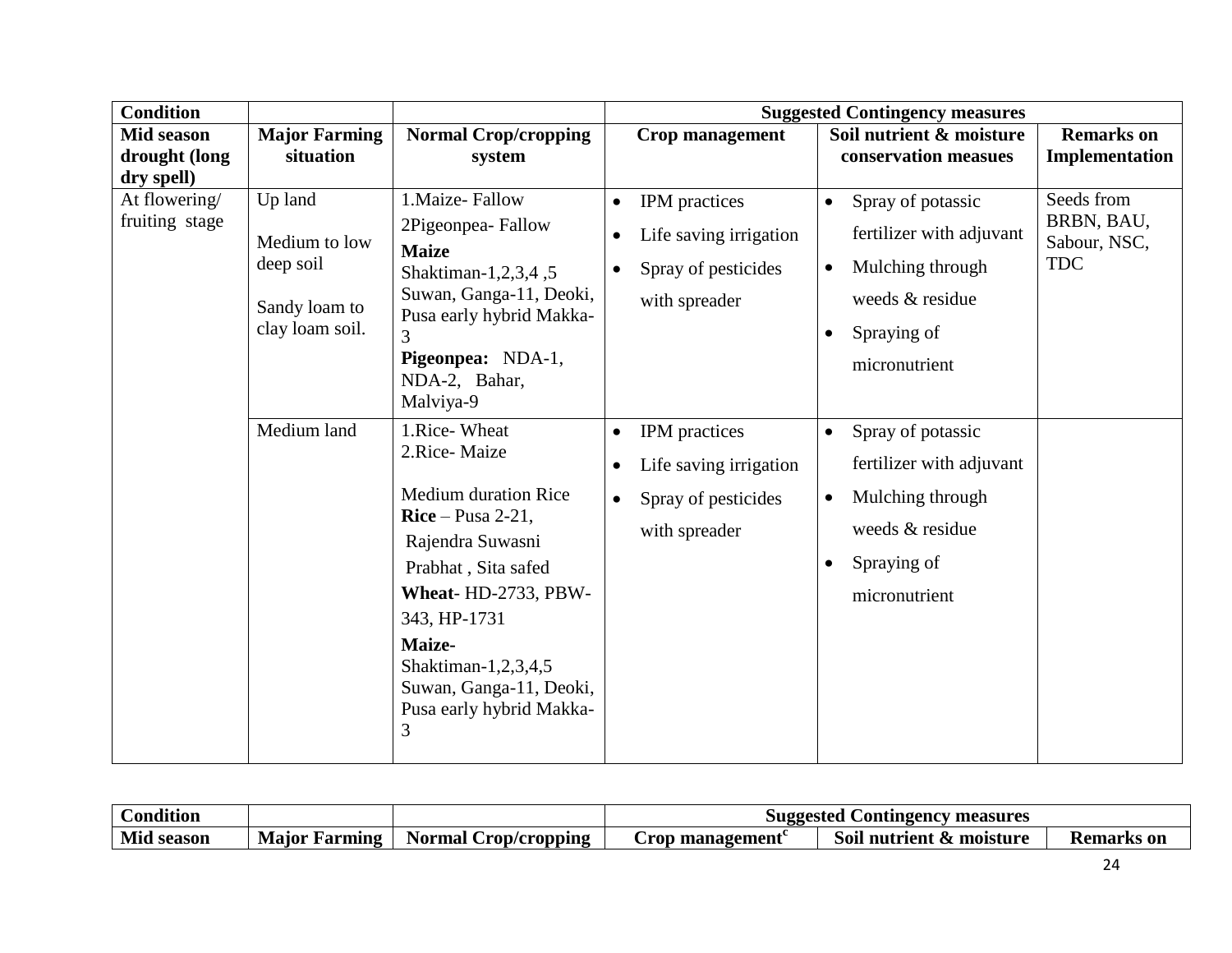| <b>Condition</b>                                 |                                                                           |                                                                                                                                                                                                                                                                  | <b>Suggested Contingency measures</b> |                                                                                 |                                     |                                                                                                                      |                                                        |
|--------------------------------------------------|---------------------------------------------------------------------------|------------------------------------------------------------------------------------------------------------------------------------------------------------------------------------------------------------------------------------------------------------------|---------------------------------------|---------------------------------------------------------------------------------|-------------------------------------|----------------------------------------------------------------------------------------------------------------------|--------------------------------------------------------|
| <b>Mid season</b><br>drought (long<br>dry spell) | <b>Major Farming</b><br>situation                                         | <b>Normal Crop/cropping</b><br>system                                                                                                                                                                                                                            |                                       | Crop management                                                                 |                                     | Soil nutrient & moisture<br>conservation measues                                                                     | <b>Remarks</b> on<br>Implementation                    |
| At flowering/<br>fruiting stage                  | Up land<br>Medium to low<br>deep soil<br>Sandy loam to<br>clay loam soil. | 1. Maize-Fallow<br>2Pigeonpea-Fallow<br><b>Maize</b><br>Shaktiman-1,2,3,4,5<br>Suwan, Ganga-11, Deoki,<br>Pusa early hybrid Makka-<br>3<br>Pigeonpea: NDA-1,<br>NDA-2, Bahar,<br>Malviya-9                                                                       | $\bullet$<br>$\bullet$<br>$\bullet$   | IPM practices<br>Life saving irrigation<br>Spray of pesticides<br>with spreader | $\bullet$<br>$\bullet$<br>$\bullet$ | Spray of potassic<br>fertilizer with adjuvant<br>Mulching through<br>weeds & residue<br>Spraying of<br>micronutrient | Seeds from<br>BRBN, BAU,<br>Sabour, NSC,<br><b>TDC</b> |
|                                                  | Medium land                                                               | 1.Rice-Wheat<br>2.Rice-Maize<br><b>Medium duration Rice</b><br>$Rice-Pusa 2-21$ ,<br>Rajendra Suwasni<br>Prabhat, Sita safed<br>Wheat-HD-2733, PBW-<br>343, HP-1731<br>Maize-<br>Shaktiman-1,2,3,4,5<br>Suwan, Ganga-11, Deoki,<br>Pusa early hybrid Makka-<br>3 | $\bullet$<br>٠                        | IPM practices<br>Life saving irrigation<br>Spray of pesticides<br>with spreader | $\bullet$<br>$\bullet$<br>$\bullet$ | Spray of potassic<br>fertilizer with adjuvant<br>Mulching through<br>weeds & residue<br>Spraying of<br>micronutrient |                                                        |

| .<br>Condition |                  |                                  | l Contingency measures<br>Suggested |                          |            |
|----------------|------------------|----------------------------------|-------------------------------------|--------------------------|------------|
| Mid<br>season  | Major<br>Farmıng | Normal <b>N</b><br>Crop/cropping | Crop management                     | Soil nutrient & moisture | Remarks on |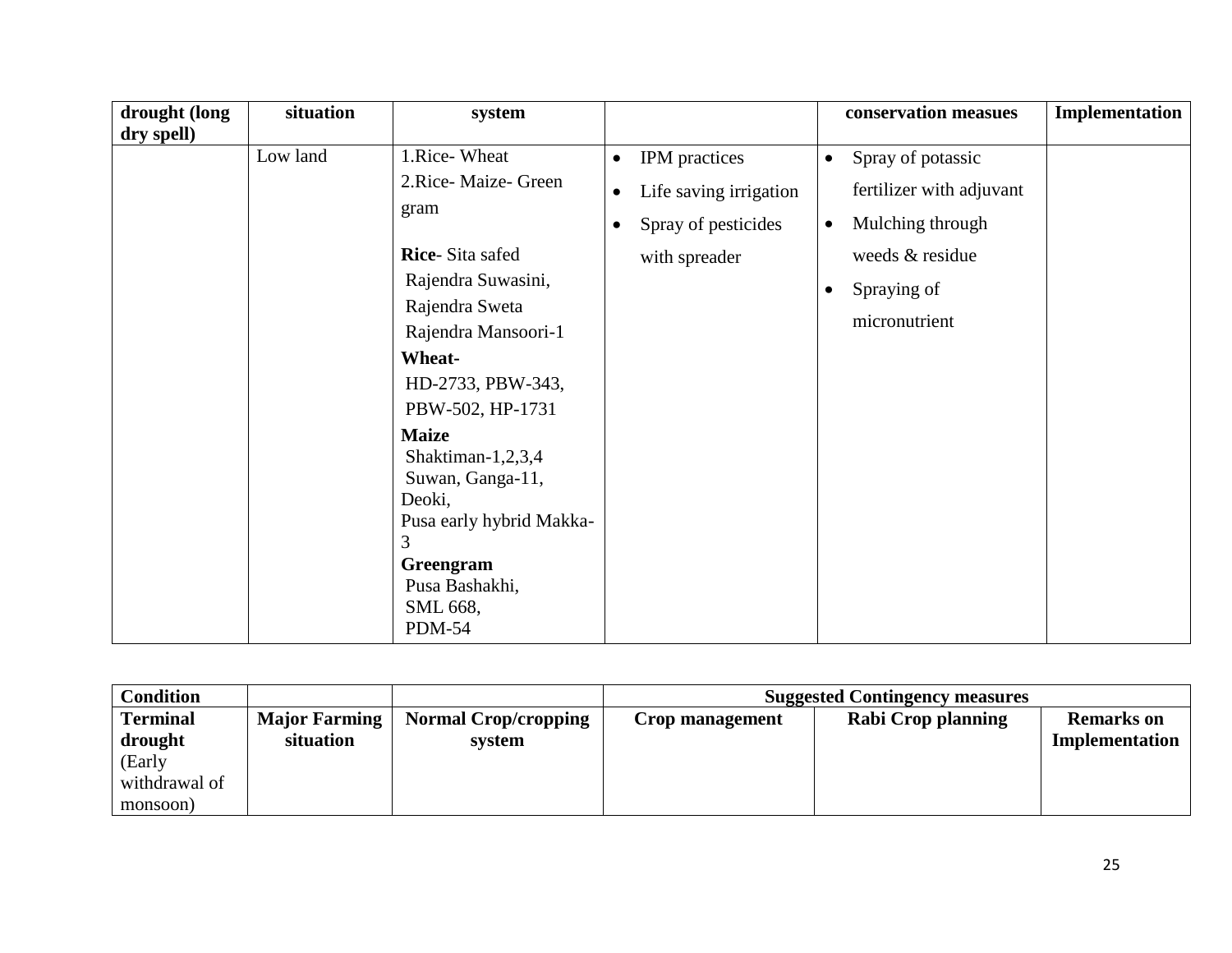| drought (long | situation | system                                                                                                                                                                                                                                                                                                                                           |                                                                                                                        | conservation measues                                                                                                                                        | Implementation |
|---------------|-----------|--------------------------------------------------------------------------------------------------------------------------------------------------------------------------------------------------------------------------------------------------------------------------------------------------------------------------------------------------|------------------------------------------------------------------------------------------------------------------------|-------------------------------------------------------------------------------------------------------------------------------------------------------------|----------------|
| dry spell)    | Low land  | 1.Rice-Wheat<br>2.Rice-Maize- Green<br>gram<br>Rice-Sita safed<br>Rajendra Suwasini,<br>Rajendra Sweta<br>Rajendra Mansoori-1<br>Wheat-<br>HD-2733, PBW-343,<br>PBW-502, HP-1731<br><b>Maize</b><br>Shaktiman-1,2,3,4<br>Suwan, Ganga-11,<br>Deoki,<br>Pusa early hybrid Makka-<br>3<br>Greengram<br>Pusa Bashakhi,<br>SML 668,<br><b>PDM-54</b> | IPM practices<br>$\bullet$<br>Life saving irrigation<br>$\bullet$<br>Spray of pesticides<br>$\bullet$<br>with spreader | Spray of potassic<br>$\bullet$<br>fertilizer with adjuvant<br>Mulching through<br>$\bullet$<br>weeds & residue<br>Spraying of<br>$\bullet$<br>micronutrient |                |

| <b>Condition</b> |                      |                             | <b>Suggested Contingency measures</b> |                    |                   |
|------------------|----------------------|-----------------------------|---------------------------------------|--------------------|-------------------|
| <b>Terminal</b>  | <b>Major Farming</b> | <b>Normal Crop/cropping</b> | Crop management                       | Rabi Crop planning | <b>Remarks</b> on |
| drought          | situation            | system                      |                                       |                    | Implementation    |
| (Early           |                      |                             |                                       |                    |                   |
| withdrawal of    |                      |                             |                                       |                    |                   |
| monsoon)         |                      |                             |                                       |                    |                   |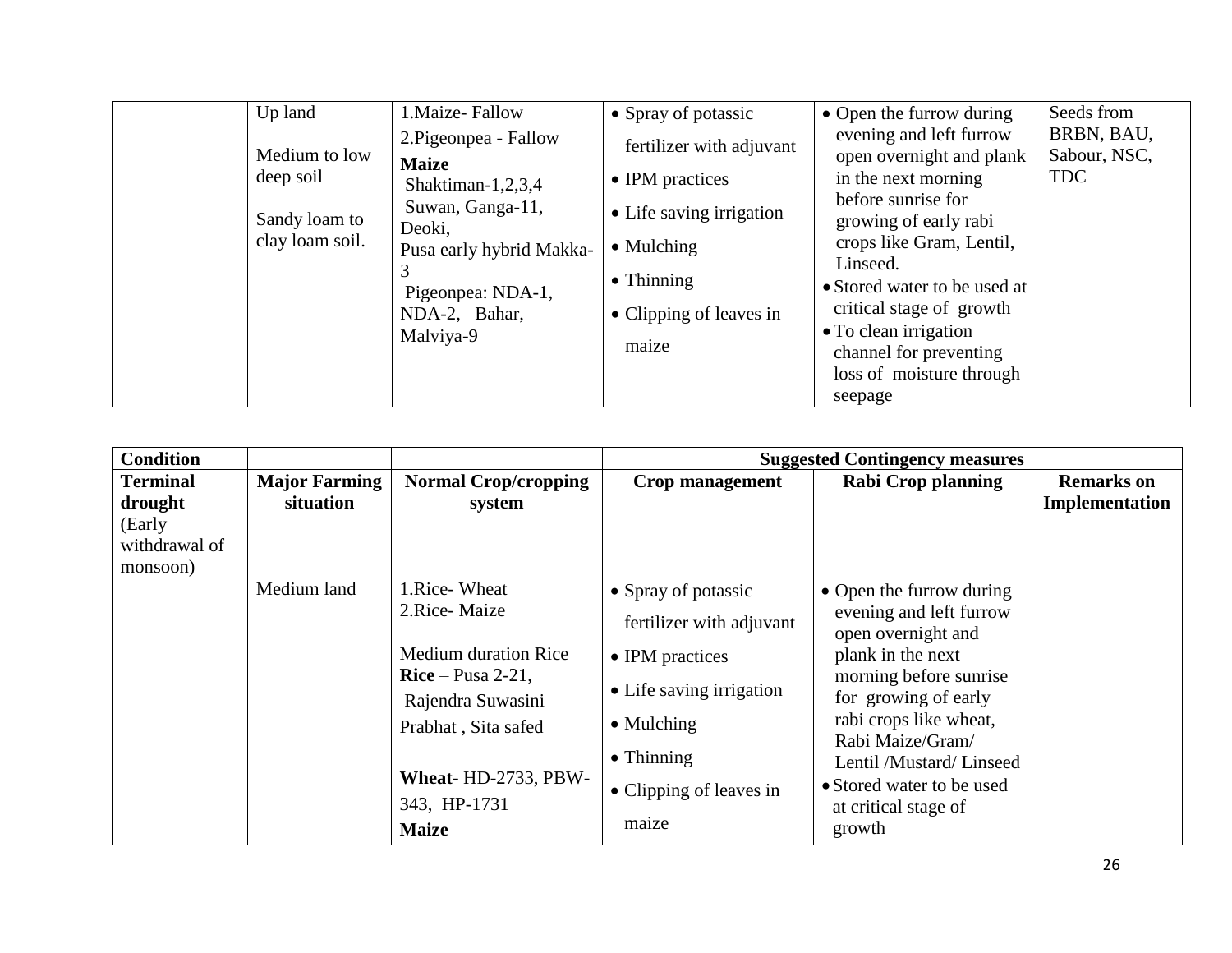| Up land                                                        | 1. Maize-Fallow                                                                                                                                                         | • Spray of potassic                                                                                                                                     | • Open the furrow during                                                                                                                                                                                                                                                                                                | Seeds from                               |
|----------------------------------------------------------------|-------------------------------------------------------------------------------------------------------------------------------------------------------------------------|---------------------------------------------------------------------------------------------------------------------------------------------------------|-------------------------------------------------------------------------------------------------------------------------------------------------------------------------------------------------------------------------------------------------------------------------------------------------------------------------|------------------------------------------|
| Medium to low<br>deep soil<br>Sandy loam to<br>clay loam soil. | 2. Pigeonpea - Fallow<br><b>Maize</b><br>Shaktiman-1,2,3,4<br>Suwan, Ganga-11,<br>Deoki,<br>Pusa early hybrid Makka-<br>Pigeonpea: NDA-1,<br>NDA-2, Bahar,<br>Malviya-9 | fertilizer with adjuvant<br>• IPM practices<br>• Life saving irrigation<br>$\bullet$ Mulching<br>$\bullet$ Thinning<br>• Clipping of leaves in<br>maize | evening and left furrow<br>open overnight and plank<br>in the next morning<br>before sunrise for<br>growing of early rabi<br>crops like Gram, Lentil,<br>Linseed.<br>• Stored water to be used at<br>critical stage of growth<br>• To clean irrigation<br>channel for preventing<br>loss of moisture through<br>seepage | BRBN, BAU,<br>Sabour, NSC,<br><b>TDC</b> |

| <b>Condition</b>                                                  |                                   |                                                                                                                                                                                      |                                                                                                                                                                                | <b>Suggested Contingency measures</b>                                                                                                                                                                                                                                                     |                                     |
|-------------------------------------------------------------------|-----------------------------------|--------------------------------------------------------------------------------------------------------------------------------------------------------------------------------------|--------------------------------------------------------------------------------------------------------------------------------------------------------------------------------|-------------------------------------------------------------------------------------------------------------------------------------------------------------------------------------------------------------------------------------------------------------------------------------------|-------------------------------------|
| <b>Terminal</b><br>drought<br>(Early<br>withdrawal of<br>monsoon) | <b>Major Farming</b><br>situation | <b>Normal Crop/cropping</b><br>system                                                                                                                                                | <b>Crop management</b>                                                                                                                                                         | <b>Rabi Crop planning</b>                                                                                                                                                                                                                                                                 | <b>Remarks</b> on<br>Implementation |
|                                                                   | Medium land                       | 1.Rice-Wheat<br>2.Rice-Maize<br><b>Medium duration Rice</b><br>$Rice-Pusa 2-21$ ,<br>Rajendra Suwasini<br>Prabhat, Sita safed<br>Wheat-HD-2733, PBW-<br>343, HP-1731<br><b>Maize</b> | • Spray of potassic<br>fertilizer with adjuvant<br>• IPM practices<br>• Life saving irrigation<br>$\bullet$ Mulching<br>$\bullet$ Thinning<br>• Clipping of leaves in<br>maize | • Open the furrow during<br>evening and left furrow<br>open overnight and<br>plank in the next<br>morning before sunrise<br>for growing of early<br>rabi crops like wheat,<br>Rabi Maize/Gram/<br>Lentil /Mustard/ Linseed<br>• Stored water to be used<br>at critical stage of<br>growth |                                     |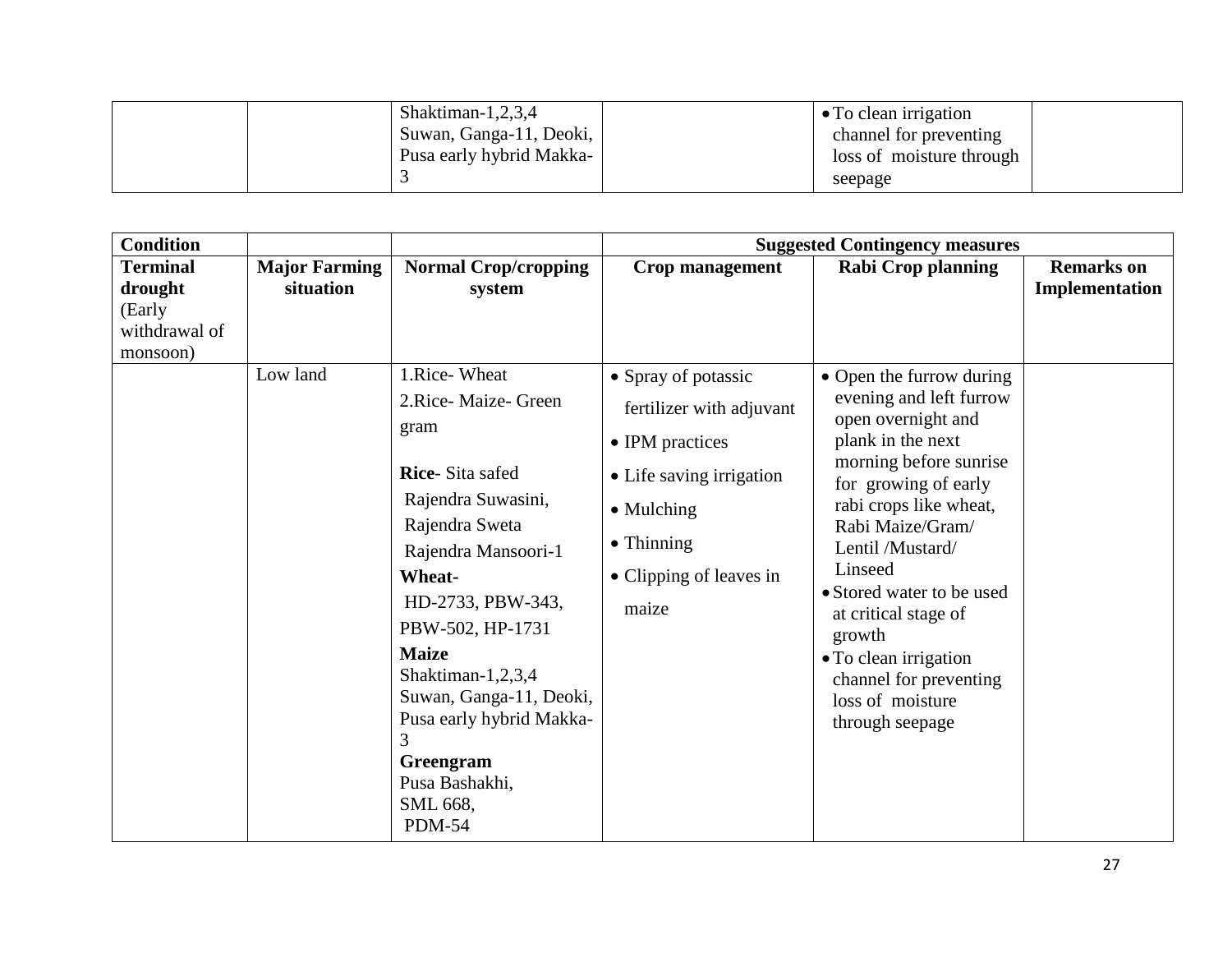|  | Shaktiman-1,2,3,4<br>Suwan, Ganga-11, Deoki, | $\bullet$ To clean irrigation<br>channel for preventing |  |
|--|----------------------------------------------|---------------------------------------------------------|--|
|  | Pusa early hybrid Makka-                     | loss of moisture through<br>seepage                     |  |

| <b>Condition</b>                                                  |                                   |                                                                                                                                                                                                                                                                                                                                                             |                                                                                                                                                                                | <b>Suggested Contingency measures</b>                                                                                                                                                                                                                                                                                                                                                  |                                     |
|-------------------------------------------------------------------|-----------------------------------|-------------------------------------------------------------------------------------------------------------------------------------------------------------------------------------------------------------------------------------------------------------------------------------------------------------------------------------------------------------|--------------------------------------------------------------------------------------------------------------------------------------------------------------------------------|----------------------------------------------------------------------------------------------------------------------------------------------------------------------------------------------------------------------------------------------------------------------------------------------------------------------------------------------------------------------------------------|-------------------------------------|
| <b>Terminal</b><br>drought<br>(Early<br>withdrawal of<br>monsoon) | <b>Major Farming</b><br>situation | <b>Normal Crop/cropping</b><br>system                                                                                                                                                                                                                                                                                                                       | Crop management                                                                                                                                                                | <b>Rabi Crop planning</b>                                                                                                                                                                                                                                                                                                                                                              | <b>Remarks</b> on<br>Implementation |
|                                                                   | Low land                          | 1.Rice-Wheat<br>2.Rice-Maize- Green<br>gram<br><b>Rice-Sita safed</b><br>Rajendra Suwasini,<br>Rajendra Sweta<br>Rajendra Mansoori-1<br><b>Wheat-</b><br>HD-2733, PBW-343,<br>PBW-502, HP-1731<br><b>Maize</b><br>Shaktiman-1,2,3,4<br>Suwan, Ganga-11, Deoki,<br>Pusa early hybrid Makka-<br>3<br>Greengram<br>Pusa Bashakhi,<br>SML 668,<br><b>PDM-54</b> | • Spray of potassic<br>fertilizer with adjuvant<br>• IPM practices<br>• Life saving irrigation<br>$\bullet$ Mulching<br>$\bullet$ Thinning<br>• Clipping of leaves in<br>maize | • Open the furrow during<br>evening and left furrow<br>open overnight and<br>plank in the next<br>morning before sunrise<br>for growing of early<br>rabi crops like wheat,<br>Rabi Maize/Gram/<br>Lentil /Mustard/<br>Linseed<br>• Stored water to be used<br>at critical stage of<br>growth<br>• To clean irrigation<br>channel for preventing<br>loss of moisture<br>through seepage |                                     |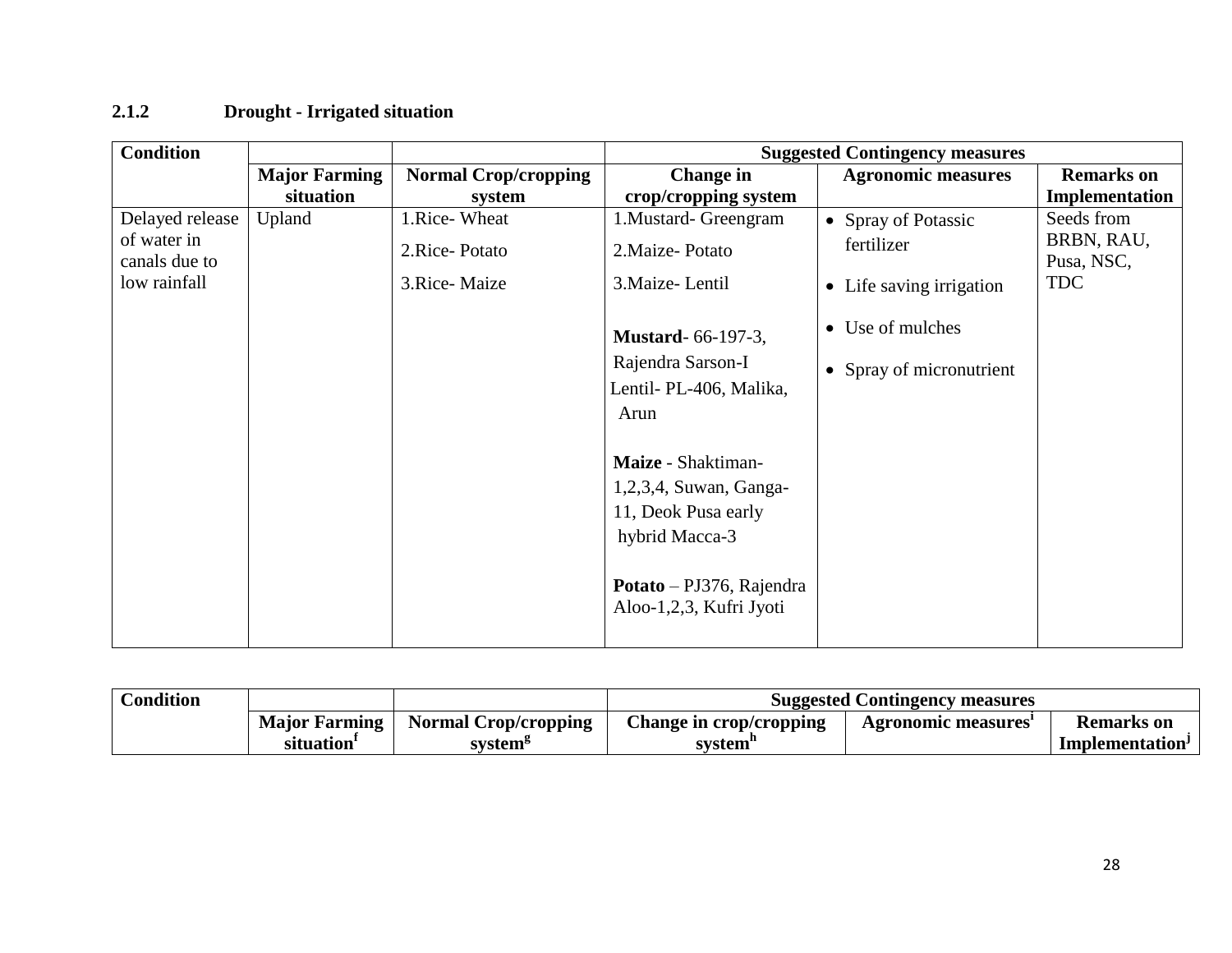## **2.1.2 Drought - Irrigated situation**

| <b>Condition</b>             |                      |                             |                                                            | <b>Suggested Contingency measures</b> |                          |
|------------------------------|----------------------|-----------------------------|------------------------------------------------------------|---------------------------------------|--------------------------|
|                              | <b>Major Farming</b> | <b>Normal Crop/cropping</b> | <b>Change</b> in                                           | <b>Agronomic measures</b>             | <b>Remarks</b> on        |
|                              | situation            | system                      | crop/cropping system                                       |                                       | Implementation           |
| Delayed release              | Upland               | 1.Rice-Wheat                | 1. Mustard- Greengram                                      | • Spray of Potassic                   | Seeds from               |
| of water in<br>canals due to |                      | 2.Rice-Potato               | 2. Maize-Potato                                            | fertilizer                            | BRBN, RAU,<br>Pusa, NSC, |
| low rainfall                 |                      | 3. Rice-Maize               | 3. Maize-Lentil                                            | • Life saving irrigation              | <b>TDC</b>               |
|                              |                      |                             | <b>Mustard-66-197-3,</b>                                   | • Use of mulches                      |                          |
|                              |                      |                             | Rajendra Sarson-I                                          | • Spray of micronutrient              |                          |
|                              |                      |                             | Lentil- PL-406, Malika,                                    |                                       |                          |
|                              |                      |                             | Arun                                                       |                                       |                          |
|                              |                      |                             | Maize - Shaktiman-                                         |                                       |                          |
|                              |                      |                             | 1,2,3,4, Suwan, Ganga-                                     |                                       |                          |
|                              |                      |                             | 11, Deok Pusa early                                        |                                       |                          |
|                              |                      |                             | hybrid Macca-3                                             |                                       |                          |
|                              |                      |                             | <b>Potato</b> – PJ376, Rajendra<br>Aloo-1,2,3, Kufri Jyoti |                                       |                          |

| <b>Condition</b> |                        |                             | <b>Suggested Contingency measures</b> |                    |                             |  |
|------------------|------------------------|-----------------------------|---------------------------------------|--------------------|-----------------------------|--|
|                  | <b>Major Farming</b>   | <b>Normal Crop/cropping</b> | <b>Change in crop/cropping</b>        | Agronomic measures | <b>Remarks</b> on           |  |
|                  | situation <sup>1</sup> | system <sup>5</sup>         | svstem                                |                    | Implementation <sup>J</sup> |  |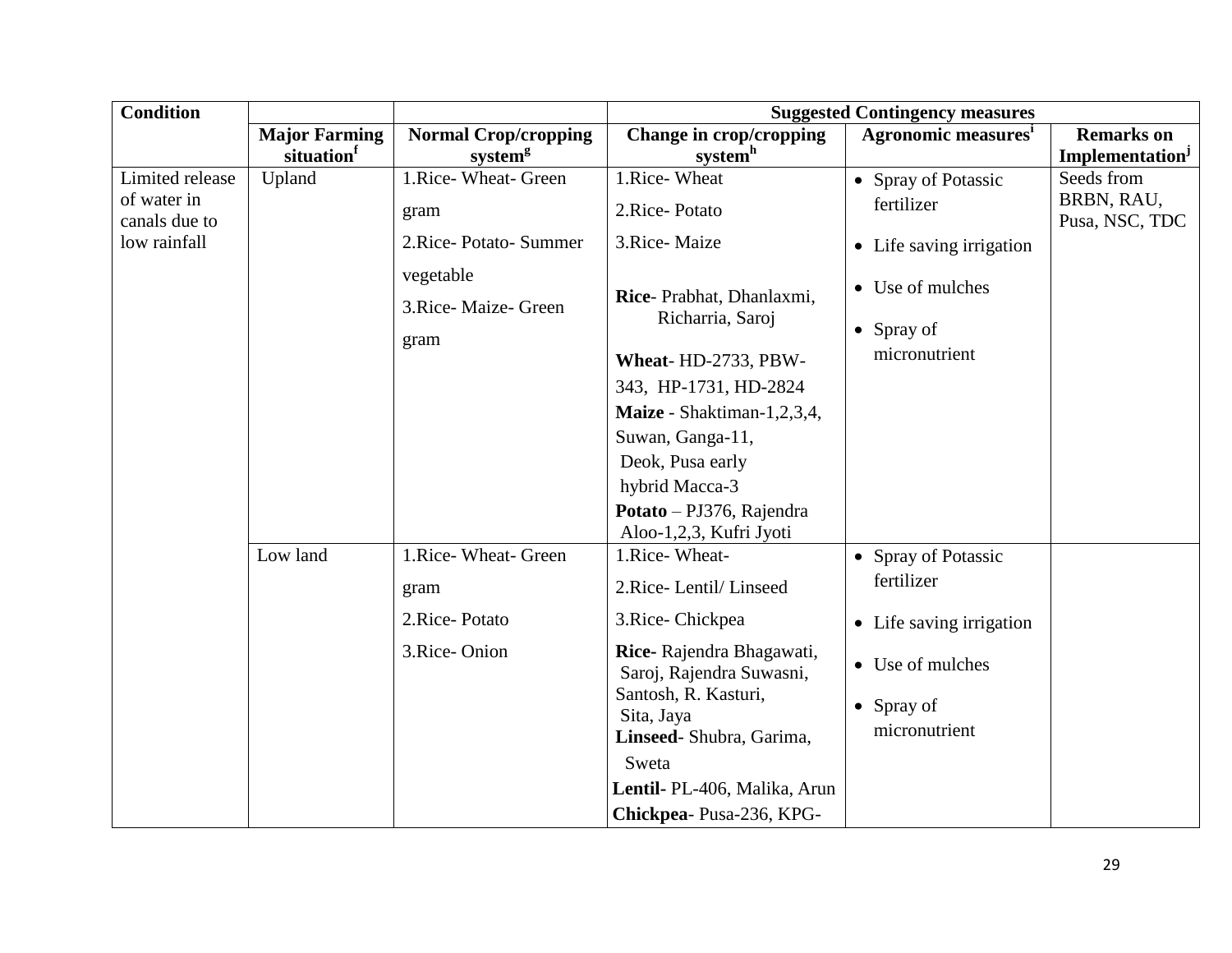| <b>Condition</b>             |                      |                             |                                                      | <b>Suggested Contingency measures</b> |                              |
|------------------------------|----------------------|-----------------------------|------------------------------------------------------|---------------------------------------|------------------------------|
|                              | <b>Major Farming</b> | <b>Normal Crop/cropping</b> | Change in crop/cropping                              | Agronomic measures <sup>1</sup>       | <b>Remarks</b> on            |
|                              | situation            | system <sup>g</sup>         | systemh                                              |                                       | Implementation <sup>J</sup>  |
| Limited release              | Upland               | 1.Rice- Wheat- Green        | 1.Rice-Wheat                                         | • Spray of Potassic                   | Seeds from                   |
| of water in<br>canals due to |                      | gram                        | 2.Rice-Potato                                        | fertilizer                            | BRBN, RAU,<br>Pusa, NSC, TDC |
| low rainfall                 |                      | 2. Rice-Potato-Summer       | 3.Rice-Maize                                         | • Life saving irrigation              |                              |
|                              |                      | vegetable                   |                                                      |                                       |                              |
|                              |                      | 3. Rice-Maize- Green        | Rice-Prabhat, Dhanlaxmi,                             | • Use of mulches                      |                              |
|                              |                      | gram                        | Richarria, Saroj                                     | $\bullet$ Spray of                    |                              |
|                              |                      |                             | Wheat-HD-2733, PBW-                                  | micronutrient                         |                              |
|                              |                      |                             | 343, HP-1731, HD-2824                                |                                       |                              |
|                              |                      |                             | Maize - Shaktiman-1,2,3,4,                           |                                       |                              |
|                              |                      |                             | Suwan, Ganga-11,                                     |                                       |                              |
|                              |                      |                             | Deok, Pusa early                                     |                                       |                              |
|                              |                      |                             | hybrid Macca-3                                       |                                       |                              |
|                              |                      |                             | Potato - PJ376, Rajendra                             |                                       |                              |
|                              |                      |                             | Aloo-1,2,3, Kufri Jyoti                              |                                       |                              |
|                              | Low land             | 1.Rice- Wheat- Green        | 1.Rice-Wheat-                                        | • Spray of Potassic                   |                              |
|                              |                      | gram                        | 2.Rice-Lentil/Linseed                                | fertilizer                            |                              |
|                              |                      | 2.Rice-Potato               | 3.Rice-Chickpea                                      | • Life saving irrigation              |                              |
|                              |                      | 3.Rice-Onion                | Rice-Rajendra Bhagawati,<br>Saroj, Rajendra Suwasni, | Use of mulches<br>$\bullet$           |                              |
|                              |                      |                             | Santosh, R. Kasturi,<br>Sita, Jaya                   | $\bullet$ Spray of                    |                              |
|                              |                      |                             | Linseed-Shubra, Garima,                              | micronutrient                         |                              |
|                              |                      |                             | Sweta                                                |                                       |                              |
|                              |                      |                             | Lentil- PL-406, Malika, Arun                         |                                       |                              |
|                              |                      |                             | Chickpea-Pusa-236, KPG-                              |                                       |                              |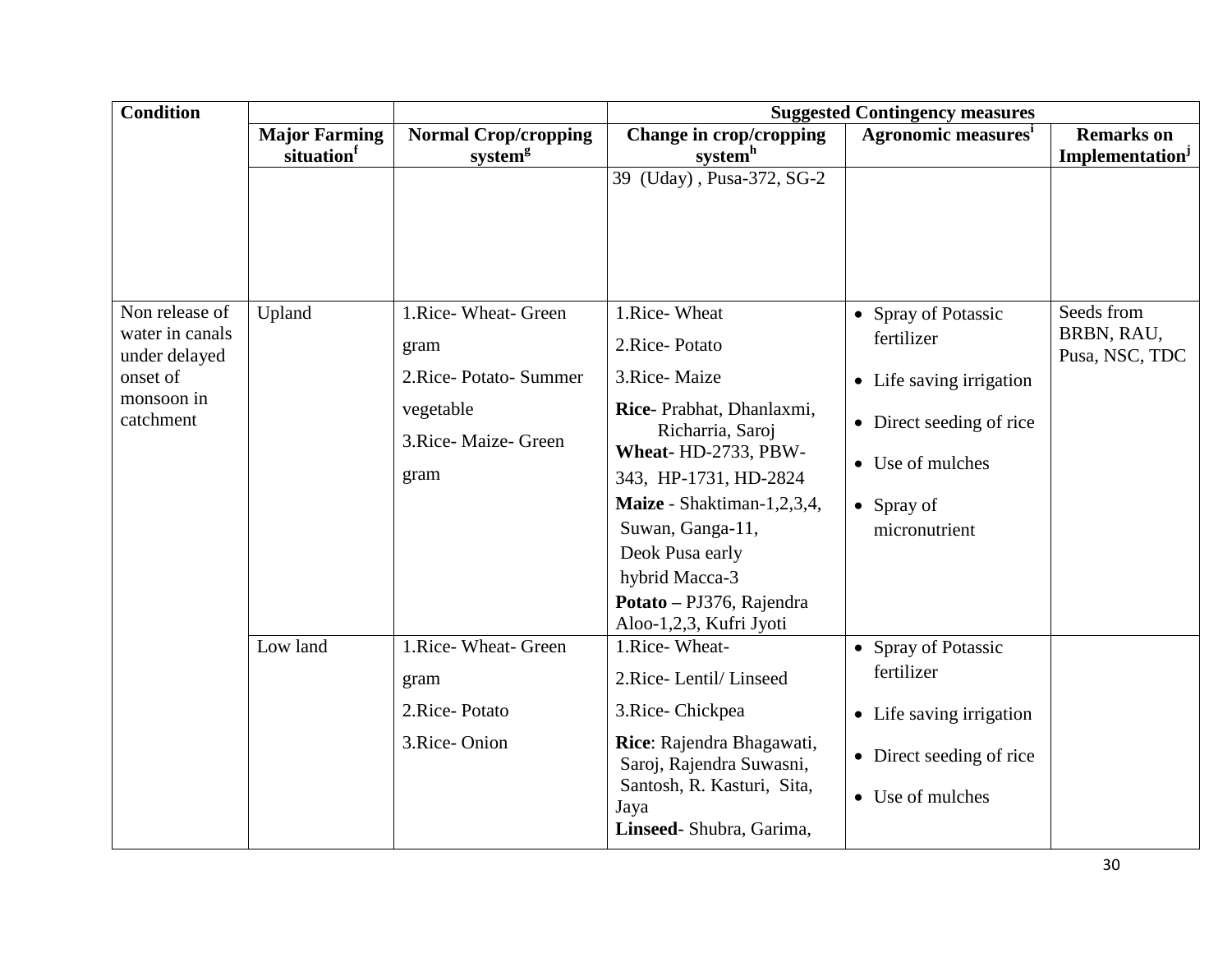| <b>Condition</b>                 |                      |                                   | <b>Suggested Contingency measures</b>                                                                                  |                                                      |                              |  |
|----------------------------------|----------------------|-----------------------------------|------------------------------------------------------------------------------------------------------------------------|------------------------------------------------------|------------------------------|--|
|                                  | <b>Major Farming</b> | <b>Normal Crop/cropping</b>       | Change in crop/cropping                                                                                                | <b>Agronomic measures</b> <sup>1</sup>               | <b>Remarks</b> on            |  |
|                                  | situation            | system <sup>g</sup>               | system <sup>h</sup>                                                                                                    |                                                      | Implementation <sup>J</sup>  |  |
|                                  |                      |                                   | 39 (Uday), Pusa-372, SG-2                                                                                              |                                                      |                              |  |
| Non release of                   | Upland               | 1.Rice- Wheat- Green              | 1.Rice-Wheat                                                                                                           | • Spray of Potassic                                  | Seeds from                   |  |
| water in canals<br>under delayed |                      | gram                              | 2.Rice-Potato                                                                                                          | fertilizer                                           | BRBN, RAU,<br>Pusa, NSC, TDC |  |
| onset of                         |                      | 2. Rice-Potato-Summer             | 3.Rice-Maize                                                                                                           | • Life saving irrigation                             |                              |  |
| monsoon in<br>catchment          |                      | vegetable<br>3. Rice-Maize- Green | Rice-Prabhat, Dhanlaxmi,<br>Richarria, Saroj                                                                           | • Direct seeding of rice                             |                              |  |
|                                  |                      |                                   | Wheat-HD-2733, PBW-                                                                                                    | • Use of mulches                                     |                              |  |
|                                  |                      | gram                              | 343, HP-1731, HD-2824                                                                                                  |                                                      |                              |  |
|                                  |                      |                                   | Maize - Shaktiman-1,2,3,4,                                                                                             | $\bullet$ Spray of                                   |                              |  |
|                                  |                      |                                   | Suwan, Ganga-11,                                                                                                       | micronutrient                                        |                              |  |
|                                  |                      |                                   | Deok Pusa early                                                                                                        |                                                      |                              |  |
|                                  |                      |                                   | hybrid Macca-3                                                                                                         |                                                      |                              |  |
|                                  |                      |                                   | Potato - PJ376, Rajendra<br>Aloo-1,2,3, Kufri Jyoti                                                                    |                                                      |                              |  |
|                                  | Low land             | 1.Rice- Wheat- Green              | 1.Rice-Wheat-                                                                                                          | • Spray of Potassic                                  |                              |  |
|                                  |                      | gram                              | 2.Rice-Lentil/Linseed                                                                                                  | fertilizer                                           |                              |  |
|                                  |                      | 2.Rice-Potato                     | 3.Rice-Chickpea                                                                                                        | • Life saving irrigation                             |                              |  |
|                                  |                      | 3.Rice-Onion                      | Rice: Rajendra Bhagawati,<br>Saroj, Rajendra Suwasni,<br>Santosh, R. Kasturi, Sita,<br>Jaya<br>Linseed-Shubra, Garima, | • Direct seeding of rice<br>$\bullet$ Use of mulches |                              |  |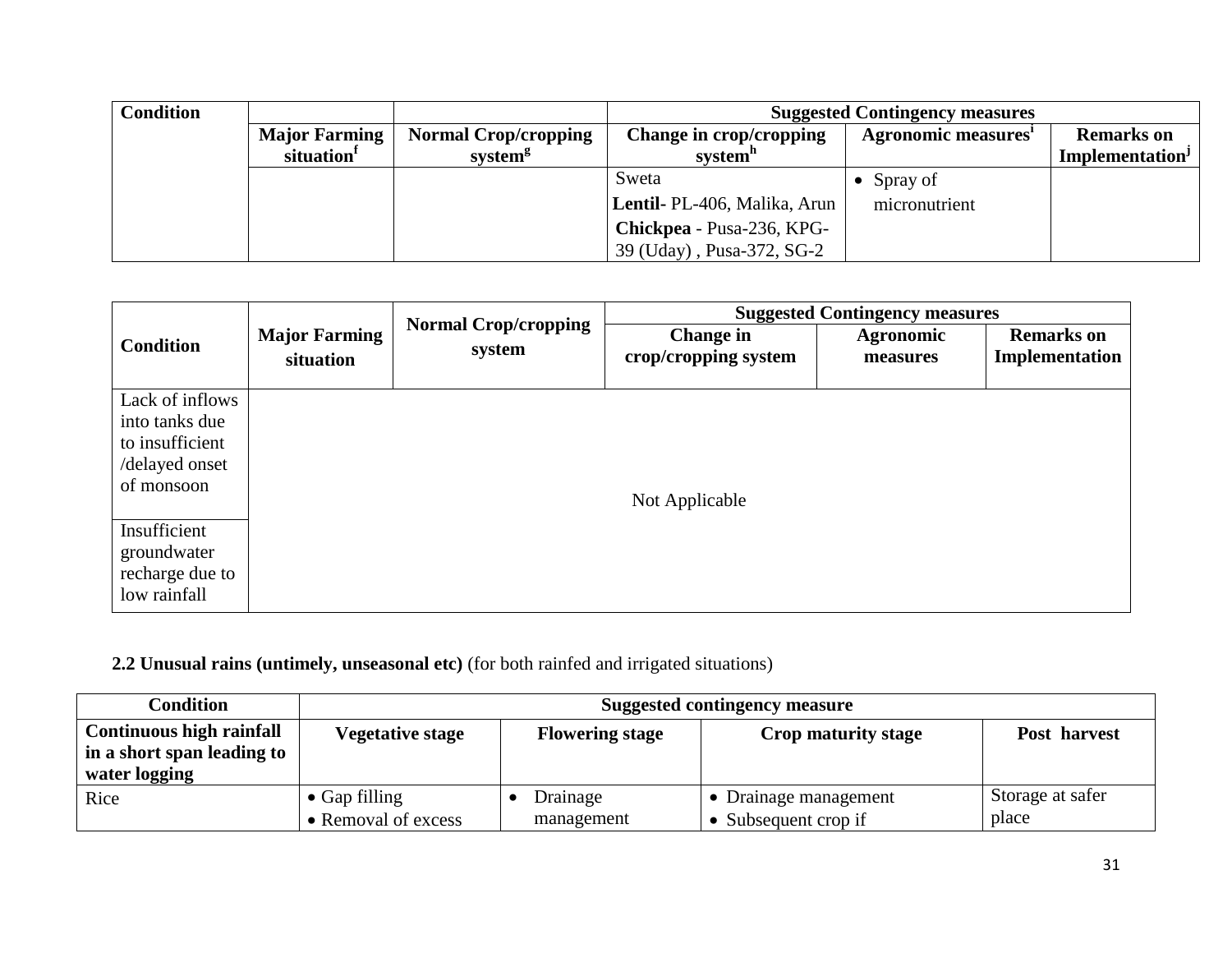| <b>Condition</b> |                        |                             | <b>Suggested Contingency measures</b> |                           |                             |  |
|------------------|------------------------|-----------------------------|---------------------------------------|---------------------------|-----------------------------|--|
|                  | <b>Major Farming</b>   | <b>Normal Crop/cropping</b> | Change in crop/cropping               | <b>Agronomic measures</b> | <b>Remarks</b> on           |  |
|                  | situation <sup>1</sup> | system <sup>g</sup>         | system <sup>n</sup>                   |                           | Implementation <sup>J</sup> |  |
|                  |                        |                             | Sweta                                 | Spray of                  |                             |  |
|                  |                        |                             | <b>Lentil-</b> PL-406, Malika, Arun   | micronutrient             |                             |  |
|                  |                        |                             | Chickpea - Pusa-236, KPG-             |                           |                             |  |
|                  |                        |                             | 39 (Uday), Pusa-372, SG-2             |                           |                             |  |

|                              |                                   | <b>Suggested Contingency measures</b><br><b>Normal Crop/cropping</b> |                                   |                              |                                     |
|------------------------------|-----------------------------------|----------------------------------------------------------------------|-----------------------------------|------------------------------|-------------------------------------|
| <b>Condition</b>             | <b>Major Farming</b><br>situation | system                                                               | Change in<br>crop/cropping system | <b>Agronomic</b><br>measures | <b>Remarks</b> on<br>Implementation |
| Lack of inflows              |                                   |                                                                      |                                   |                              |                                     |
| into tanks due               |                                   |                                                                      |                                   |                              |                                     |
| to insufficient              |                                   |                                                                      |                                   |                              |                                     |
| /delayed onset<br>of monsoon |                                   |                                                                      |                                   |                              |                                     |
|                              |                                   |                                                                      | Not Applicable                    |                              |                                     |
| Insufficient                 |                                   |                                                                      |                                   |                              |                                     |
| groundwater                  |                                   |                                                                      |                                   |                              |                                     |
| recharge due to              |                                   |                                                                      |                                   |                              |                                     |
| low rainfall                 |                                   |                                                                      |                                   |                              |                                     |

# **2.2 Unusual rains (untimely, unseasonal etc)** (for both rainfed and irrigated situations)

| Condition                       | <b>Suggested contingency measure</b> |                        |                            |                  |
|---------------------------------|--------------------------------------|------------------------|----------------------------|------------------|
| <b>Continuous high rainfall</b> | <b>Vegetative stage</b>              | <b>Flowering stage</b> | <b>Crop maturity stage</b> | Post harvest     |
| in a short span leading to      |                                      |                        |                            |                  |
| water logging                   |                                      |                        |                            |                  |
| Rice                            | $\bullet$ Gap filling                | Drainage               | • Drainage management      | Storage at safer |
|                                 | • Removal of excess                  | management             | • Subsequent crop if       | place            |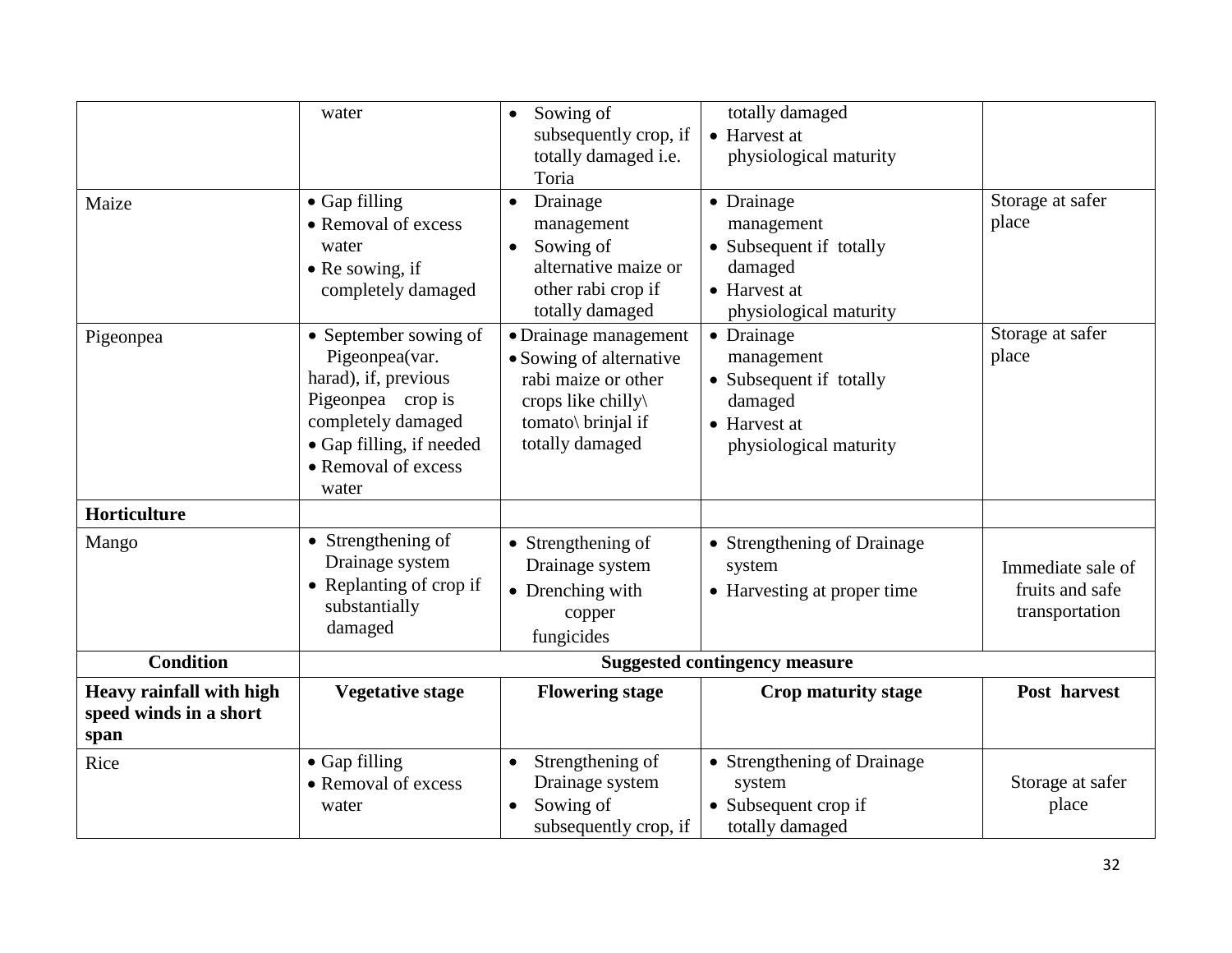| Maize                                                             | water<br>• Gap filling                                                                                                                                                 | Sowing of<br>$\bullet$<br>subsequently crop, if<br>totally damaged i.e.<br>Toria<br>Drainage<br>$\bullet$                             | totally damaged<br>• Harvest at<br>physiological maturity<br>• Drainage                                  | Storage at safer                                       |  |
|-------------------------------------------------------------------|------------------------------------------------------------------------------------------------------------------------------------------------------------------------|---------------------------------------------------------------------------------------------------------------------------------------|----------------------------------------------------------------------------------------------------------|--------------------------------------------------------|--|
|                                                                   | • Removal of excess<br>water<br>$\bullet$ Re sowing, if<br>completely damaged                                                                                          | management<br>Sowing of<br>$\bullet$<br>alternative maize or<br>other rabi crop if<br>totally damaged                                 | management<br>• Subsequent if totally<br>damaged<br>• Harvest at<br>physiological maturity               | place                                                  |  |
| Pigeonpea                                                         | • September sowing of<br>Pigeonpea(var.<br>harad), if, previous<br>Pigeonpea crop is<br>completely damaged<br>• Gap filling, if needed<br>• Removal of excess<br>water | • Drainage management<br>• Sowing of alternative<br>rabi maize or other<br>crops like chilly<br>tomato\ brinjal if<br>totally damaged | • Drainage<br>management<br>• Subsequent if totally<br>damaged<br>• Harvest at<br>physiological maturity | Storage at safer<br>place                              |  |
| <b>Horticulture</b>                                               |                                                                                                                                                                        |                                                                                                                                       |                                                                                                          |                                                        |  |
| Mango                                                             | • Strengthening of<br>Drainage system<br>• Replanting of crop if<br>substantially<br>damaged                                                                           | • Strengthening of<br>Drainage system<br>• Drenching with<br>copper<br>fungicides                                                     | • Strengthening of Drainage<br>system<br>• Harvesting at proper time                                     | Immediate sale of<br>fruits and safe<br>transportation |  |
| <b>Condition</b>                                                  | <b>Suggested contingency measure</b>                                                                                                                                   |                                                                                                                                       |                                                                                                          |                                                        |  |
| <b>Heavy rainfall with high</b><br>speed winds in a short<br>span | <b>Vegetative stage</b>                                                                                                                                                | <b>Flowering stage</b>                                                                                                                | Crop maturity stage                                                                                      | Post harvest                                           |  |
| Rice                                                              | • Gap filling<br>• Removal of excess<br>water                                                                                                                          | Strengthening of<br>Drainage system<br>Sowing of<br>$\bullet$<br>subsequently crop, if                                                | • Strengthening of Drainage<br>system<br>• Subsequent crop if<br>totally damaged                         | Storage at safer<br>place                              |  |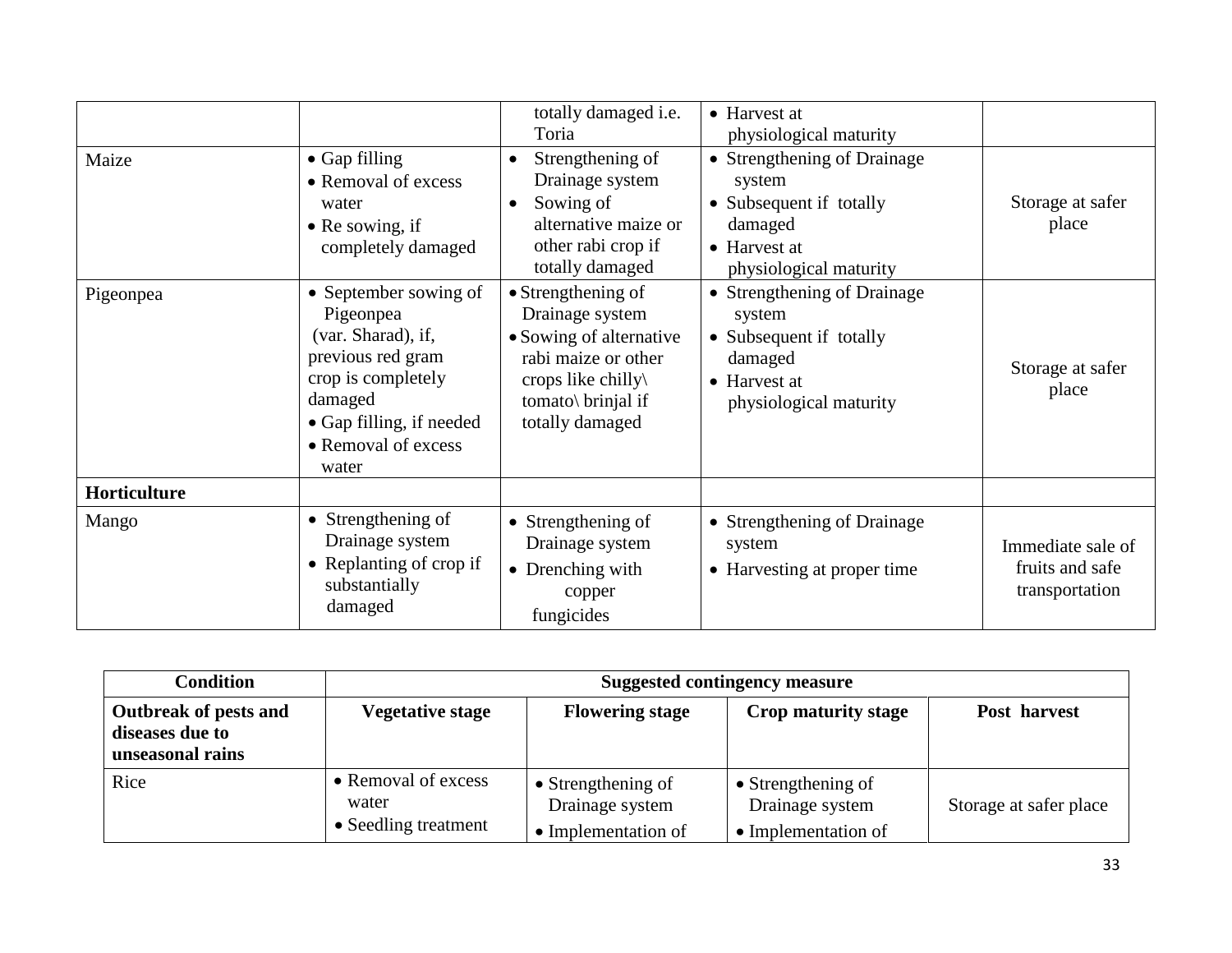| Maize        | $\bullet$ Gap filling<br>• Removal of excess<br>water<br>$\bullet$ Re sowing, if<br>completely damaged                                                                     | totally damaged i.e.<br>Toria<br>Strengthening of<br>$\bullet$<br>Drainage system<br>Sowing of<br>$\bullet$<br>alternative maize or<br>other rabi crop if<br>totally damaged | • Harvest at<br>physiological maturity<br>• Strengthening of Drainage<br>system<br>• Subsequent if totally<br>damaged<br>• Harvest at<br>physiological maturity | Storage at safer<br>place                              |
|--------------|----------------------------------------------------------------------------------------------------------------------------------------------------------------------------|------------------------------------------------------------------------------------------------------------------------------------------------------------------------------|-----------------------------------------------------------------------------------------------------------------------------------------------------------------|--------------------------------------------------------|
| Pigeonpea    | • September sowing of<br>Pigeonpea<br>(var. Sharad), if,<br>previous red gram<br>crop is completely<br>damaged<br>• Gap filling, if needed<br>• Removal of excess<br>water | $\bullet$ Strengthening of<br>Drainage system<br>• Sowing of alternative<br>rabi maize or other<br>crops like chilly\<br>tomato\ brinjal if<br>totally damaged               | • Strengthening of Drainage<br>system<br>• Subsequent if totally<br>damaged<br>• Harvest at<br>physiological maturity                                           | Storage at safer<br>place                              |
| Horticulture |                                                                                                                                                                            |                                                                                                                                                                              |                                                                                                                                                                 |                                                        |
| Mango        | • Strengthening of<br>Drainage system<br>• Replanting of crop if<br>substantially<br>damaged                                                                               | • Strengthening of<br>Drainage system<br>• Drenching with<br>copper<br>fungicides                                                                                            | • Strengthening of Drainage<br>system<br>• Harvesting at proper time                                                                                            | Immediate sale of<br>fruits and safe<br>transportation |

| Condition                                                    | <b>Suggested contingency measure</b>                 |                                                              |                                                                      |                        |
|--------------------------------------------------------------|------------------------------------------------------|--------------------------------------------------------------|----------------------------------------------------------------------|------------------------|
| Outbreak of pests and<br>diseases due to<br>unseasonal rains | <b>Vegetative stage</b>                              | <b>Flowering stage</b>                                       | Crop maturity stage                                                  | Post harvest           |
| Rice                                                         | • Removal of excess<br>water<br>• Seedling treatment | • Strengthening of<br>Drainage system<br>• Implementation of | $\bullet$ Strengthening of<br>Drainage system<br>• Implementation of | Storage at safer place |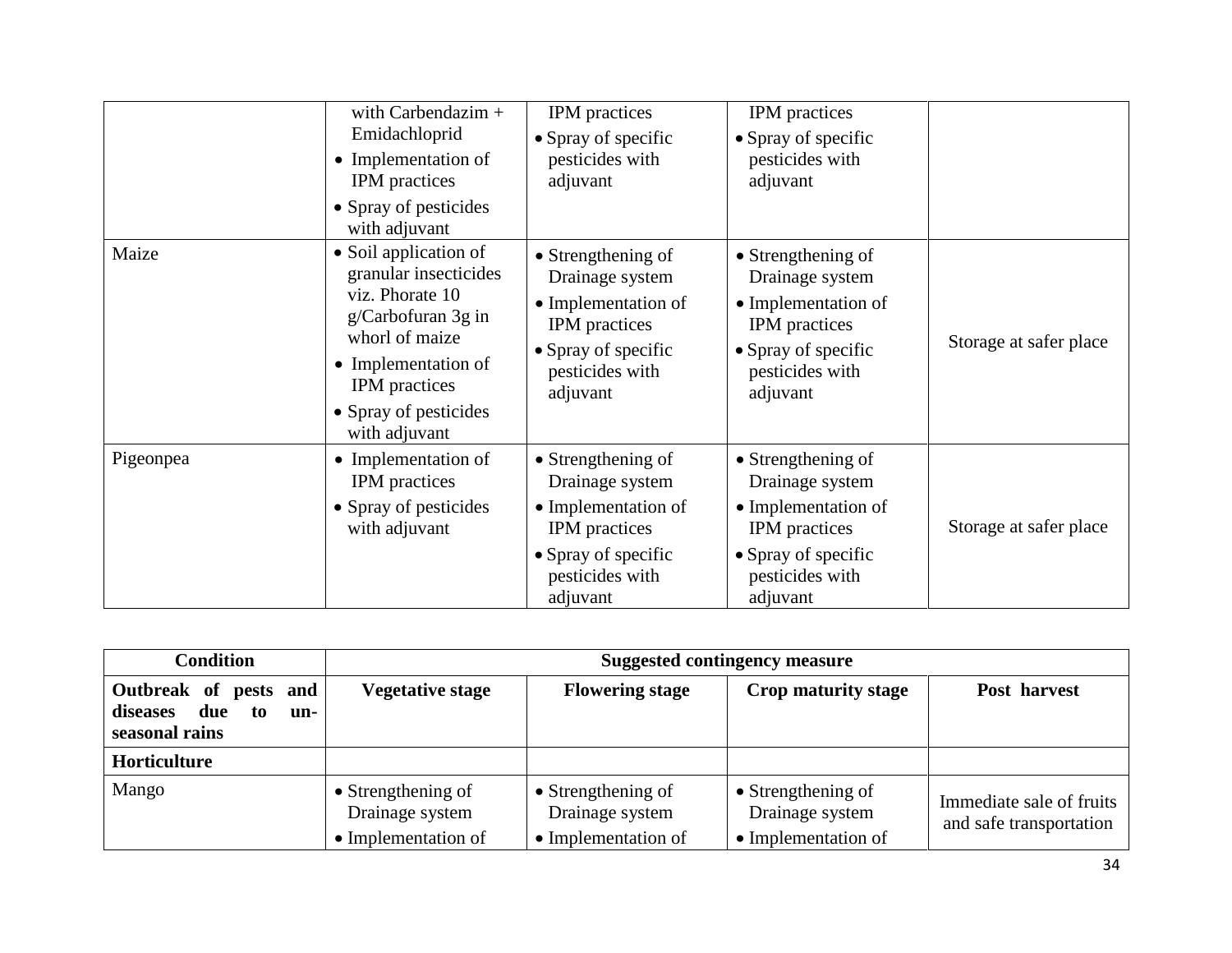|           | with Carbendazim $+$<br>Emidachloprid<br>• Implementation of<br><b>IPM</b> practices<br>• Spray of pesticides<br>with adjuvant                                                                     | IPM practices<br>• Spray of specific<br>pesticides with<br>adjuvant                                                                        | IPM practices<br>• Spray of specific<br>pesticides with<br>adjuvant                                                                        |                        |
|-----------|----------------------------------------------------------------------------------------------------------------------------------------------------------------------------------------------------|--------------------------------------------------------------------------------------------------------------------------------------------|--------------------------------------------------------------------------------------------------------------------------------------------|------------------------|
| Maize     | • Soil application of<br>granular insecticides<br>viz. Phorate 10<br>g/Carbofuran 3g in<br>whorl of maize<br>• Implementation of<br><b>IPM</b> practices<br>• Spray of pesticides<br>with adjuvant | • Strengthening of<br>Drainage system<br>• Implementation of<br>IPM practices<br>• Spray of specific<br>pesticides with<br>adjuvant        | • Strengthening of<br>Drainage system<br>• Implementation of<br>IPM practices<br>• Spray of specific<br>pesticides with<br>adjuvant        | Storage at safer place |
| Pigeonpea | • Implementation of<br><b>IPM</b> practices<br>• Spray of pesticides<br>with adjuvant                                                                                                              | • Strengthening of<br>Drainage system<br>• Implementation of<br><b>IPM</b> practices<br>• Spray of specific<br>pesticides with<br>adjuvant | • Strengthening of<br>Drainage system<br>• Implementation of<br><b>IPM</b> practices<br>• Spray of specific<br>pesticides with<br>adjuvant | Storage at safer place |

| <b>Condition</b>                                                        | <b>Suggested contingency measure</b>                         |                                                                      |                                                                      |                                                     |
|-------------------------------------------------------------------------|--------------------------------------------------------------|----------------------------------------------------------------------|----------------------------------------------------------------------|-----------------------------------------------------|
| Outbreak of pests and<br>due<br>diseases<br>to<br>un-<br>seasonal rains | <b>Vegetative stage</b>                                      | <b>Flowering stage</b>                                               | Crop maturity stage                                                  | Post harvest                                        |
| Horticulture                                                            |                                                              |                                                                      |                                                                      |                                                     |
| Mango                                                                   | • Strengthening of<br>Drainage system<br>• Implementation of | $\bullet$ Strengthening of<br>Drainage system<br>• Implementation of | $\bullet$ Strengthening of<br>Drainage system<br>• Implementation of | Immediate sale of fruits<br>and safe transportation |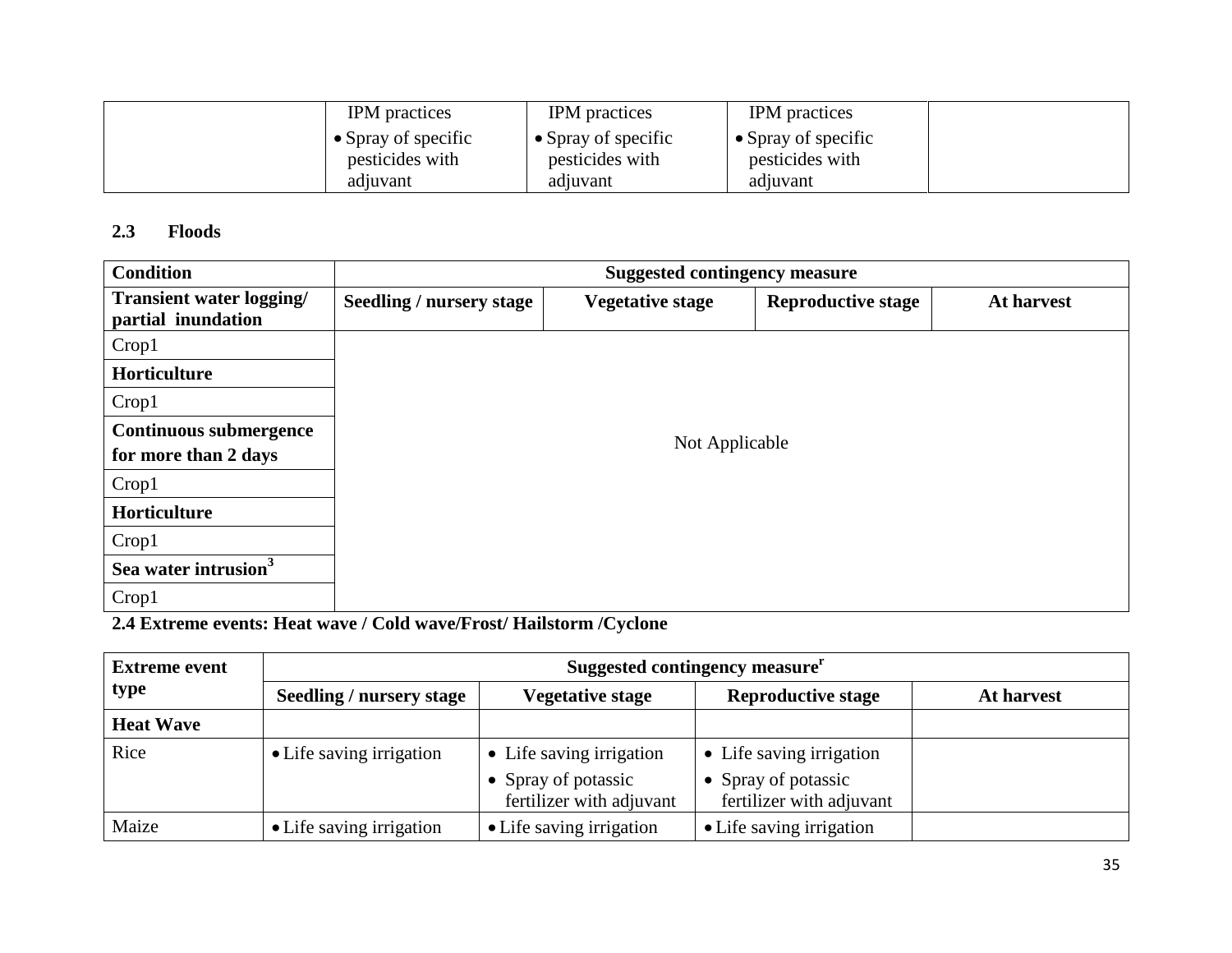| <b>IPM</b> practices                           | <b>IPM</b> practices                           | <b>IPM</b> practices                           |  |
|------------------------------------------------|------------------------------------------------|------------------------------------------------|--|
| $\bullet$ Spray of specific<br>pesticides with | $\bullet$ Spray of specific<br>pesticides with | $\bullet$ Spray of specific<br>pesticides with |  |
| adjuvant                                       | adjuvant                                       | adjuvant                                       |  |

#### **2.3 Floods**

| <b>Condition</b>                               | <b>Suggested contingency measure</b> |                         |                           |            |  |  |
|------------------------------------------------|--------------------------------------|-------------------------|---------------------------|------------|--|--|
| Transient water logging/<br>partial inundation | Seedling / nursery stage             | <b>Vegetative stage</b> | <b>Reproductive stage</b> | At harvest |  |  |
| Crop1                                          |                                      |                         |                           |            |  |  |
| Horticulture                                   |                                      |                         |                           |            |  |  |
| Crop1                                          |                                      |                         |                           |            |  |  |
| Continuous submergence                         |                                      |                         |                           |            |  |  |
| for more than 2 days                           | Not Applicable                       |                         |                           |            |  |  |
| Crop1                                          |                                      |                         |                           |            |  |  |
| Horticulture                                   |                                      |                         |                           |            |  |  |
| Crop1                                          |                                      |                         |                           |            |  |  |
| Sea water intrusion <sup>3</sup>               |                                      |                         |                           |            |  |  |
| Crop1                                          |                                      |                         |                           |            |  |  |

**2.4 Extreme events: Heat wave / Cold wave/Frost/ Hailstorm /Cyclone**

| <b>Extreme event</b> | Suggested contingency measure <sup>r</sup> |                                                 |                                               |            |  |  |
|----------------------|--------------------------------------------|-------------------------------------------------|-----------------------------------------------|------------|--|--|
| type                 | Seedling / nursery stage                   | <b>Vegetative stage</b>                         | <b>Reproductive stage</b>                     | At harvest |  |  |
| <b>Heat Wave</b>     |                                            |                                                 |                                               |            |  |  |
| Rice                 | • Life saving irrigation                   | • Life saving irrigation                        | • Life saving irrigation                      |            |  |  |
|                      |                                            | • Spray of potassic<br>fertilizer with adjuvant | Spray of potassic<br>fertilizer with adjuvant |            |  |  |
| Maize                | • Life saving irrigation                   | • Life saving irrigation                        | • Life saving irrigation                      |            |  |  |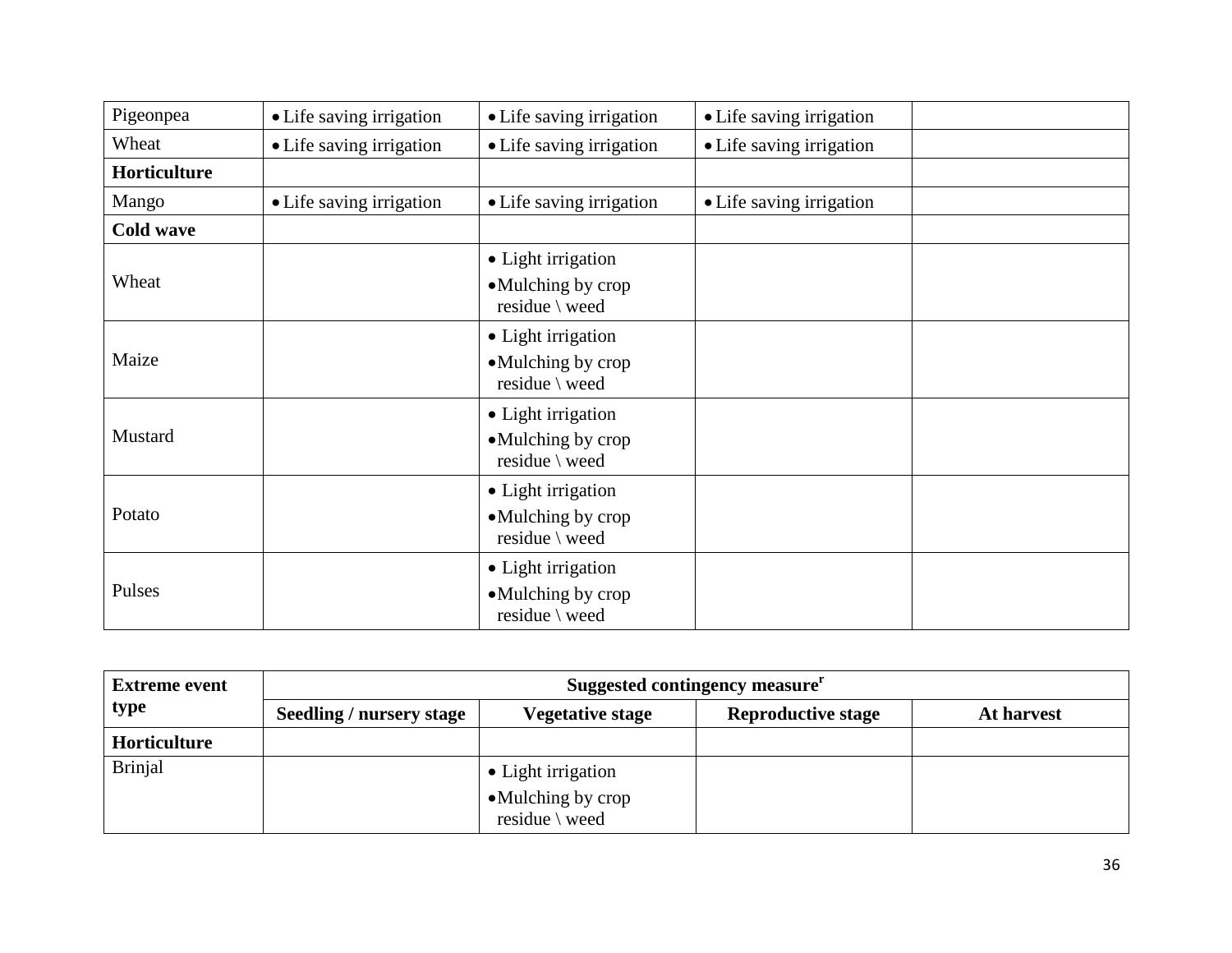| Pigeonpea        | • Life saving irrigation | • Life saving irrigation                                  | • Life saving irrigation |  |
|------------------|--------------------------|-----------------------------------------------------------|--------------------------|--|
| Wheat            | • Life saving irrigation | • Life saving irrigation                                  | • Life saving irrigation |  |
| Horticulture     |                          |                                                           |                          |  |
| Mango            | • Life saving irrigation | • Life saving irrigation                                  | • Life saving irrigation |  |
| <b>Cold wave</b> |                          |                                                           |                          |  |
| Wheat            |                          | • Light irrigation<br>•Mulching by crop<br>residue \ weed |                          |  |
| Maize            |                          | • Light irrigation<br>•Mulching by crop<br>residue \ weed |                          |  |
| Mustard          |                          | • Light irrigation<br>•Mulching by crop<br>residue \ weed |                          |  |
| Potato           |                          | • Light irrigation<br>•Mulching by crop<br>residue \ weed |                          |  |
| Pulses           |                          | • Light irrigation<br>•Mulching by crop<br>residue \ weed |                          |  |

| <b>Extreme event</b> | Suggested contingency measure <sup>r</sup> |                                                            |                           |            |
|----------------------|--------------------------------------------|------------------------------------------------------------|---------------------------|------------|
| type                 | <b>Seedling / nursery stage</b>            | <b>Vegetative stage</b>                                    | <b>Reproductive stage</b> | At harvest |
| Horticulture         |                                            |                                                            |                           |            |
| <b>Brinjal</b>       |                                            | • Light irrigation<br>• Mulching by crop<br>residue \ weed |                           |            |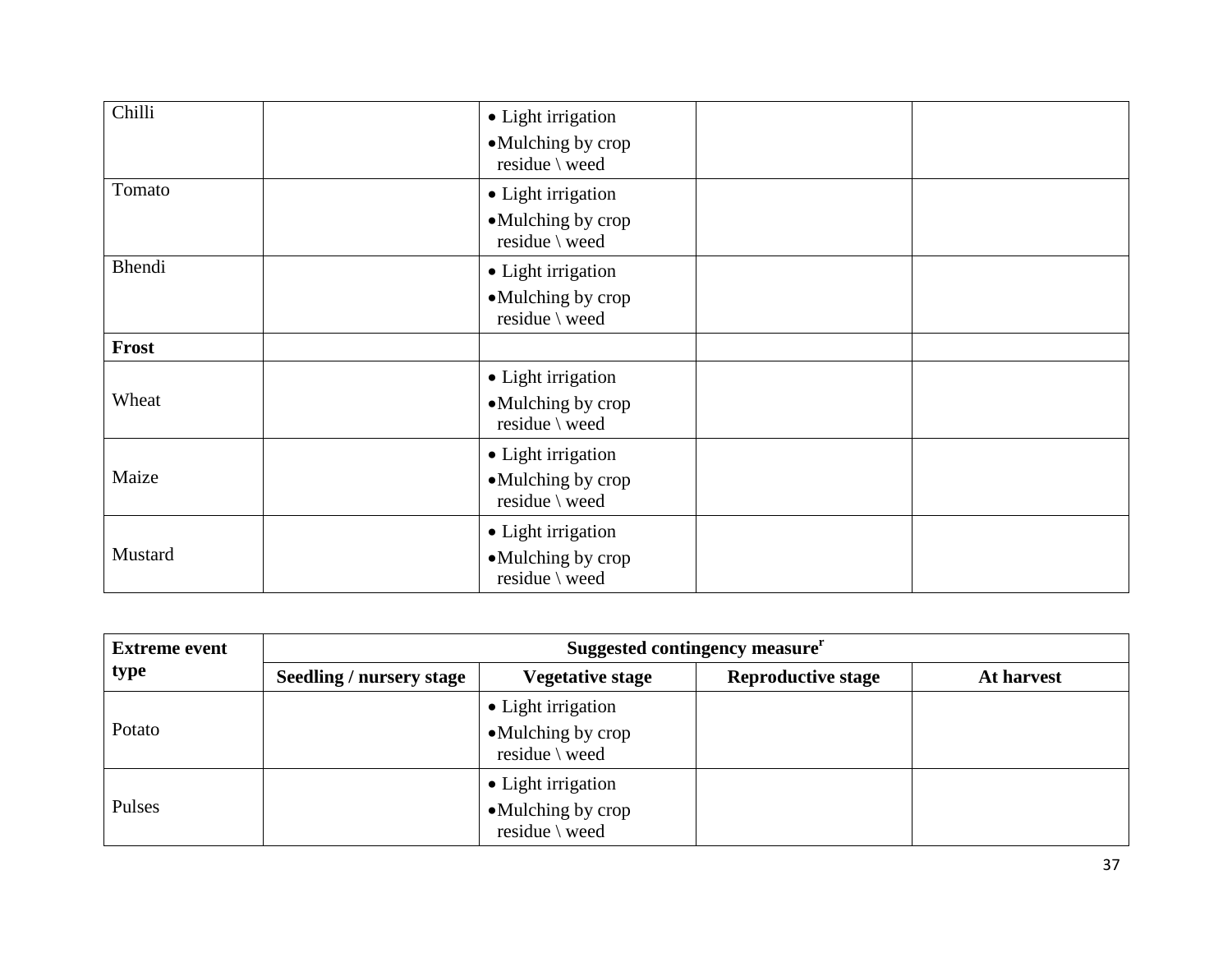| Chilli       | • Light irrigation<br>•Mulching by crop<br>residue \ weed            |  |
|--------------|----------------------------------------------------------------------|--|
| Tomato       | • Light irrigation<br>•Mulching by crop<br>residue \ weed            |  |
| Bhendi       | • Light irrigation<br>•Mulching by crop<br>residue \ weed            |  |
| <b>Frost</b> |                                                                      |  |
| Wheat        | • Light irrigation<br>•Mulching by crop<br>residue $\backslash$ weed |  |
| Maize        | • Light irrigation<br>•Mulching by crop<br>residue \ weed            |  |
| Mustard      | • Light irrigation<br>•Mulching by crop<br>residue $\backslash$ weed |  |

| <b>Extreme event</b> | Suggested contingency measure <sup>r</sup> |                                                            |                           |            |
|----------------------|--------------------------------------------|------------------------------------------------------------|---------------------------|------------|
| type                 | Seedling / nursery stage                   | <b>Vegetative stage</b>                                    | <b>Reproductive stage</b> | At harvest |
| Potato               |                                            | • Light irrigation<br>• Mulching by crop<br>residue \ weed |                           |            |
| Pulses               |                                            | • Light irrigation<br>•Mulching by crop<br>residue \ weed  |                           |            |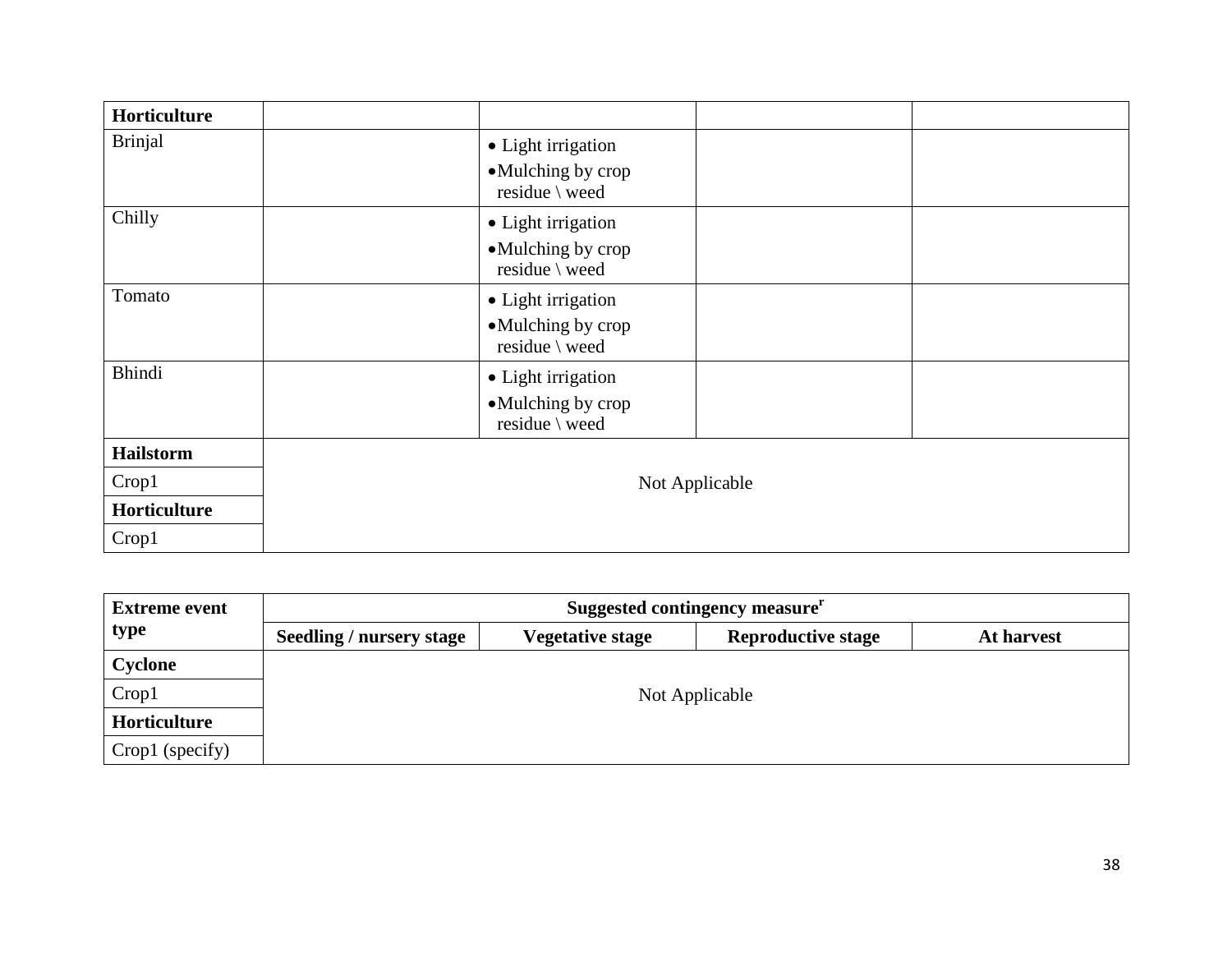| Horticulture     |                                     |
|------------------|-------------------------------------|
| <b>Brinjal</b>   | • Light irrigation                  |
|                  | •Mulching by crop<br>residue \ weed |
| Chilly           | • Light irrigation                  |
|                  | •Mulching by crop<br>residue \ weed |
| Tomato           | • Light irrigation                  |
|                  | •Mulching by crop<br>residue \ weed |
| <b>Bhindi</b>    | • Light irrigation                  |
|                  | •Mulching by crop                   |
|                  | residue \ weed                      |
| <b>Hailstorm</b> |                                     |
| Crop1            | Not Applicable                      |
| Horticulture     |                                     |
| Crop1            |                                     |

| <b>Extreme event</b> | Suggested contingency measure <sup>r</sup> |                         |                           |            |
|----------------------|--------------------------------------------|-------------------------|---------------------------|------------|
| type                 | <b>Seedling / nursery stage</b>            | <b>Vegetative stage</b> | <b>Reproductive stage</b> | At harvest |
| Cyclone              |                                            |                         |                           |            |
| Crop1                | Not Applicable                             |                         |                           |            |
| Horticulture         |                                            |                         |                           |            |
| Crop1 (specify)      |                                            |                         |                           |            |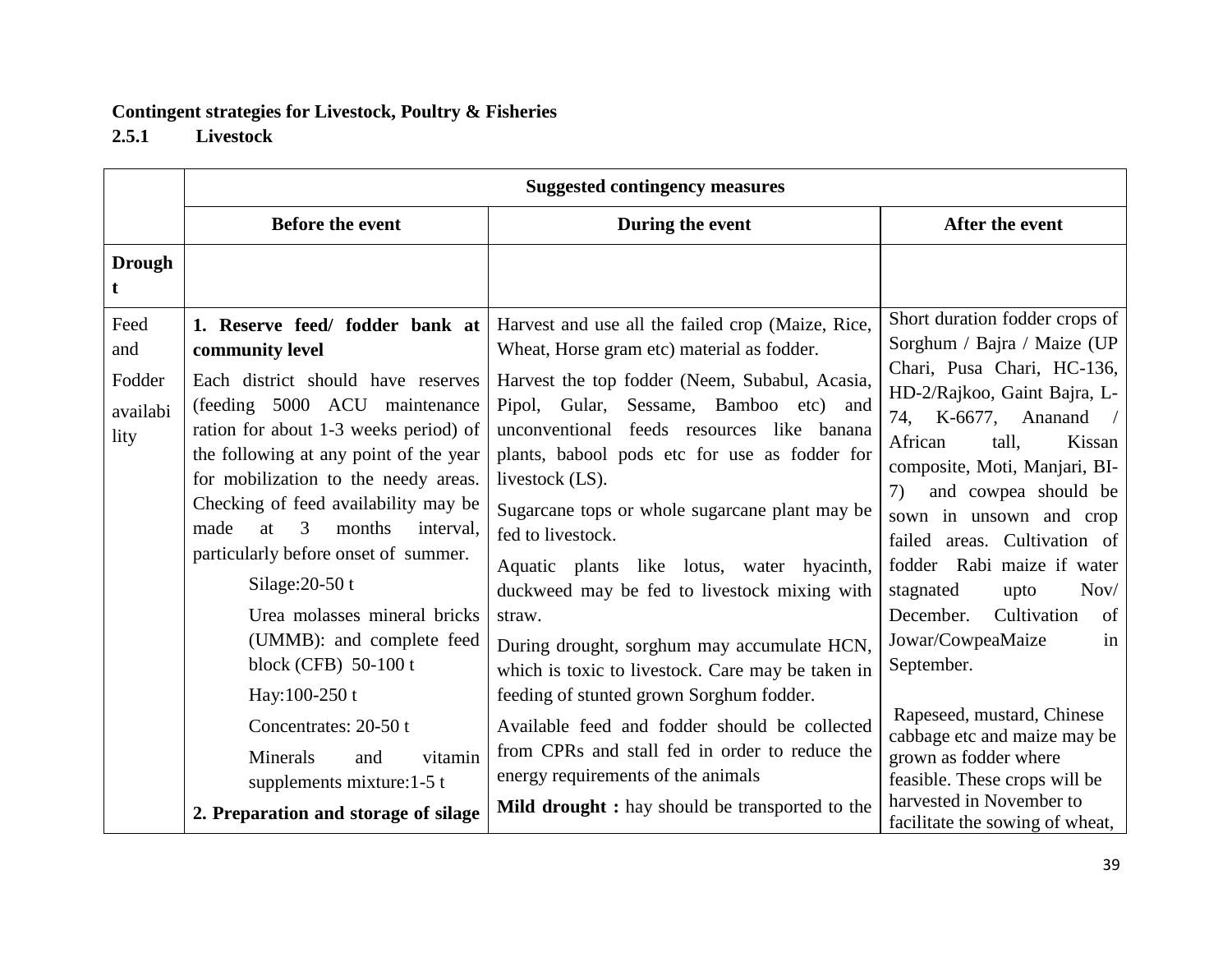# **Contingent strategies for Livestock, Poultry & Fisheries**

**2.5.1 Livestock**

|                                           | <b>Suggested contingency measures</b>                                                                                                                                                                                                                                                                                                                                                                                                                                                                                                                                                                                                 |                                                                                                                                                                                                                                                                                                                                                                                                                                                                                                                                                                                                                                                                                                                                                                                                                                          |                                                                                                                                                                                                                                                                                                                                                                                                                                                                                                                                                                                                                                           |  |
|-------------------------------------------|---------------------------------------------------------------------------------------------------------------------------------------------------------------------------------------------------------------------------------------------------------------------------------------------------------------------------------------------------------------------------------------------------------------------------------------------------------------------------------------------------------------------------------------------------------------------------------------------------------------------------------------|------------------------------------------------------------------------------------------------------------------------------------------------------------------------------------------------------------------------------------------------------------------------------------------------------------------------------------------------------------------------------------------------------------------------------------------------------------------------------------------------------------------------------------------------------------------------------------------------------------------------------------------------------------------------------------------------------------------------------------------------------------------------------------------------------------------------------------------|-------------------------------------------------------------------------------------------------------------------------------------------------------------------------------------------------------------------------------------------------------------------------------------------------------------------------------------------------------------------------------------------------------------------------------------------------------------------------------------------------------------------------------------------------------------------------------------------------------------------------------------------|--|
|                                           | <b>Before the event</b>                                                                                                                                                                                                                                                                                                                                                                                                                                                                                                                                                                                                               | During the event                                                                                                                                                                                                                                                                                                                                                                                                                                                                                                                                                                                                                                                                                                                                                                                                                         | After the event                                                                                                                                                                                                                                                                                                                                                                                                                                                                                                                                                                                                                           |  |
| <b>Drough</b>                             |                                                                                                                                                                                                                                                                                                                                                                                                                                                                                                                                                                                                                                       |                                                                                                                                                                                                                                                                                                                                                                                                                                                                                                                                                                                                                                                                                                                                                                                                                                          |                                                                                                                                                                                                                                                                                                                                                                                                                                                                                                                                                                                                                                           |  |
| Feed<br>and<br>Fodder<br>availabi<br>lity | 1. Reserve feed/ fodder bank at<br>community level<br>Each district should have reserves<br>(feeding 5000 ACU maintenance<br>ration for about 1-3 weeks period) of<br>the following at any point of the year<br>for mobilization to the needy areas.<br>Checking of feed availability may be<br>made<br>months<br>at<br>3<br>interval,<br>particularly before onset of summer.<br>Silage: $20-50$ t<br>Urea molasses mineral bricks<br>(UMMB): and complete feed<br>block (CFB) 50-100 t<br>Hay:100-250 t<br>Concentrates: 20-50 t<br>Minerals<br>vitamin<br>and<br>supplements mixture:1-5 t<br>2. Preparation and storage of silage | Harvest and use all the failed crop (Maize, Rice,<br>Wheat, Horse gram etc) material as fodder.<br>Harvest the top fodder (Neem, Subabul, Acasia,<br>Pipol, Gular, Sessame, Bamboo etc) and<br>unconventional feeds resources like banana<br>plants, babool pods etc for use as fodder for<br>livestock (LS).<br>Sugarcane tops or whole sugarcane plant may be<br>fed to livestock.<br>Aquatic plants like lotus, water hyacinth,<br>duckweed may be fed to livestock mixing with<br>straw.<br>During drought, sorghum may accumulate HCN,<br>which is toxic to livestock. Care may be taken in<br>feeding of stunted grown Sorghum fodder.<br>Available feed and fodder should be collected<br>from CPRs and stall fed in order to reduce the<br>energy requirements of the animals<br>Mild drought : hay should be transported to the | Short duration fodder crops of<br>Sorghum / Bajra / Maize (UP<br>Chari, Pusa Chari, HC-136,<br>HD-2/Rajkoo, Gaint Bajra, L-<br>74, K-6677, Ananand /<br>African<br>tall.<br>Kissan<br>composite, Moti, Manjari, BI-<br>and cowpea should be<br>7)<br>sown in unsown and crop<br>failed areas. Cultivation of<br>fodder Rabi maize if water<br>stagnated<br>Nov/<br>upto<br>Cultivation<br>of<br>December.<br>Jowar/CowpeaMaize<br>in<br>September.<br>Rapeseed, mustard, Chinese<br>cabbage etc and maize may be<br>grown as fodder where<br>feasible. These crops will be<br>harvested in November to<br>facilitate the sowing of wheat, |  |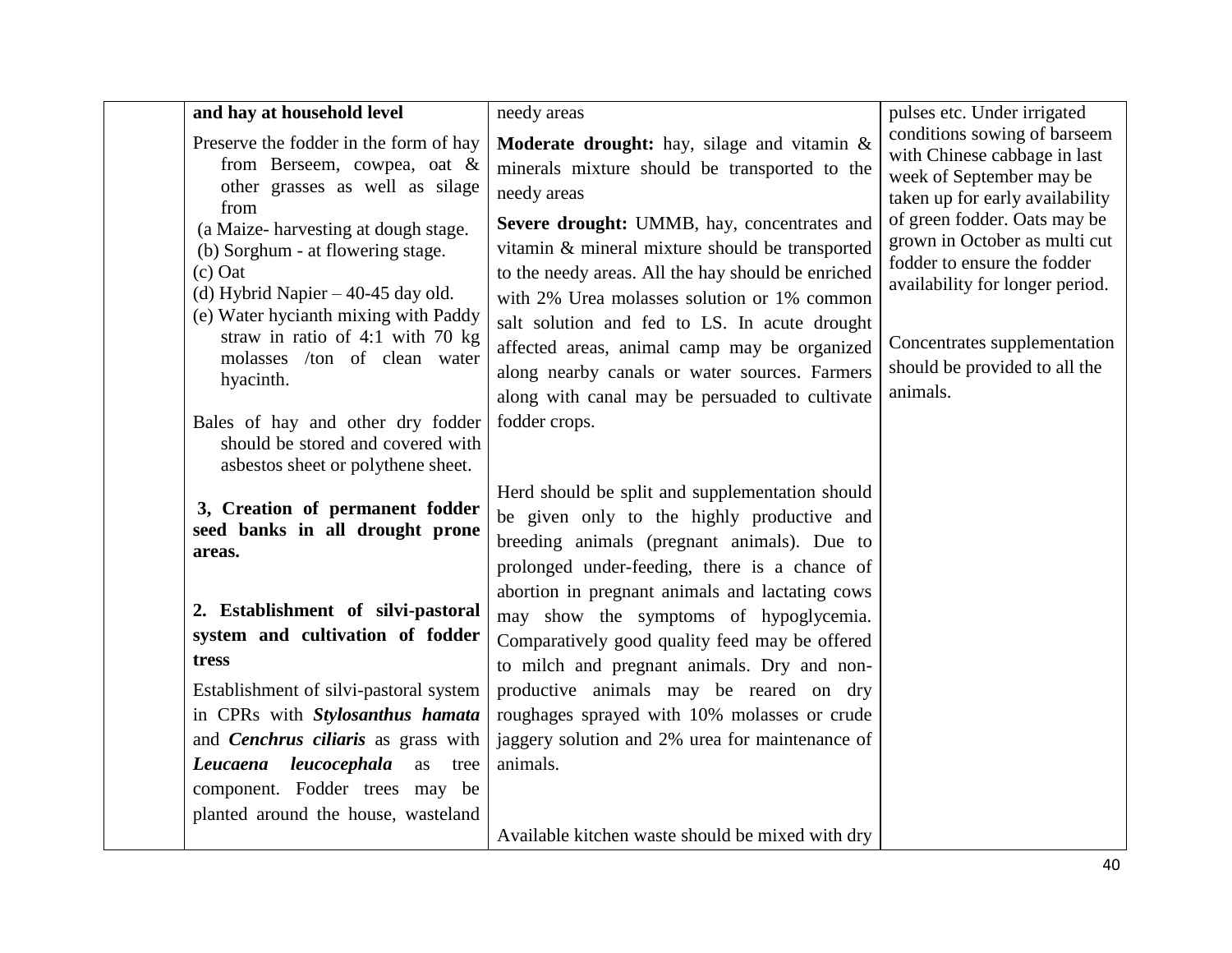| and hay at household level                                                                                                                                                                                                                                    | needy areas                                                                                                                                                                                                                                                                                                                                                                                             | pulses etc. Under irrigated                                                                                                                                                                                  |
|---------------------------------------------------------------------------------------------------------------------------------------------------------------------------------------------------------------------------------------------------------------|---------------------------------------------------------------------------------------------------------------------------------------------------------------------------------------------------------------------------------------------------------------------------------------------------------------------------------------------------------------------------------------------------------|--------------------------------------------------------------------------------------------------------------------------------------------------------------------------------------------------------------|
| Preserve the fodder in the form of hay<br>from Berseem, cowpea, oat &<br>other grasses as well as silage                                                                                                                                                      | Moderate drought: hay, silage and vitamin &<br>minerals mixture should be transported to the<br>needy areas                                                                                                                                                                                                                                                                                             | conditions sowing of barseem<br>with Chinese cabbage in last<br>week of September may be<br>taken up for early availability                                                                                  |
| from<br>(a Maize-harvesting at dough stage.<br>(b) Sorghum - at flowering stage.<br>$(c)$ Oat<br>(d) Hybrid Napier $-40-45$ day old.<br>(e) Water hycianth mixing with Paddy<br>straw in ratio of 4:1 with 70 kg<br>molasses /ton of clean water<br>hyacinth. | Severe drought: UMMB, hay, concentrates and<br>vitamin & mineral mixture should be transported<br>to the needy areas. All the hay should be enriched<br>with 2% Urea molasses solution or 1% common<br>salt solution and fed to LS. In acute drought<br>affected areas, animal camp may be organized<br>along nearby canals or water sources. Farmers<br>along with canal may be persuaded to cultivate | of green fodder. Oats may be<br>grown in October as multi cut<br>fodder to ensure the fodder<br>availability for longer period.<br>Concentrates supplementation<br>should be provided to all the<br>animals. |
| Bales of hay and other dry fodder<br>should be stored and covered with<br>asbestos sheet or polythene sheet.                                                                                                                                                  | fodder crops.                                                                                                                                                                                                                                                                                                                                                                                           |                                                                                                                                                                                                              |
| 3, Creation of permanent fodder<br>seed banks in all drought prone<br>areas.                                                                                                                                                                                  | Herd should be split and supplementation should<br>be given only to the highly productive and<br>breeding animals (pregnant animals). Due to<br>prolonged under-feeding, there is a chance of                                                                                                                                                                                                           |                                                                                                                                                                                                              |
| 2. Establishment of silvi-pastoral<br>system and cultivation of fodder<br>tress                                                                                                                                                                               | abortion in pregnant animals and lactating cows<br>may show the symptoms of hypoglycemia.<br>Comparatively good quality feed may be offered<br>to milch and pregnant animals. Dry and non-                                                                                                                                                                                                              |                                                                                                                                                                                                              |
| Establishment of silvi-pastoral system                                                                                                                                                                                                                        | productive animals may be reared on dry                                                                                                                                                                                                                                                                                                                                                                 |                                                                                                                                                                                                              |
| in CPRs with Stylosanthus hamata<br>and Cenchrus ciliaris as grass with                                                                                                                                                                                       | roughages sprayed with 10% molasses or crude<br>jaggery solution and 2% urea for maintenance of                                                                                                                                                                                                                                                                                                         |                                                                                                                                                                                                              |
| Leucaena leucocephala<br>as<br>tree<br>component. Fodder trees may be<br>planted around the house, wasteland                                                                                                                                                  | animals.                                                                                                                                                                                                                                                                                                                                                                                                |                                                                                                                                                                                                              |
|                                                                                                                                                                                                                                                               | Available kitchen waste should be mixed with dry                                                                                                                                                                                                                                                                                                                                                        |                                                                                                                                                                                                              |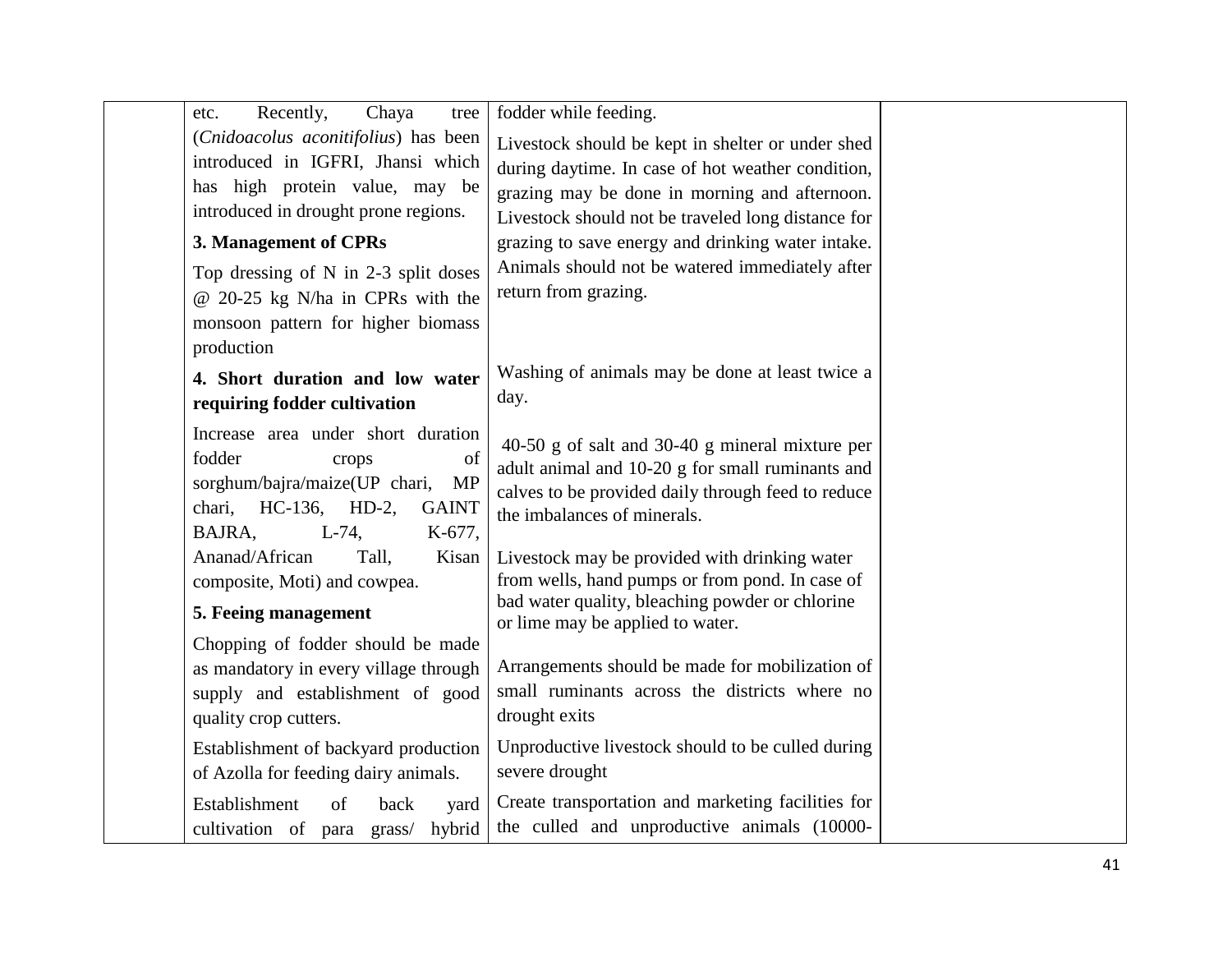| Recently,<br>etc.            | Chaya<br>tree                          | fodder while feeding.                                                                            |  |
|------------------------------|----------------------------------------|--------------------------------------------------------------------------------------------------|--|
|                              | (Cnidoacolus aconitifolius) has been   | Livestock should be kept in shelter or under shed                                                |  |
|                              | introduced in IGFRI, Jhansi which      | during daytime. In case of hot weather condition,                                                |  |
|                              | has high protein value, may be         | grazing may be done in morning and afternoon.                                                    |  |
|                              | introduced in drought prone regions.   | Livestock should not be traveled long distance for                                               |  |
| 3. Management of CPRs        |                                        | grazing to save energy and drinking water intake.                                                |  |
|                              | Top dressing of $N$ in 2-3 split doses | Animals should not be watered immediately after                                                  |  |
|                              | @ 20-25 kg N/ha in CPRs with the       | return from grazing.                                                                             |  |
|                              | monsoon pattern for higher biomass     |                                                                                                  |  |
| production                   |                                        |                                                                                                  |  |
|                              | 4. Short duration and low water        | Washing of animals may be done at least twice a                                                  |  |
| requiring fodder cultivation |                                        | day.                                                                                             |  |
|                              | Increase area under short duration     |                                                                                                  |  |
| fodder                       | of<br>crops                            | 40-50 g of salt and $30-40$ g mineral mixture per                                                |  |
|                              | sorghum/bajra/maize(UP chari,<br>MP    | adult animal and 10-20 g for small ruminants and                                                 |  |
| chari,                       | $HC-136$ , $HD-2$ ,<br><b>GAINT</b>    | calves to be provided daily through feed to reduce                                               |  |
| BAJRA,                       | $L-74,$<br>K-677,                      | the imbalances of minerals.                                                                      |  |
| Ananad/African               | Tall,<br>Kisan                         | Livestock may be provided with drinking water                                                    |  |
| composite, Moti) and cowpea. |                                        | from wells, hand pumps or from pond. In case of                                                  |  |
| 5. Feeing management         |                                        | bad water quality, bleaching powder or chlorine                                                  |  |
|                              |                                        | or lime may be applied to water.                                                                 |  |
|                              | Chopping of fodder should be made      |                                                                                                  |  |
|                              | as mandatory in every village through  | Arrangements should be made for mobilization of<br>small ruminants across the districts where no |  |
|                              | supply and establishment of good       | drought exits                                                                                    |  |
| quality crop cutters.        |                                        |                                                                                                  |  |
|                              | Establishment of backyard production   | Unproductive livestock should to be culled during                                                |  |
|                              | of Azolla for feeding dairy animals.   | severe drought                                                                                   |  |
| Establishment                | of<br>back<br>yard                     | Create transportation and marketing facilities for                                               |  |
| cultivation of para grass/   | hybrid                                 | the culled and unproductive animals (10000-                                                      |  |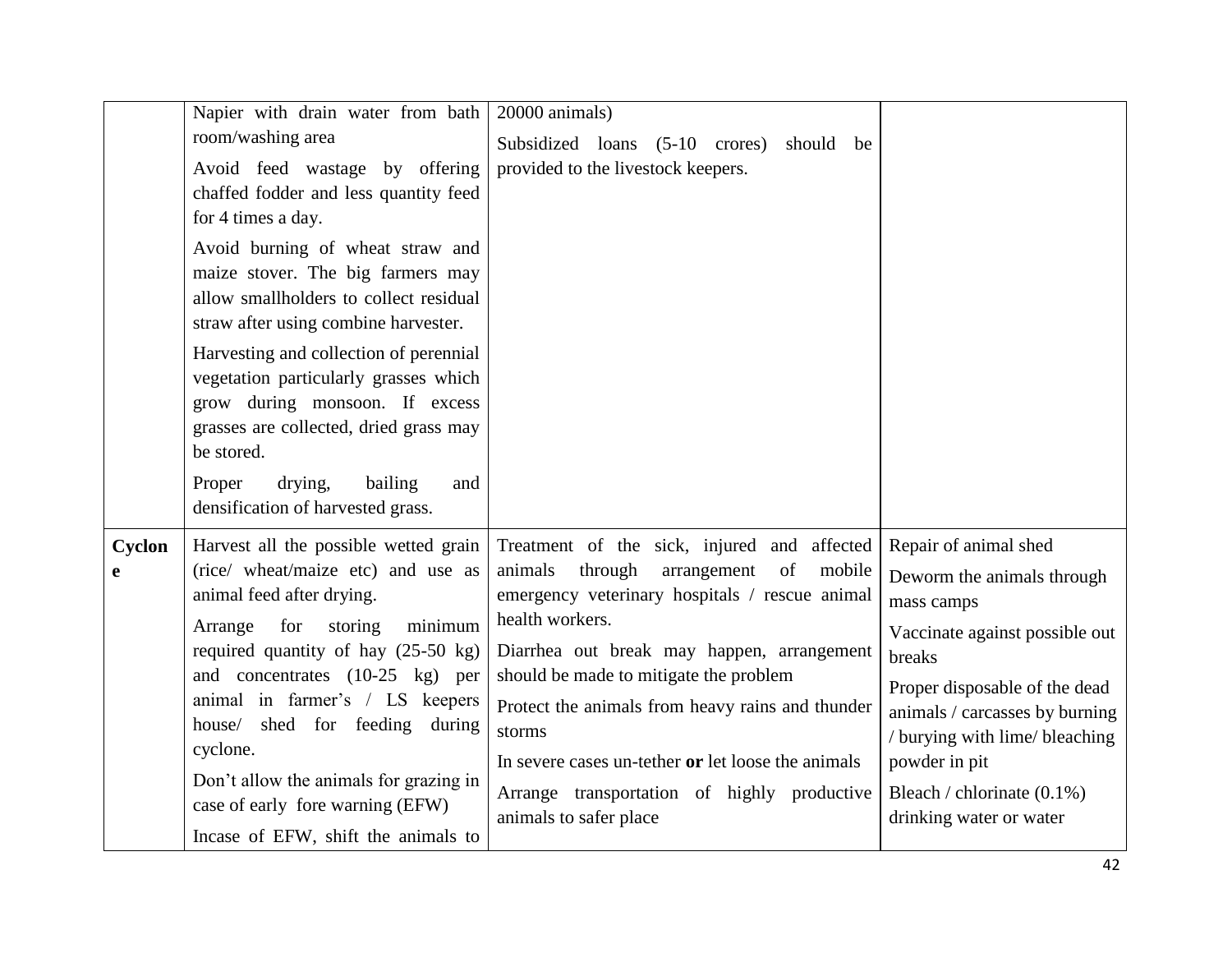|             | Napier with drain water from bath<br>room/washing area<br>Avoid feed wastage by offering<br>chaffed fodder and less quantity feed<br>for 4 times a day.<br>Avoid burning of wheat straw and<br>maize stover. The big farmers may<br>allow smallholders to collect residual<br>straw after using combine harvester.<br>Harvesting and collection of perennial<br>vegetation particularly grasses which<br>grow during monsoon. If excess<br>grasses are collected, dried grass may<br>be stored.<br>drying,<br>Proper<br>bailing<br>and | 20000 animals)<br>Subsidized loans (5-10 crores)<br>should be<br>provided to the livestock keepers.                                                                                                                                                                                                                                                                                                                                                        |                                                                                                                                                                                                                                                                                                 |
|-------------|----------------------------------------------------------------------------------------------------------------------------------------------------------------------------------------------------------------------------------------------------------------------------------------------------------------------------------------------------------------------------------------------------------------------------------------------------------------------------------------------------------------------------------------|------------------------------------------------------------------------------------------------------------------------------------------------------------------------------------------------------------------------------------------------------------------------------------------------------------------------------------------------------------------------------------------------------------------------------------------------------------|-------------------------------------------------------------------------------------------------------------------------------------------------------------------------------------------------------------------------------------------------------------------------------------------------|
| Cyclon<br>e | densification of harvested grass.<br>Harvest all the possible wetted grain<br>(rice/ wheat/maize etc) and use as<br>animal feed after drying.<br>for<br>minimum<br>storing<br>Arrange<br>required quantity of hay $(25-50 \text{ kg})$<br>and concentrates (10-25 kg) per<br>animal in farmer's / LS keepers<br>house/ shed for feeding<br>during<br>cyclone.<br>Don't allow the animals for grazing in<br>case of early fore warning (EFW)<br>Incase of EFW, shift the animals to                                                     | Treatment of the sick, injured and affected<br>arrangement<br>mobile<br>animals<br>through<br>of<br>emergency veterinary hospitals / rescue animal<br>health workers.<br>Diarrhea out break may happen, arrangement<br>should be made to mitigate the problem<br>Protect the animals from heavy rains and thunder<br>storms<br>In severe cases un-tether or let loose the animals<br>Arrange transportation of highly productive<br>animals to safer place | Repair of animal shed<br>Deworm the animals through<br>mass camps<br>Vaccinate against possible out<br>breaks<br>Proper disposable of the dead<br>animals / carcasses by burning<br>/ burying with lime/ bleaching<br>powder in pit<br>Bleach / chlorinate $(0.1\%)$<br>drinking water or water |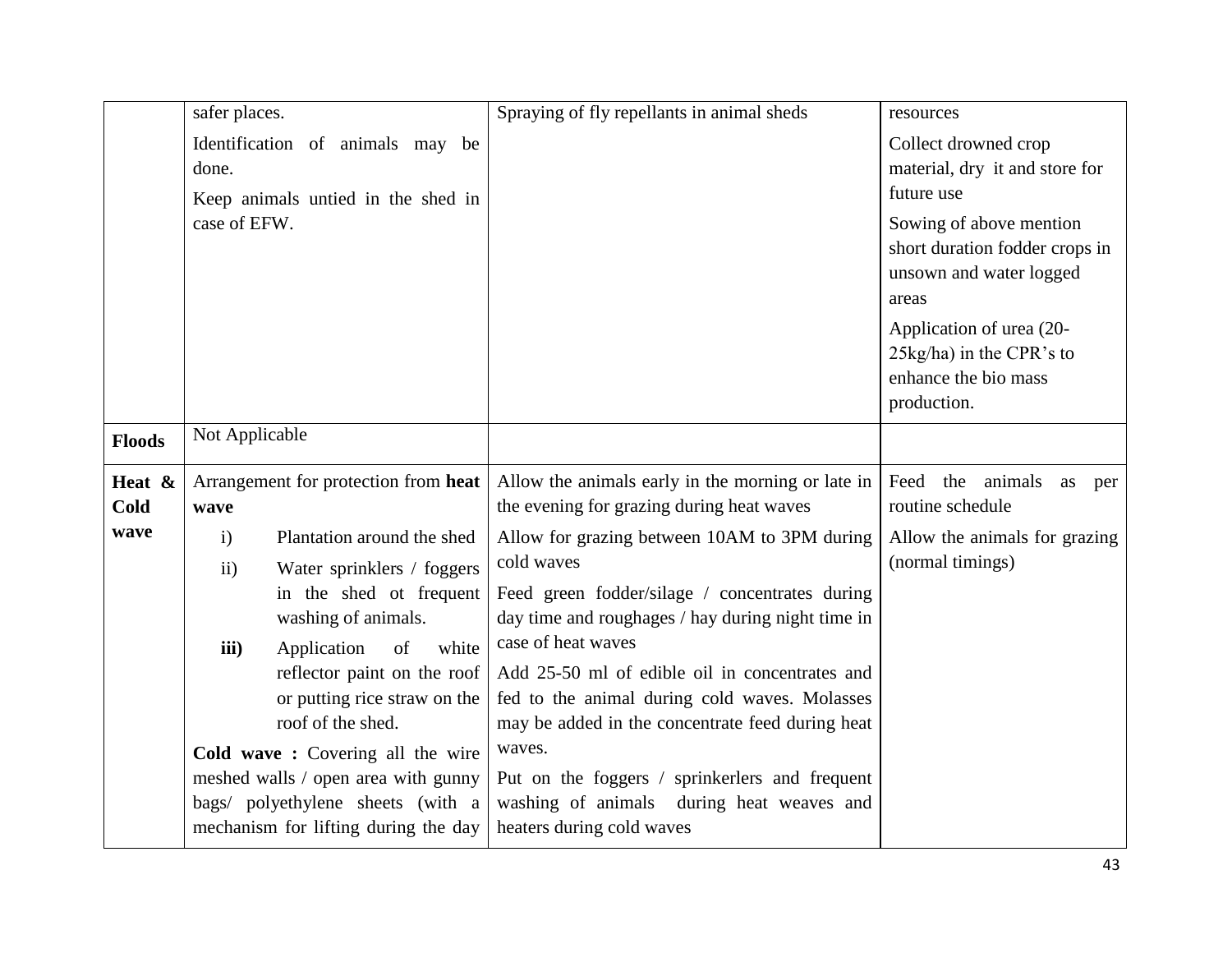|                | safer places.               |                                                                                                                                                                                                                                                                  | Spraying of fly repellants in animal sheds                                                                                                                                                                                                                                                                                                               | resources                                                                                     |
|----------------|-----------------------------|------------------------------------------------------------------------------------------------------------------------------------------------------------------------------------------------------------------------------------------------------------------|----------------------------------------------------------------------------------------------------------------------------------------------------------------------------------------------------------------------------------------------------------------------------------------------------------------------------------------------------------|-----------------------------------------------------------------------------------------------|
|                | done.                       | Identification of animals may be<br>Keep animals untied in the shed in                                                                                                                                                                                           |                                                                                                                                                                                                                                                                                                                                                          | Collect drowned crop<br>material, dry it and store for<br>future use                          |
|                | case of EFW.                |                                                                                                                                                                                                                                                                  |                                                                                                                                                                                                                                                                                                                                                          | Sowing of above mention<br>short duration fodder crops in<br>unsown and water logged<br>areas |
|                |                             |                                                                                                                                                                                                                                                                  |                                                                                                                                                                                                                                                                                                                                                          | Application of urea (20-<br>25kg/ha) in the CPR's to<br>enhance the bio mass<br>production.   |
| <b>Floods</b>  | Not Applicable              |                                                                                                                                                                                                                                                                  |                                                                                                                                                                                                                                                                                                                                                          |                                                                                               |
| Heat &<br>Cold | wave                        | Arrangement for protection from heat                                                                                                                                                                                                                             | Allow the animals early in the morning or late in<br>the evening for grazing during heat waves                                                                                                                                                                                                                                                           | Feed<br>the animals<br>as<br>per<br>routine schedule                                          |
| wave           | $\mathbf{i}$<br>ii)<br>iii) | Plantation around the shed<br>Water sprinklers / foggers<br>in the shed ot frequent<br>washing of animals.<br>of<br>Application<br>white<br>reflector paint on the roof<br>or putting rice straw on the<br>roof of the shed.<br>Cold wave: Covering all the wire | Allow for grazing between 10AM to 3PM during<br>cold waves<br>Feed green fodder/silage / concentrates during<br>day time and roughages / hay during night time in<br>case of heat waves<br>Add 25-50 ml of edible oil in concentrates and<br>fed to the animal during cold waves. Molasses<br>may be added in the concentrate feed during heat<br>waves. | Allow the animals for grazing<br>(normal timings)                                             |
|                |                             | meshed walls / open area with gunny<br>bags/ polyethylene sheets (with a<br>mechanism for lifting during the day                                                                                                                                                 | Put on the foggers / sprinkerlers and frequent<br>washing of animals<br>during heat weaves and<br>heaters during cold waves                                                                                                                                                                                                                              |                                                                                               |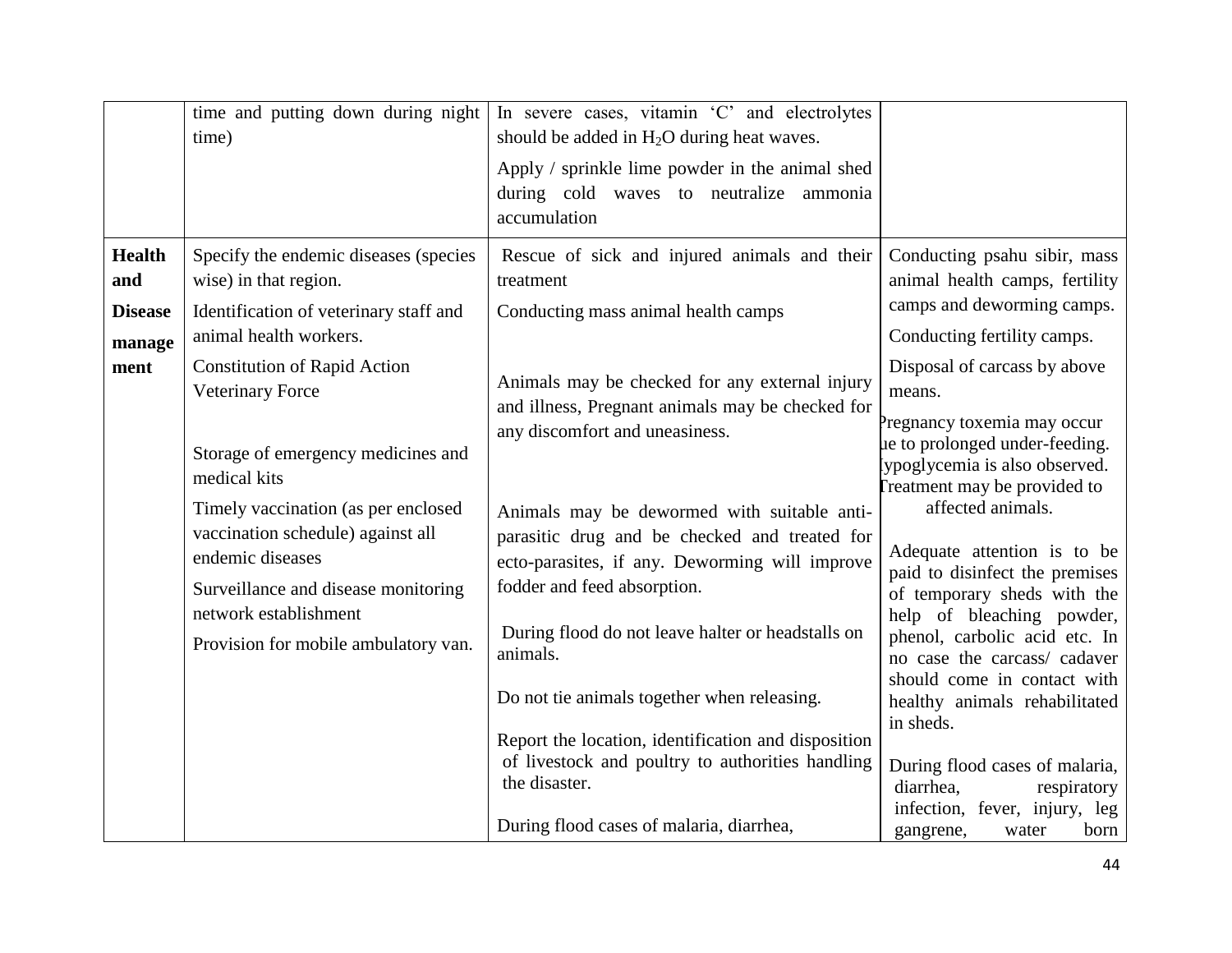|                          | time and putting down during night<br>time)                                                                                         | In severe cases, vitamin 'C' and electrolytes<br>should be added in $H_2O$ during heat waves.<br>Apply / sprinkle lime powder in the animal shed<br>during cold waves to neutralize ammonia<br>accumulation |                                                                                                                                                          |
|--------------------------|-------------------------------------------------------------------------------------------------------------------------------------|-------------------------------------------------------------------------------------------------------------------------------------------------------------------------------------------------------------|----------------------------------------------------------------------------------------------------------------------------------------------------------|
| <b>Health</b><br>and     | Specify the endemic diseases (species<br>wise) in that region.                                                                      | Rescue of sick and injured animals and their<br>treatment                                                                                                                                                   | Conducting psahu sibir, mass<br>animal health camps, fertility                                                                                           |
| <b>Disease</b><br>manage | Identification of veterinary staff and<br>animal health workers.                                                                    | Conducting mass animal health camps                                                                                                                                                                         | camps and deworming camps.<br>Conducting fertility camps.                                                                                                |
| ment                     | <b>Constitution of Rapid Action</b><br><b>Veterinary Force</b>                                                                      | Animals may be checked for any external injury<br>and illness, Pregnant animals may be checked for                                                                                                          | Disposal of carcass by above<br>means.<br>Pregnancy toxemia may occur                                                                                    |
|                          | Storage of emergency medicines and<br>medical kits                                                                                  | any discomfort and uneasiness.                                                                                                                                                                              | ue to prolonged under-feeding.<br>lypoglycemia is also observed.<br>reatment may be provided to                                                          |
|                          | Timely vaccination (as per enclosed<br>vaccination schedule) against all<br>endemic diseases<br>Surveillance and disease monitoring | Animals may be dewormed with suitable anti-<br>parasitic drug and be checked and treated for<br>ecto-parasites, if any. Deworming will improve<br>fodder and feed absorption.                               | affected animals.<br>Adequate attention is to be<br>paid to disinfect the premises                                                                       |
|                          | network establishment<br>Provision for mobile ambulatory van.                                                                       | During flood do not leave halter or headstalls on<br>animals.                                                                                                                                               | of temporary sheds with the<br>help of bleaching powder,<br>phenol, carbolic acid etc. In<br>no case the carcass/ cadaver<br>should come in contact with |
|                          |                                                                                                                                     | Do not tie animals together when releasing.<br>Report the location, identification and disposition                                                                                                          | healthy animals rehabilitated<br>in sheds.                                                                                                               |
|                          |                                                                                                                                     | of livestock and poultry to authorities handling<br>the disaster.                                                                                                                                           | During flood cases of malaria,<br>diarrhea.<br>respiratory                                                                                               |
|                          |                                                                                                                                     | During flood cases of malaria, diarrhea,                                                                                                                                                                    | infection, fever, injury, leg<br>born<br>gangrene,<br>water                                                                                              |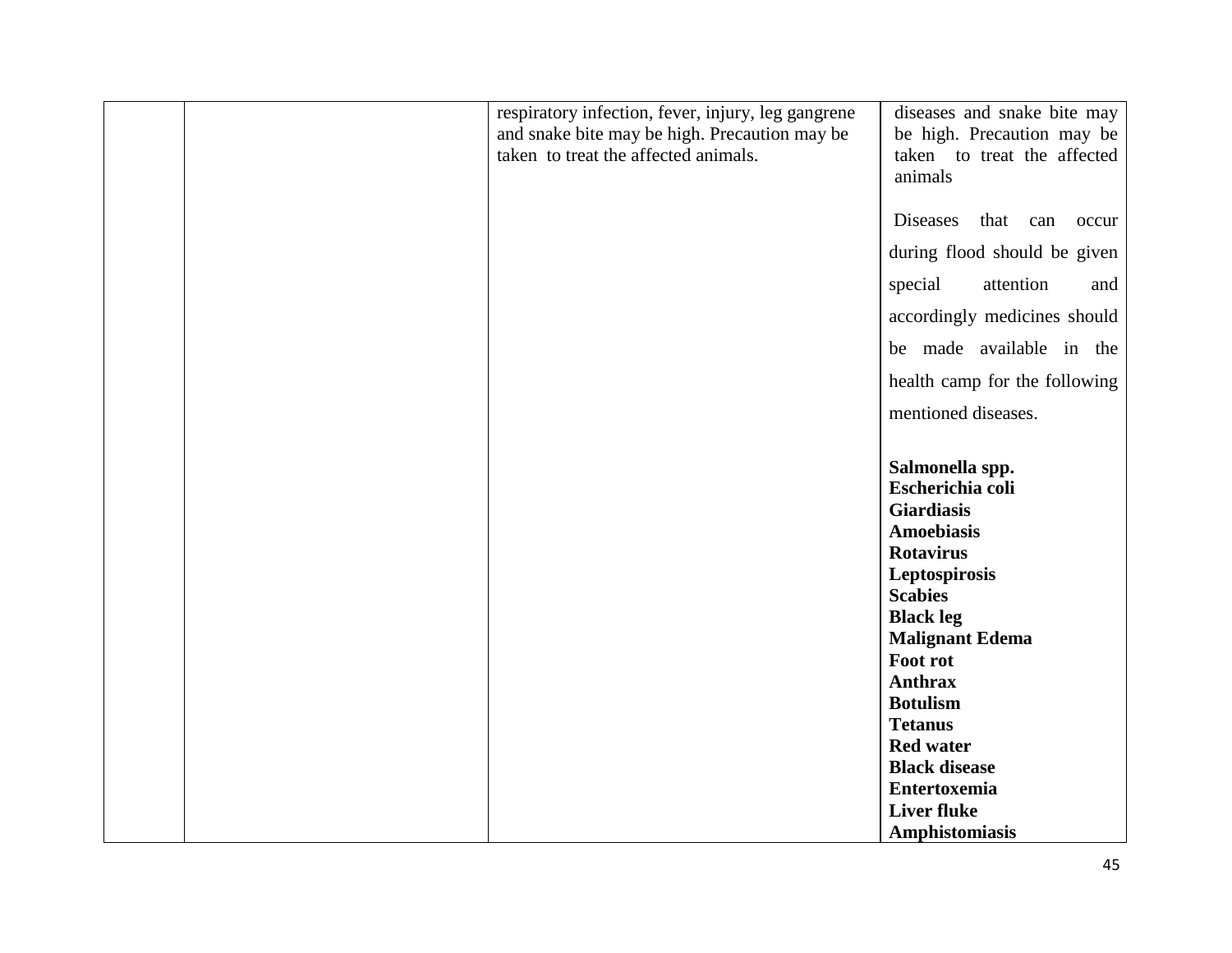| respiratory infection, fever, injury, leg gangrene<br>and snake bite may be high. Precaution may be<br>taken to treat the affected animals. | diseases and snake bite may<br>be high. Precaution may be<br>taken to treat the affected<br>animals |
|---------------------------------------------------------------------------------------------------------------------------------------------|-----------------------------------------------------------------------------------------------------|
|                                                                                                                                             | <b>Diseases</b><br>that<br>can<br>occur                                                             |
|                                                                                                                                             | during flood should be given                                                                        |
|                                                                                                                                             | attention<br>special<br>and                                                                         |
|                                                                                                                                             | accordingly medicines should                                                                        |
|                                                                                                                                             | be made available in the                                                                            |
|                                                                                                                                             | health camp for the following                                                                       |
|                                                                                                                                             | mentioned diseases.                                                                                 |
|                                                                                                                                             |                                                                                                     |
|                                                                                                                                             | Salmonella spp.                                                                                     |
|                                                                                                                                             | <b>Escherichia coli</b>                                                                             |
|                                                                                                                                             | <b>Giardiasis</b>                                                                                   |
|                                                                                                                                             | <b>Amoebiasis</b>                                                                                   |
|                                                                                                                                             | <b>Rotavirus</b>                                                                                    |
|                                                                                                                                             | Leptospirosis                                                                                       |
|                                                                                                                                             | <b>Scabies</b>                                                                                      |
|                                                                                                                                             |                                                                                                     |
|                                                                                                                                             | <b>Black leg</b>                                                                                    |
|                                                                                                                                             | <b>Malignant Edema</b><br>Foot rot                                                                  |
|                                                                                                                                             | <b>Anthrax</b>                                                                                      |
|                                                                                                                                             |                                                                                                     |
|                                                                                                                                             | <b>Botulism</b>                                                                                     |
|                                                                                                                                             | <b>Tetanus</b><br><b>Red water</b>                                                                  |
|                                                                                                                                             | <b>Black disease</b>                                                                                |
|                                                                                                                                             |                                                                                                     |
|                                                                                                                                             | <b>Entertoxemia</b>                                                                                 |
|                                                                                                                                             | <b>Liver fluke</b>                                                                                  |
|                                                                                                                                             | Amphistomiasis                                                                                      |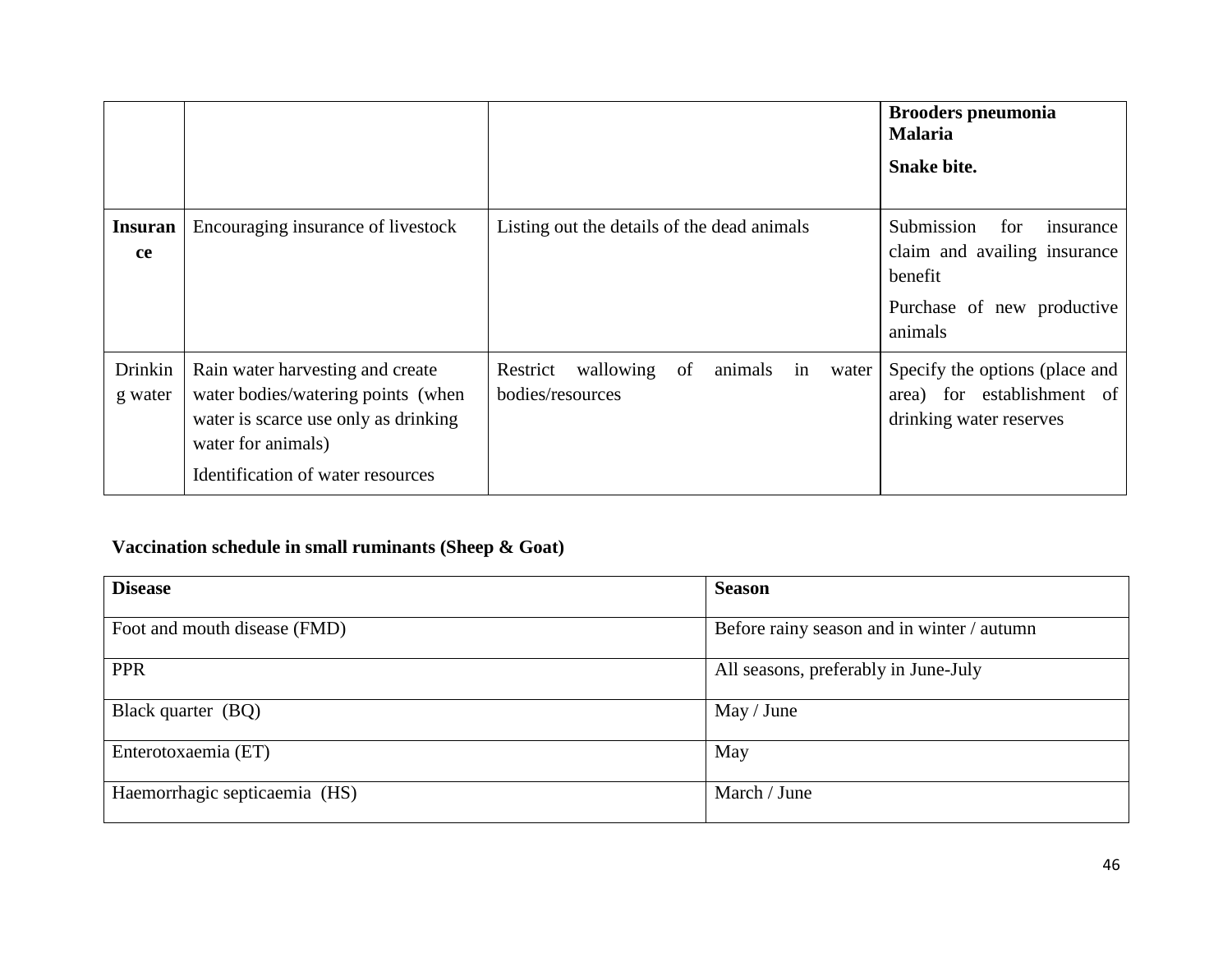|                      |                                                                                                                                                                           |                                                                  | <b>Brooders pneumonia</b><br><b>Malaria</b>                                                                        |
|----------------------|---------------------------------------------------------------------------------------------------------------------------------------------------------------------------|------------------------------------------------------------------|--------------------------------------------------------------------------------------------------------------------|
|                      |                                                                                                                                                                           |                                                                  | <b>Snake bite.</b>                                                                                                 |
| <b>Insuran</b><br>ce | Encouraging insurance of livestock                                                                                                                                        | Listing out the details of the dead animals                      | Submission<br>for<br>insurance<br>claim and availing insurance<br>benefit<br>Purchase of new productive<br>animals |
| Drinkin<br>g water   | Rain water harvesting and create<br>water bodies/watering points (when<br>water is scarce use only as drinking<br>water for animals)<br>Identification of water resources | animals in<br>Restrict wallowing of<br>water<br>bodies/resources | Specify the options (place and<br>area) for establishment of<br>drinking water reserves                            |

# **Vaccination schedule in small ruminants (Sheep & Goat)**

| <b>Disease</b>                | <b>Season</b>                              |
|-------------------------------|--------------------------------------------|
| Foot and mouth disease (FMD)  | Before rainy season and in winter / autumn |
| <b>PPR</b>                    | All seasons, preferably in June-July       |
| Black quarter (BQ)            | May / June                                 |
| Enterotoxaemia (ET)           | May                                        |
| Haemorrhagic septicaemia (HS) | March / June                               |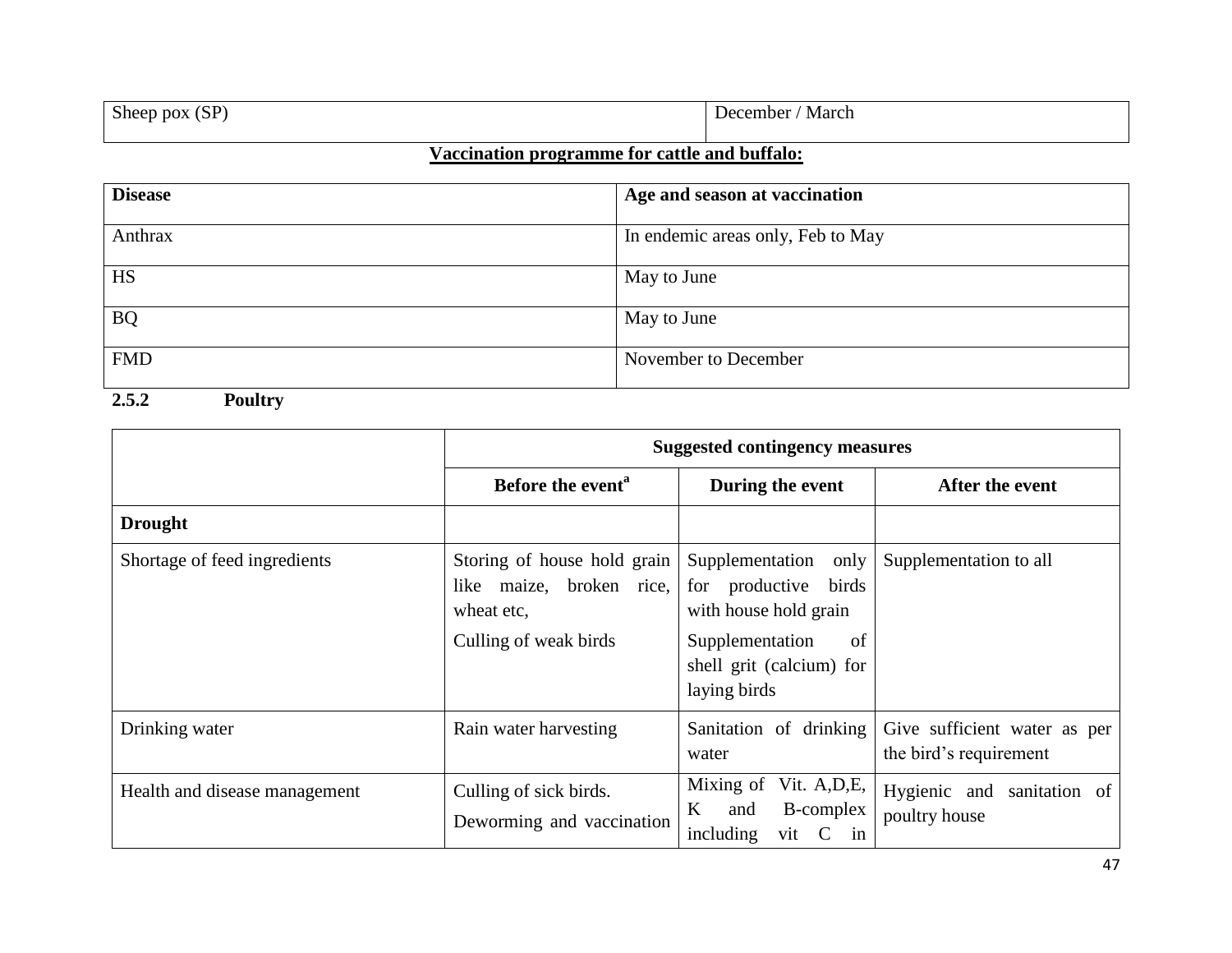| $\sim$<br>$\sim$ $\sim$<br>ык<br>; נוכו | Mar<br>.<br>$\mathbf{v}$ |
|-----------------------------------------|--------------------------|
|                                         |                          |

## **Vaccination programme for cattle and buffalo:**

| <b>Disease</b> | Age and season at vaccination     |
|----------------|-----------------------------------|
| Anthrax        | In endemic areas only, Feb to May |
| <b>HS</b>      | May to June                       |
| <b>BQ</b>      | May to June                       |
| <b>FMD</b>     | November to December              |

### **2.5.2 Poultry**

|                               | <b>Suggested contingency measures</b>                                                          |                                                                                                                                               |                                                        |
|-------------------------------|------------------------------------------------------------------------------------------------|-----------------------------------------------------------------------------------------------------------------------------------------------|--------------------------------------------------------|
|                               | Before the event <sup>a</sup>                                                                  | During the event                                                                                                                              | After the event                                        |
| <b>Drought</b>                |                                                                                                |                                                                                                                                               |                                                        |
| Shortage of feed ingredients  | Storing of house hold grain<br>like maize, broken rice,<br>wheat etc,<br>Culling of weak birds | Supplementation only<br>for productive<br>birds<br>with house hold grain<br>Supplementation<br>of<br>shell grit (calcium) for<br>laying birds | Supplementation to all                                 |
| Drinking water                | Rain water harvesting                                                                          | Sanitation of drinking<br>water                                                                                                               | Give sufficient water as per<br>the bird's requirement |
| Health and disease management | Culling of sick birds.<br>Deworming and vaccination                                            | Mixing of Vit. A, D, E,<br><b>B-complex</b><br>K<br>and<br>including<br>vit C in                                                              | Hygienic and sanitation of<br>poultry house            |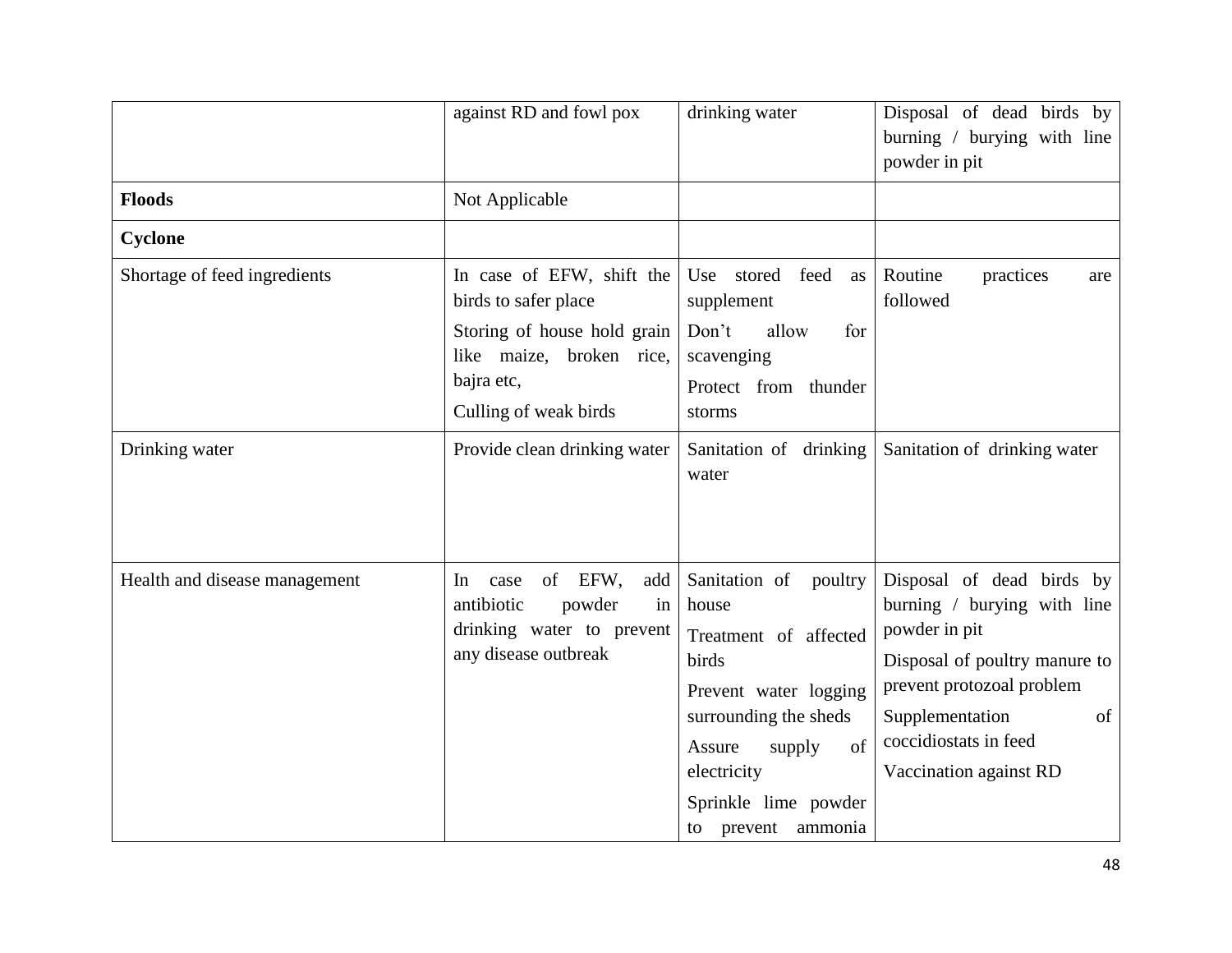|                               | against RD and fowl pox                                                                                                                             | drinking water                                                                                                                                                                                            | Disposal of dead birds by<br>burning / burying with line<br>powder in pit                                                                                                                                           |
|-------------------------------|-----------------------------------------------------------------------------------------------------------------------------------------------------|-----------------------------------------------------------------------------------------------------------------------------------------------------------------------------------------------------------|---------------------------------------------------------------------------------------------------------------------------------------------------------------------------------------------------------------------|
| <b>Floods</b>                 | Not Applicable                                                                                                                                      |                                                                                                                                                                                                           |                                                                                                                                                                                                                     |
| <b>Cyclone</b>                |                                                                                                                                                     |                                                                                                                                                                                                           |                                                                                                                                                                                                                     |
| Shortage of feed ingredients  | In case of EFW, shift the<br>birds to safer place<br>Storing of house hold grain<br>like maize, broken rice,<br>bajra etc,<br>Culling of weak birds | Use stored feed<br>as<br>supplement<br>Don't<br>allow<br>for<br>scavenging<br>Protect from thunder<br>storms                                                                                              | Routine<br>practices<br>are<br>followed                                                                                                                                                                             |
| Drinking water                | Provide clean drinking water                                                                                                                        | Sanitation of drinking<br>water                                                                                                                                                                           | Sanitation of drinking water                                                                                                                                                                                        |
| Health and disease management | of EFW,<br>add<br>In<br>case<br>antibiotic<br>powder<br>in<br>drinking water to prevent<br>any disease outbreak                                     | Sanitation of poultry<br>house<br>Treatment of affected<br>birds<br>Prevent water logging<br>surrounding the sheds<br>of<br>Assure<br>supply<br>electricity<br>Sprinkle lime powder<br>to prevent ammonia | Disposal of dead birds by<br>burning / burying with line<br>powder in pit<br>Disposal of poultry manure to<br>prevent protozoal problem<br>Supplementation<br>of<br>coccidiostats in feed<br>Vaccination against RD |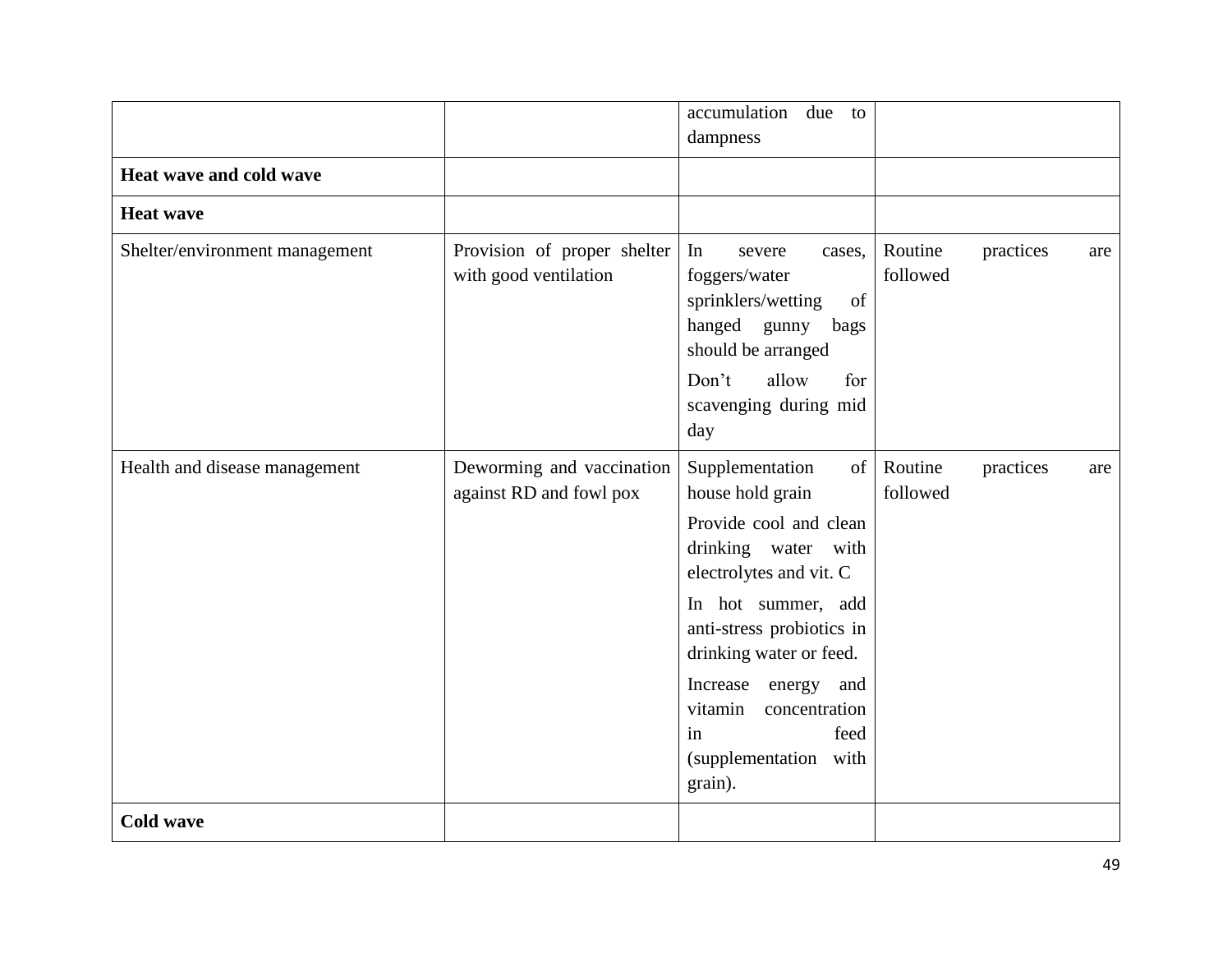|                                |                                                      | accumulation<br>due<br>to<br>dampness                                                                                                                                                                                                                                                                          |                                         |
|--------------------------------|------------------------------------------------------|----------------------------------------------------------------------------------------------------------------------------------------------------------------------------------------------------------------------------------------------------------------------------------------------------------------|-----------------------------------------|
| Heat wave and cold wave        |                                                      |                                                                                                                                                                                                                                                                                                                |                                         |
| <b>Heat wave</b>               |                                                      |                                                                                                                                                                                                                                                                                                                |                                         |
| Shelter/environment management | Provision of proper shelter<br>with good ventilation | In<br>severe<br>cases,<br>foggers/water<br>sprinklers/wetting<br>of<br>hanged gunny<br>bags<br>should be arranged<br>allow<br>Don't<br>for<br>scavenging during mid<br>day                                                                                                                                     | Routine<br>practices<br>are<br>followed |
| Health and disease management  | Deworming and vaccination<br>against RD and fowl pox | Supplementation<br>of<br>house hold grain<br>Provide cool and clean<br>drinking water with<br>electrolytes and vit. C<br>In hot summer, add<br>anti-stress probiotics in<br>drinking water or feed.<br>Increase<br>energy<br>and<br>vitamin<br>concentration<br>feed<br>in<br>(supplementation with<br>grain). | Routine<br>practices<br>are<br>followed |
| <b>Cold wave</b>               |                                                      |                                                                                                                                                                                                                                                                                                                |                                         |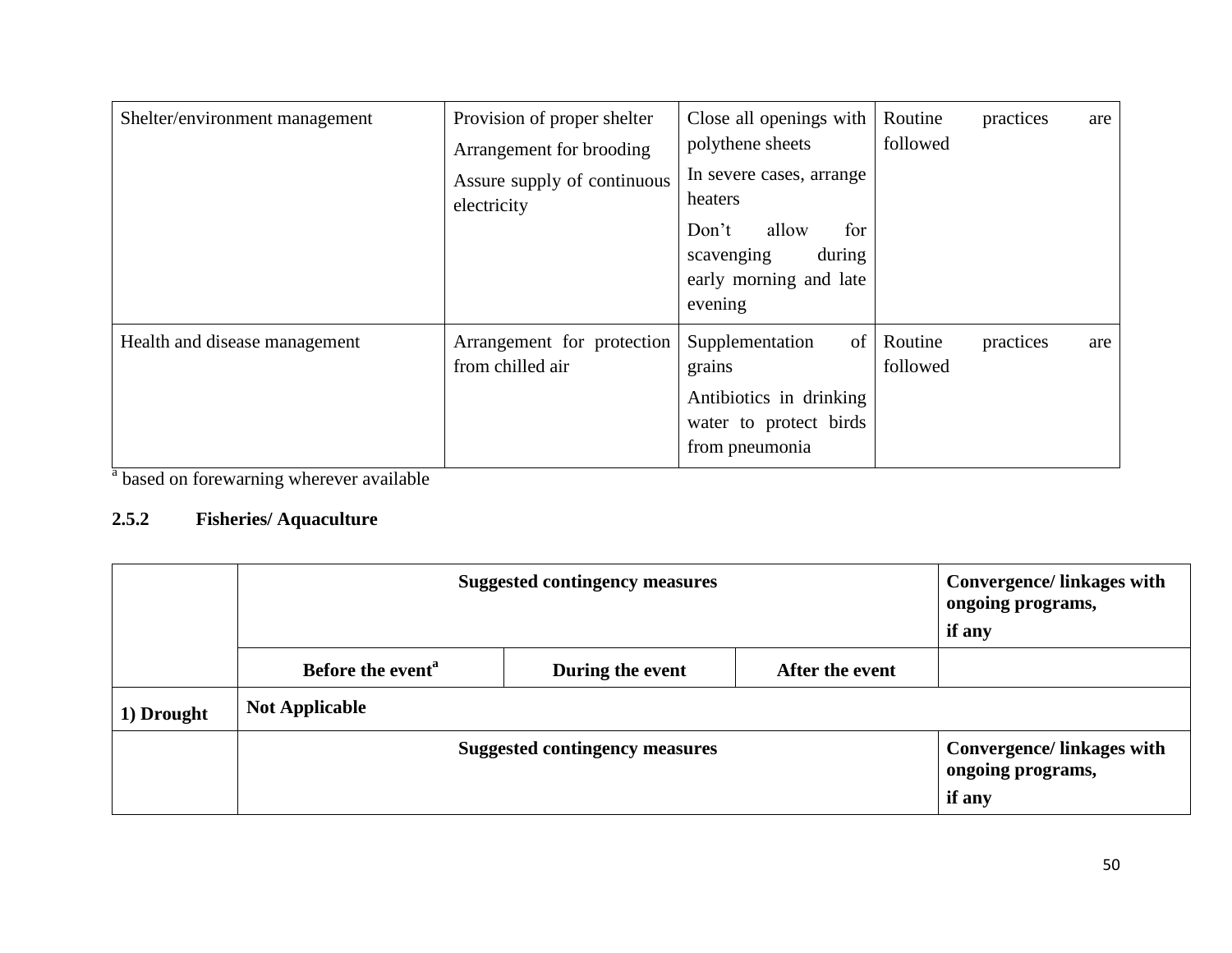| Shelter/environment management | Provision of proper shelter<br>Arrangement for brooding<br>Assure supply of continuous<br>electricity | Close all openings with<br>polythene sheets<br>In severe cases, arrange<br>heaters<br>for<br>Don't<br>allow<br>during<br>scavenging<br>early morning and late<br>evening | Routine<br>followed | practices | are |
|--------------------------------|-------------------------------------------------------------------------------------------------------|--------------------------------------------------------------------------------------------------------------------------------------------------------------------------|---------------------|-----------|-----|
| Health and disease management  | Arrangement for protection<br>from chilled air                                                        | Supplementation<br>of<br>grains<br>Antibiotics in drinking<br>water to protect birds<br>from pneumonia                                                                   | Routine<br>followed | practices | are |

<sup>a</sup> based on forewarning wherever available

# **2.5.2 Fisheries/ Aquaculture**

|            | <b>Suggested contingency measures</b> |                 |                                                                 | <b>Convergence/linkages with</b><br>ongoing programs,<br>if any |  |
|------------|---------------------------------------|-----------------|-----------------------------------------------------------------|-----------------------------------------------------------------|--|
|            | Before the event <sup>a</sup>         | After the event |                                                                 |                                                                 |  |
| 1) Drought | <b>Not Applicable</b>                 |                 |                                                                 |                                                                 |  |
|            | <b>Suggested contingency measures</b> |                 | <b>Convergence/linkages with</b><br>ongoing programs,<br>if any |                                                                 |  |